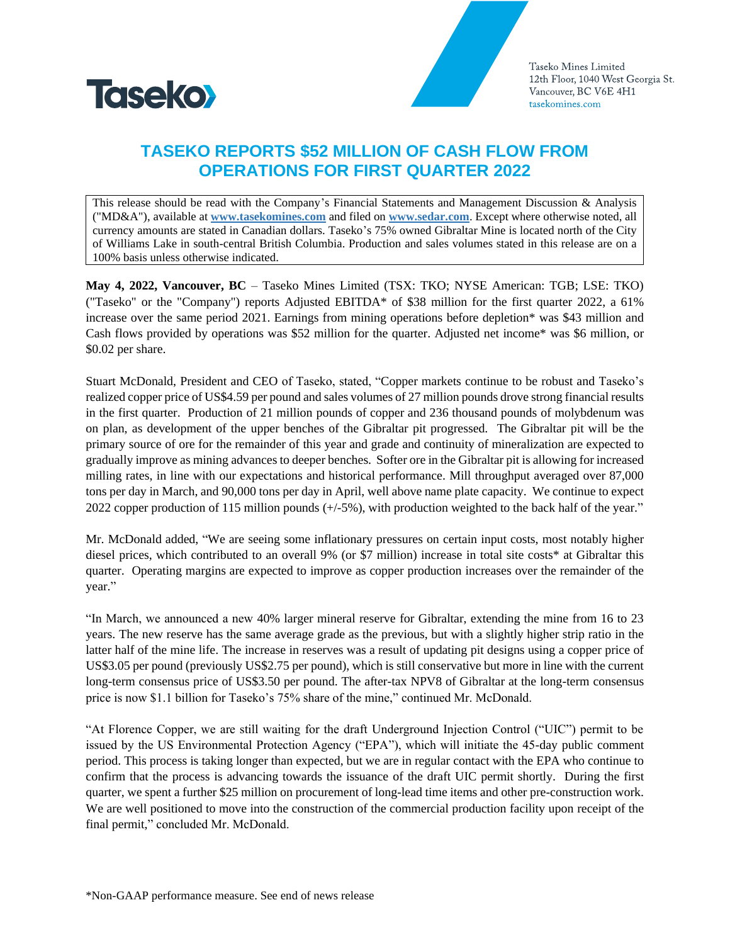

# **TASEKO REPORTS \$52 MILLION OF CASH FLOW FROM OPERATIONS FOR FIRST QUARTER 2022**

This release should be read with the Company's Financial Statements and Management Discussion & Analysis ("MD&A"), available at **[www.tasekomines.com](https://mail.tasekomines.com/owa/redir.aspx?C=WhMBfvDS2FYuyI517rMG7ApNGk6874r8WIi4oMTv4RMa0ZiSesrWCA..&URL=http%3a%2f%2fwww.tasekomines.com%2f)** and filed on **[www.sedar.com](https://mail.tasekomines.com/owa/redir.aspx?C=lhVmq3CrlRQIKQZMDUtJ4OJMxC3x3lePi8zHTHkuU7ka0ZiSesrWCA..&URL=http%3a%2f%2fwww.sedar.com%2f)**. Except where otherwise noted, all currency amounts are stated in Canadian dollars. Taseko's 75% owned Gibraltar Mine is located north of the City of Williams Lake in south-central British Columbia. Production and sales volumes stated in this release are on a 100% basis unless otherwise indicated.

**May 4, 2022, Vancouver, BC** – Taseko Mines Limited (TSX: TKO; NYSE American: TGB; LSE: TKO) ("Taseko" or the "Company") reports Adjusted EBITDA\* of \$38 million for the first quarter 2022, a 61% increase over the same period 2021. Earnings from mining operations before depletion\* was \$43 million and Cash flows provided by operations was \$52 million for the quarter. Adjusted net income\* was \$6 million, or \$0.02 per share.

Stuart McDonald, President and CEO of Taseko, stated, "Copper markets continue to be robust and Taseko's realized copper price of US\$4.59 per pound and sales volumes of 27 million pounds drove strong financial results in the first quarter. Production of 21 million pounds of copper and 236 thousand pounds of molybdenum was on plan, as development of the upper benches of the Gibraltar pit progressed. The Gibraltar pit will be the primary source of ore for the remainder of this year and grade and continuity of mineralization are expected to gradually improve as mining advances to deeper benches. Softer ore in the Gibraltar pit is allowing for increased milling rates, in line with our expectations and historical performance. Mill throughput averaged over 87,000 tons per day in March, and 90,000 tons per day in April, well above name plate capacity. We continue to expect 2022 copper production of 115 million pounds (+/-5%), with production weighted to the back half of the year."

Mr. McDonald added, "We are seeing some inflationary pressures on certain input costs, most notably higher diesel prices, which contributed to an overall 9% (or \$7 million) increase in total site costs\* at Gibraltar this quarter. Operating margins are expected to improve as copper production increases over the remainder of the year."

"In March, we announced a new 40% larger mineral reserve for Gibraltar, extending the mine from 16 to 23 years. The new reserve has the same average grade as the previous, but with a slightly higher strip ratio in the latter half of the mine life. The increase in reserves was a result of updating pit designs using a copper price of US\$3.05 per pound (previously US\$2.75 per pound), which is still conservative but more in line with the current long-term consensus price of US\$3.50 per pound. The after-tax NPV8 of Gibraltar at the long-term consensus price is now \$1.1 billion for Taseko's 75% share of the mine," continued Mr. McDonald.

"At Florence Copper, we are still waiting for the draft Underground Injection Control ("UIC") permit to be issued by the US Environmental Protection Agency ("EPA"), which will initiate the 45-day public comment period. This process is taking longer than expected, but we are in regular contact with the EPA who continue to confirm that the process is advancing towards the issuance of the draft UIC permit shortly. During the first quarter, we spent a further \$25 million on procurement of long-lead time items and other pre-construction work. We are well positioned to move into the construction of the commercial production facility upon receipt of the final permit," concluded Mr. McDonald.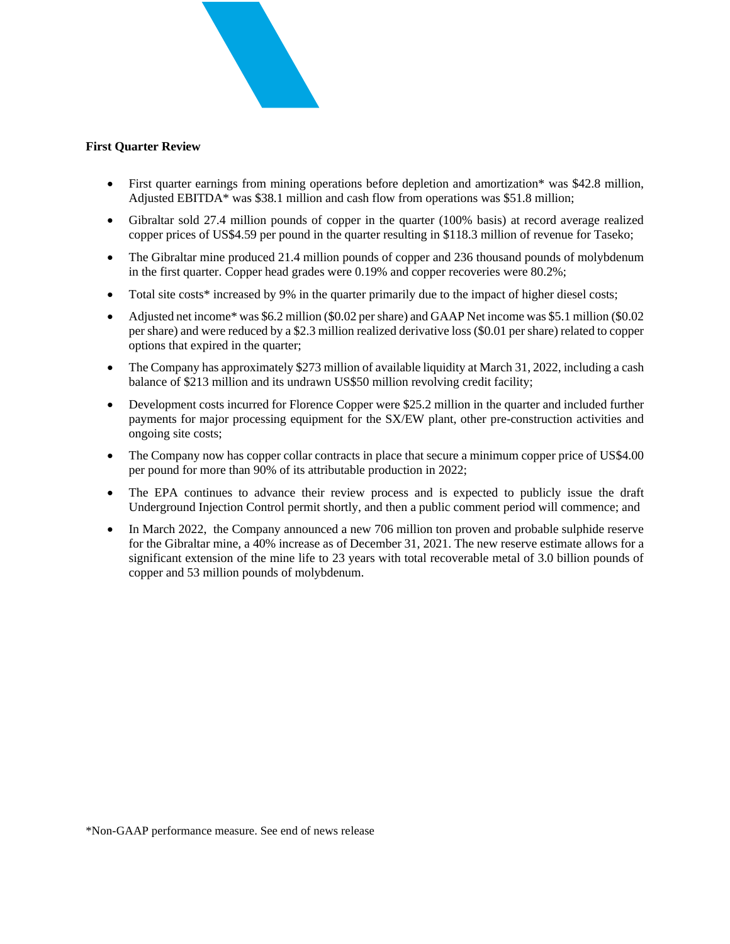

#### **First Quarter Review**

- First quarter earnings from mining operations before depletion and amortization\* was \$42.8 million, Adjusted EBITDA\* was \$38.1 million and cash flow from operations was \$51.8 million;
- Gibraltar sold 27.4 million pounds of copper in the quarter (100% basis) at record average realized copper prices of US\$4.59 per pound in the quarter resulting in \$118.3 million of revenue for Taseko;
- The Gibraltar mine produced 21.4 million pounds of copper and 236 thousand pounds of molybdenum in the first quarter. Copper head grades were 0.19% and copper recoveries were 80.2%;
- Total site costs<sup>\*</sup> increased by 9% in the quarter primarily due to the impact of higher diesel costs;
- Adjusted net income\* was \$6.2 million (\$0.02 per share) and GAAP Net income was \$5.1 million (\$0.02) per share) and were reduced by a \$2.3 million realized derivative loss (\$0.01 per share) related to copper options that expired in the quarter;
- The Company has approximately \$273 million of available liquidity at March 31, 2022, including a cash balance of \$213 million and its undrawn US\$50 million revolving credit facility;
- Development costs incurred for Florence Copper were \$25.2 million in the quarter and included further payments for major processing equipment for the SX/EW plant, other pre-construction activities and ongoing site costs;
- The Company now has copper collar contracts in place that secure a minimum copper price of US\$4.00 per pound for more than 90% of its attributable production in 2022;
- The EPA continues to advance their review process and is expected to publicly issue the draft Underground Injection Control permit shortly, and then a public comment period will commence; and
- In March 2022, the Company announced a new 706 million ton proven and probable sulphide reserve for the Gibraltar mine, a 40% increase as of December 31, 2021. The new reserve estimate allows for a significant extension of the mine life to 23 years with total recoverable metal of 3.0 billion pounds of copper and 53 million pounds of molybdenum.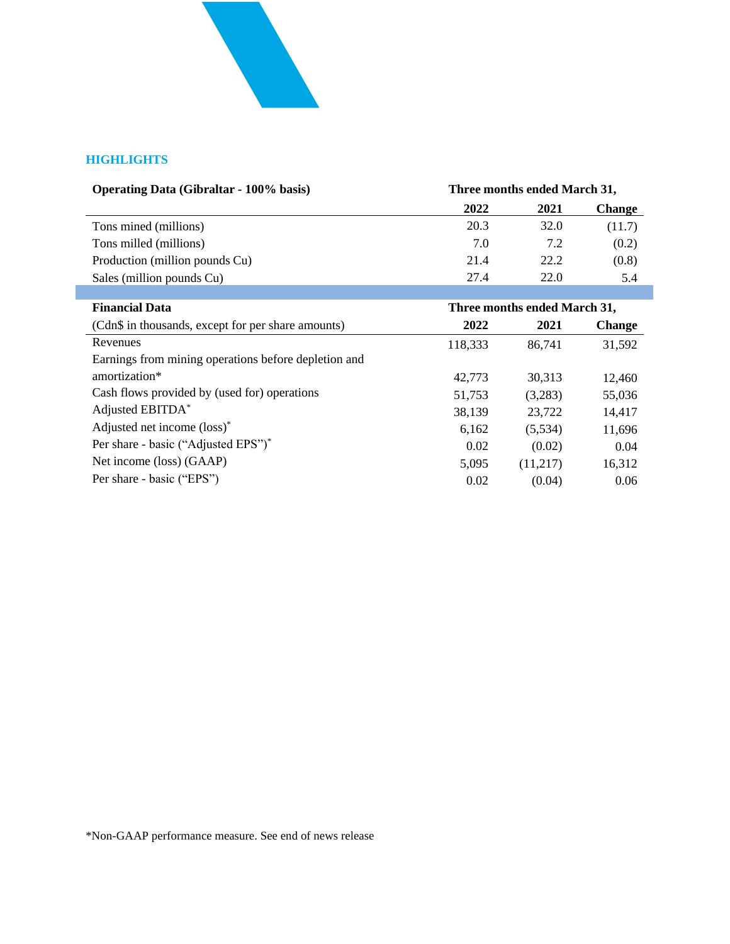

### **HIGHLIGHTS**

| <b>Operating Data (Gibraltar - 100% basis)</b> | Three months ended March 31, |      |               |  |
|------------------------------------------------|------------------------------|------|---------------|--|
|                                                | 2022                         | 2021 | <b>Change</b> |  |
| Tons mined (millions)                          | 20.3                         | 32.0 | (11.7)        |  |
| Tons milled (millions)                         | 7.0                          | 7.2  | (0.2)         |  |
| Production (million pounds Cu)                 | 21.4                         | 22.2 | (0.8)         |  |
| Sales (million pounds Cu)                      | 27.4                         | 22.0 | 5.4           |  |
|                                                |                              |      |               |  |

| <b>Financial Data</b>                                | Three months ended March 31, |          |               |  |
|------------------------------------------------------|------------------------------|----------|---------------|--|
| (Cdn\$ in thousands, except for per share amounts)   | 2022                         | 2021     | <b>Change</b> |  |
| Revenues                                             | 118,333                      | 86,741   | 31,592        |  |
| Earnings from mining operations before depletion and |                              |          |               |  |
| amortization*                                        | 42,773                       | 30.313   | 12,460        |  |
| Cash flows provided by (used for) operations         | 51,753                       | (3,283)  | 55,036        |  |
| Adjusted EBITDA*                                     | 38,139                       | 23,722   | 14,417        |  |
| Adjusted net income (loss)*                          | 6,162                        | (5,534)  | 11,696        |  |
| Per share - basic ("Adjusted EPS")"                  | 0.02                         | (0.02)   | 0.04          |  |
| Net income (loss) (GAAP)                             | 5,095                        | (11,217) | 16,312        |  |
| Per share - basic ("EPS")                            | 0.02                         | (0.04)   | 0.06          |  |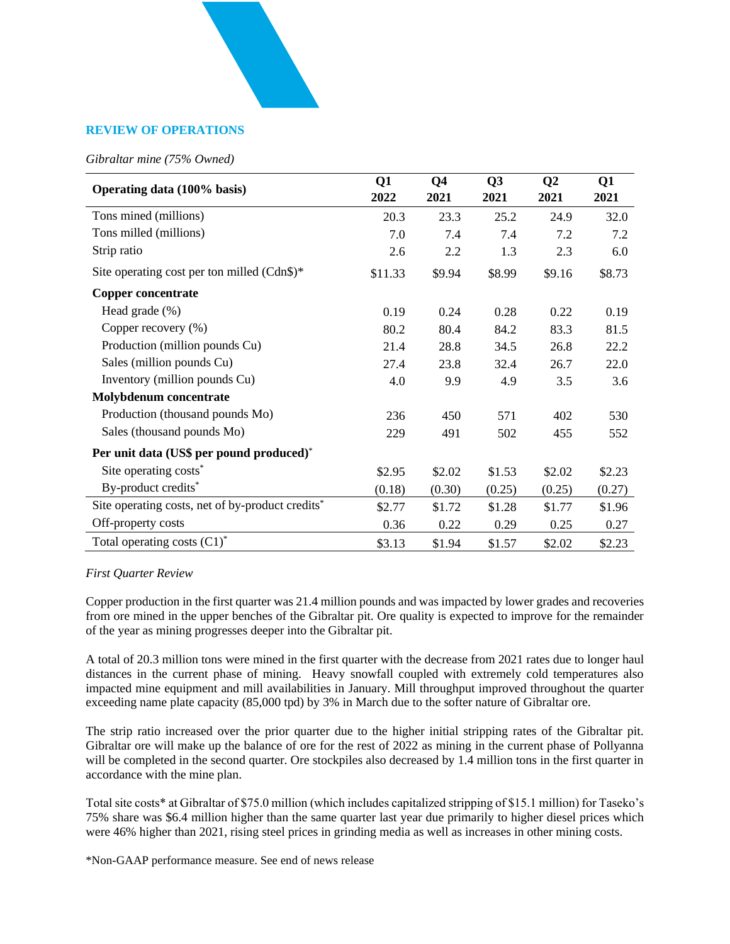#### **REVIEW OF OPERATIONS**

#### *Gibraltar mine (75% Owned)*

| Operating data (100% basis)                      | Q1<br>2022 | Q <sub>4</sub><br>2021 | Q3<br>2021 | Q <sub>2</sub><br>2021 | Q1<br>2021 |
|--------------------------------------------------|------------|------------------------|------------|------------------------|------------|
| Tons mined (millions)                            | 20.3       | 23.3                   | 25.2       | 24.9                   | 32.0       |
| Tons milled (millions)                           | 7.0        | 7.4                    | 7.4        | 7.2                    | 7.2        |
| Strip ratio                                      | 2.6        | 2.2                    | 1.3        | 2.3                    | 6.0        |
| Site operating cost per ton milled (Cdn\$)*      | \$11.33    | \$9.94                 | \$8.99     | \$9.16                 | \$8.73     |
| Copper concentrate                               |            |                        |            |                        |            |
| Head grade $(\%)$                                | 0.19       | 0.24                   | 0.28       | 0.22                   | 0.19       |
| Copper recovery (%)                              | 80.2       | 80.4                   | 84.2       | 83.3                   | 81.5       |
| Production (million pounds Cu)                   | 21.4       | 28.8                   | 34.5       | 26.8                   | 22.2       |
| Sales (million pounds Cu)                        | 27.4       | 23.8                   | 32.4       | 26.7                   | 22.0       |
| Inventory (million pounds Cu)                    | 4.0        | 9.9                    | 4.9        | 3.5                    | 3.6        |
| Molybdenum concentrate                           |            |                        |            |                        |            |
| Production (thousand pounds Mo)                  | 236        | 450                    | 571        | 402                    | 530        |
| Sales (thousand pounds Mo)                       | 229        | 491                    | 502        | 455                    | 552        |
| Per unit data (US\$ per pound produced)*         |            |                        |            |                        |            |
| Site operating costs*                            | \$2.95     | \$2.02                 | \$1.53     | \$2.02                 | \$2.23     |
| By-product credits*                              | (0.18)     | (0.30)                 | (0.25)     | (0.25)                 | (0.27)     |
| Site operating costs, net of by-product credits* | \$2.77     | \$1.72                 | \$1.28     | \$1.77                 | \$1.96     |
| Off-property costs                               | 0.36       | 0.22                   | 0.29       | 0.25                   | 0.27       |
| Total operating costs $(C1)^*$                   | \$3.13     | \$1.94                 | \$1.57     | \$2.02                 | \$2.23     |

#### *First Quarter Review*

Copper production in the first quarter was 21.4 million pounds and was impacted by lower grades and recoveries from ore mined in the upper benches of the Gibraltar pit. Ore quality is expected to improve for the remainder of the year as mining progresses deeper into the Gibraltar pit.

A total of 20.3 million tons were mined in the first quarter with the decrease from 2021 rates due to longer haul distances in the current phase of mining. Heavy snowfall coupled with extremely cold temperatures also impacted mine equipment and mill availabilities in January. Mill throughput improved throughout the quarter exceeding name plate capacity (85,000 tpd) by 3% in March due to the softer nature of Gibraltar ore.

The strip ratio increased over the prior quarter due to the higher initial stripping rates of the Gibraltar pit. Gibraltar ore will make up the balance of ore for the rest of 2022 as mining in the current phase of Pollyanna will be completed in the second quarter. Ore stockpiles also decreased by 1.4 million tons in the first quarter in accordance with the mine plan.

Total site costs\* at Gibraltar of \$75.0 million (which includes capitalized stripping of \$15.1 million) for Taseko's 75% share was \$6.4 million higher than the same quarter last year due primarily to higher diesel prices which were 46% higher than 2021, rising steel prices in grinding media as well as increases in other mining costs.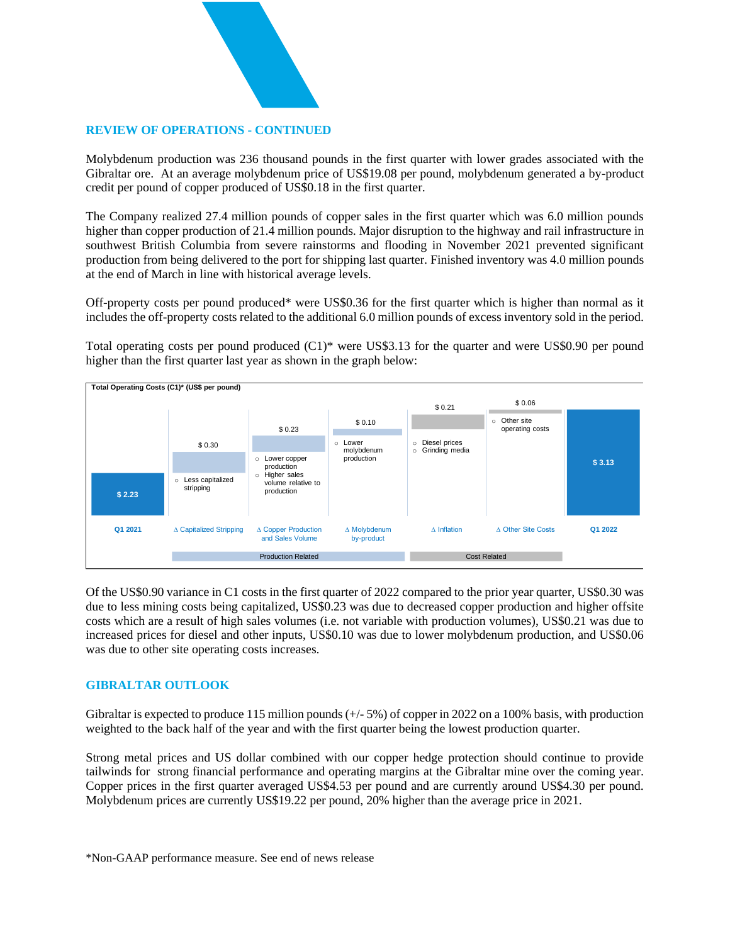### **REVIEW OF OPERATIONS - CONTINUED**

Molybdenum production was 236 thousand pounds in the first quarter with lower grades associated with the Gibraltar ore. At an average molybdenum price of US\$19.08 per pound, molybdenum generated a by-product credit per pound of copper produced of US\$0.18 in the first quarter.

The Company realized 27.4 million pounds of copper sales in the first quarter which was 6.0 million pounds higher than copper production of 21.4 million pounds. Major disruption to the highway and rail infrastructure in southwest British Columbia from severe rainstorms and flooding in November 2021 prevented significant production from being delivered to the port for shipping last quarter. Finished inventory was 4.0 million pounds at the end of March in line with historical average levels.

Off-property costs per pound produced\* were US\$0.36 for the first quarter which is higher than normal as it includes the off-property costs related to the additional 6.0 million pounds of excess inventory sold in the period.

Total operating costs per pound produced (C1)\* were US\$3.13 for the quarter and were US\$0.90 per pound higher than the first quarter last year as shown in the graph below:



Of the US\$0.90 variance in C1 costs in the first quarter of 2022 compared to the prior year quarter, US\$0.30 was due to less mining costs being capitalized, US\$0.23 was due to decreased copper production and higher offsite costs which are a result of high sales volumes (i.e. not variable with production volumes), US\$0.21 was due to increased prices for diesel and other inputs, US\$0.10 was due to lower molybdenum production, and US\$0.06 was due to other site operating costs increases.

#### **GIBRALTAR OUTLOOK**

Gibraltar is expected to produce 115 million pounds  $(+/- 5%)$  of copper in 2022 on a 100% basis, with production weighted to the back half of the year and with the first quarter being the lowest production quarter.

Strong metal prices and US dollar combined with our copper hedge protection should continue to provide tailwinds for strong financial performance and operating margins at the Gibraltar mine over the coming year. Copper prices in the first quarter averaged US\$4.53 per pound and are currently around US\$4.30 per pound. Molybdenum prices are currently US\$19.22 per pound, 20% higher than the average price in 2021.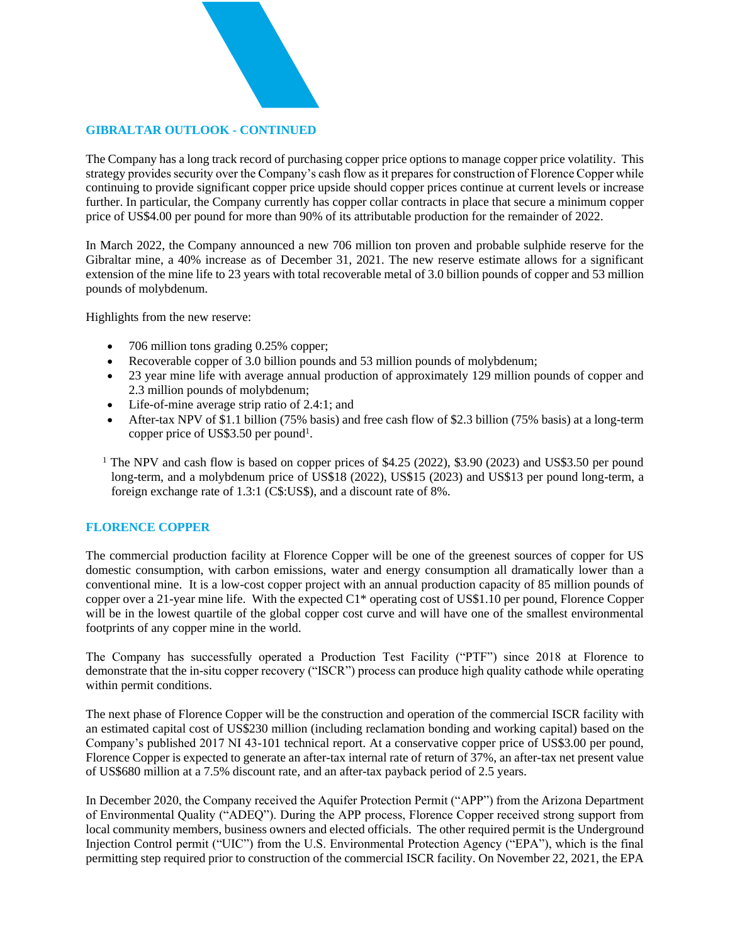### **GIBRALTAR OUTLOOK - CONTINUED**

The Company has a long track record of purchasing copper price options to manage copper price volatility. This strategy provides security over the Company's cash flow as it prepares for construction of Florence Copper while continuing to provide significant copper price upside should copper prices continue at current levels or increase further. In particular, the Company currently has copper collar contracts in place that secure a minimum copper price of US\$4.00 per pound for more than 90% of its attributable production for the remainder of 2022.

In March 2022, the Company announced a new 706 million ton proven and probable sulphide reserve for the Gibraltar mine, a 40% increase as of December 31, 2021. The new reserve estimate allows for a significant extension of the mine life to 23 years with total recoverable metal of 3.0 billion pounds of copper and 53 million pounds of molybdenum.

Highlights from the new reserve:

- 706 million tons grading 0.25% copper;
- Recoverable copper of 3.0 billion pounds and 53 million pounds of molybdenum;
- 23 year mine life with average annual production of approximately 129 million pounds of copper and 2.3 million pounds of molybdenum;
- Life-of-mine average strip ratio of 2.4:1; and
- After-tax NPV of \$1.1 billion (75% basis) and free cash flow of \$2.3 billion (75% basis) at a long-term copper price of US\$3.50 per pound<sup>1</sup>.

<sup>1</sup> The NPV and cash flow is based on copper prices of \$4.25 (2022), \$3.90 (2023) and US\$3.50 per pound long-term, and a molybdenum price of US\$18 (2022), US\$15 (2023) and US\$13 per pound long-term, a foreign exchange rate of 1.3:1 (C\$:US\$), and a discount rate of 8%.

### **FLORENCE COPPER**

The commercial production facility at Florence Copper will be one of the greenest sources of copper for US domestic consumption, with carbon emissions, water and energy consumption all dramatically lower than a conventional mine. It is a low-cost copper project with an annual production capacity of 85 million pounds of copper over a 21-year mine life. With the expected C1\* operating cost of US\$1.10 per pound, Florence Copper will be in the lowest quartile of the global copper cost curve and will have one of the smallest environmental footprints of any copper mine in the world.

The Company has successfully operated a Production Test Facility ("PTF") since 2018 at Florence to demonstrate that the in-situ copper recovery ("ISCR") process can produce high quality cathode while operating within permit conditions.

The next phase of Florence Copper will be the construction and operation of the commercial ISCR facility with an estimated capital cost of US\$230 million (including reclamation bonding and working capital) based on the Company's published 2017 NI 43-101 technical report. At a conservative copper price of US\$3.00 per pound, Florence Copper is expected to generate an after-tax internal rate of return of 37%, an after-tax net present value of US\$680 million at a 7.5% discount rate, and an after-tax payback period of 2.5 years.

In December 2020, the Company received the Aquifer Protection Permit ("APP") from the Arizona Department of Environmental Quality ("ADEQ"). During the APP process, Florence Copper received strong support from local community members, business owners and elected officials. The other required permit is the Underground Injection Control permit ("UIC") from the U.S. Environmental Protection Agency ("EPA"), which is the final permitting step required prior to construction of the commercial ISCR facility. On November 22, 2021, the EPA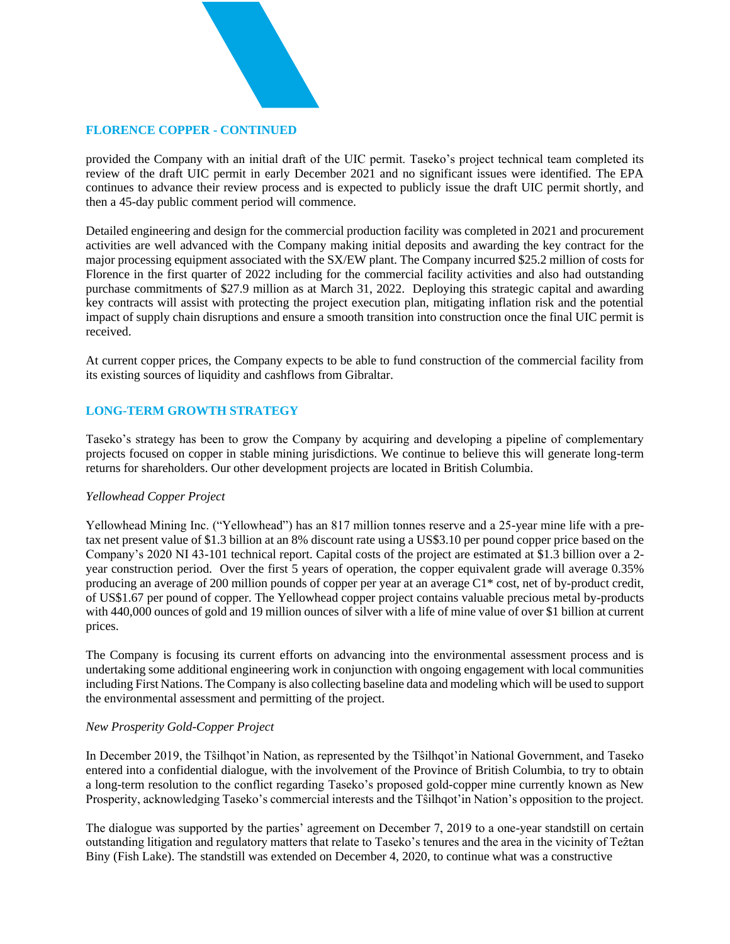### **FLORENCE COPPER - CONTINUED**

provided the Company with an initial draft of the UIC permit. Taseko's project technical team completed its review of the draft UIC permit in early December 2021 and no significant issues were identified. The EPA continues to advance their review process and is expected to publicly issue the draft UIC permit shortly, and then a 45-day public comment period will commence.

Detailed engineering and design for the commercial production facility was completed in 2021 and procurement activities are well advanced with the Company making initial deposits and awarding the key contract for the major processing equipment associated with the SX/EW plant. The Company incurred \$25.2 million of costs for Florence in the first quarter of 2022 including for the commercial facility activities and also had outstanding purchase commitments of \$27.9 million as at March 31, 2022. Deploying this strategic capital and awarding key contracts will assist with protecting the project execution plan, mitigating inflation risk and the potential impact of supply chain disruptions and ensure a smooth transition into construction once the final UIC permit is received.

At current copper prices, the Company expects to be able to fund construction of the commercial facility from its existing sources of liquidity and cashflows from Gibraltar.

### **LONG-TERM GROWTH STRATEGY**

Taseko's strategy has been to grow the Company by acquiring and developing a pipeline of complementary projects focused on copper in stable mining jurisdictions. We continue to believe this will generate long-term returns for shareholders. Our other development projects are located in British Columbia.

#### *Yellowhead Copper Project*

Yellowhead Mining Inc. ("Yellowhead") has an 817 million tonnes reserve and a 25-year mine life with a pretax net present value of \$1.3 billion at an 8% discount rate using a US\$3.10 per pound copper price based on the Company's 2020 NI 43-101 technical report. Capital costs of the project are estimated at \$1.3 billion over a 2 year construction period. Over the first 5 years of operation, the copper equivalent grade will average 0.35% producing an average of 200 million pounds of copper per year at an average C1\* cost, net of by-product credit, of US\$1.67 per pound of copper. The Yellowhead copper project contains valuable precious metal by-products with 440,000 ounces of gold and 19 million ounces of silver with a life of mine value of over \$1 billion at current prices.

The Company is focusing its current efforts on advancing into the environmental assessment process and is undertaking some additional engineering work in conjunction with ongoing engagement with local communities including First Nations. The Company is also collecting baseline data and modeling which will be used to support the environmental assessment and permitting of the project.

#### *New Prosperity Gold-Copper Project*

In December 2019, the Tŝilhqot'in Nation, as represented by the Tŝilhqot'in National Government, and Taseko entered into a confidential dialogue, with the involvement of the Province of British Columbia, to try to obtain a long-term resolution to the conflict regarding Taseko's proposed gold-copper mine currently known as New Prosperity, acknowledging Taseko's commercial interests and the Tŝilhqot'in Nation's opposition to the project.

The dialogue was supported by the parties' agreement on December 7, 2019 to a one-year standstill on certain outstanding litigation and regulatory matters that relate to Taseko's tenures and the area in the vicinity of Teztan Biny (Fish Lake). The standstill was extended on December 4, 2020, to continue what was a constructive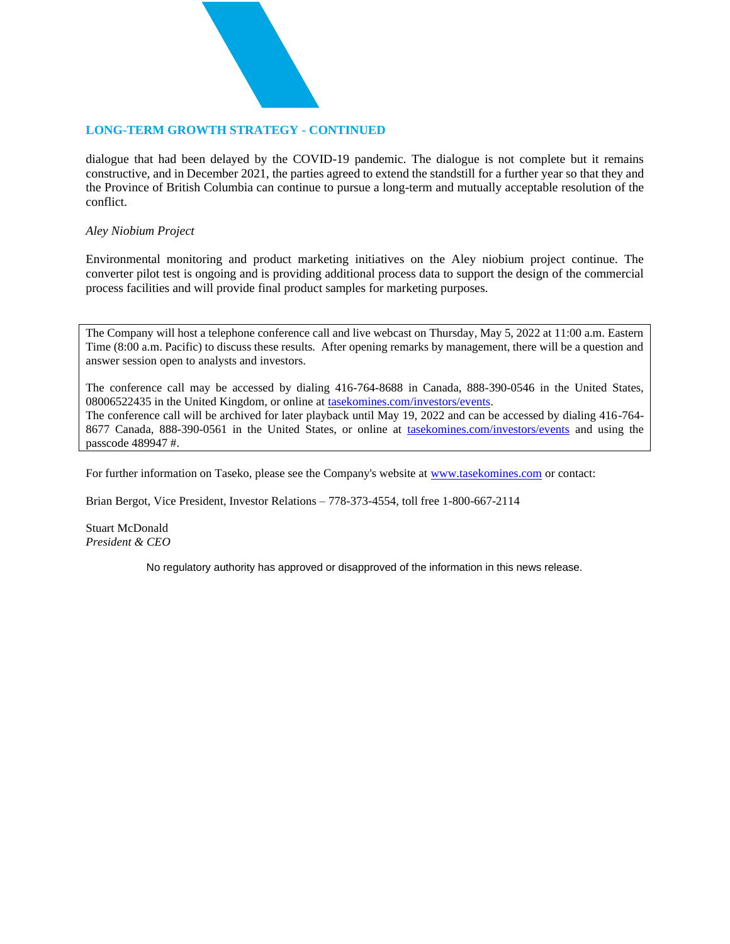### **LONG-TERM GROWTH STRATEGY - CONTINUED**

dialogue that had been delayed by the COVID-19 pandemic. The dialogue is not complete but it remains constructive, and in December 2021, the parties agreed to extend the standstill for a further year so that they and the Province of British Columbia can continue to pursue a long-term and mutually acceptable resolution of the conflict.

#### *Aley Niobium Project*

Environmental monitoring and product marketing initiatives on the Aley niobium project continue. The converter pilot test is ongoing and is providing additional process data to support the design of the commercial process facilities and will provide final product samples for marketing purposes.

The Company will host a telephone conference call and live webcast on Thursday, May 5, 2022 at 11:00 a.m. Eastern Time (8:00 a.m. Pacific) to discuss these results. After opening remarks by management, there will be a question and answer session open to analysts and investors.

The conference call may be accessed by dialing 416-764-8688 in Canada, 888-390-0546 in the United States, 08006522435 in the United Kingdom, or online at [tasekomines.com/investors/events.](https://www.tasekomines.com/investors/events) The conference call will be archived for later playback until May 19, 2022 and can be accessed by dialing 416-764- 8677 Canada, 888-390-0561 in the United States, or online at [tasekomines.com/investors/events](https://www.tasekomines.com/investors/events) and using the passcode 489947 #.

For further information on Taseko, please see the Company's website at [www.tasekomines.com](http://www.tasekomines.com/) or contact:

Brian Bergot, Vice President, Investor Relations – 778-373-4554, toll free 1-800-667-2114

Stuart McDonald *President & CEO*

No regulatory authority has approved or disapproved of the information in this news release.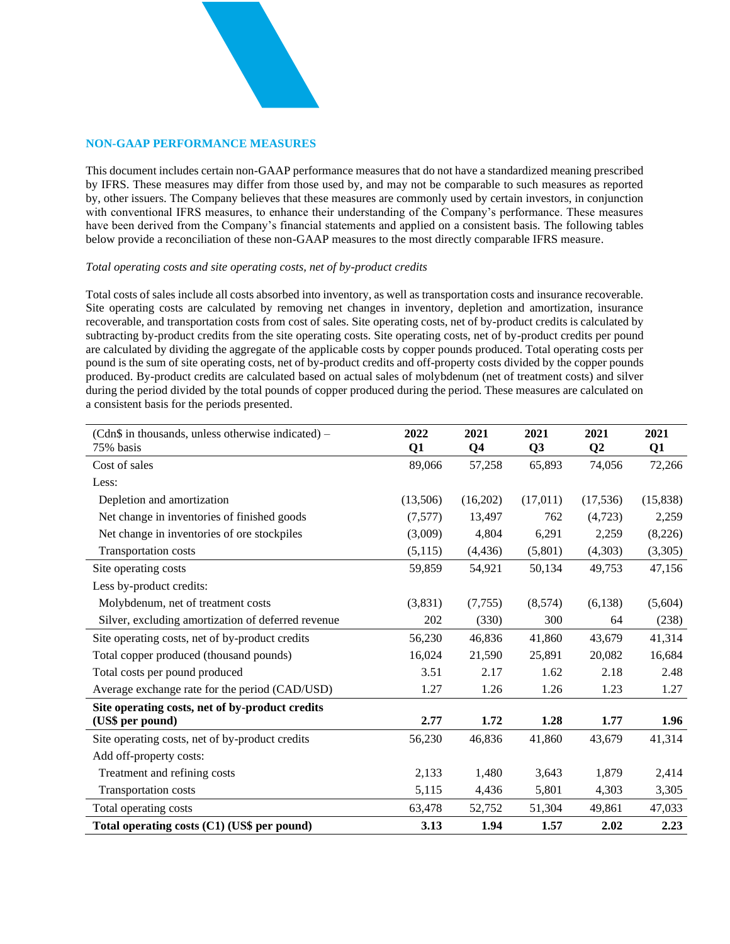### **NON-GAAP PERFORMANCE MEASURES**

This document includes certain non-GAAP performance measures that do not have a standardized meaning prescribed by IFRS. These measures may differ from those used by, and may not be comparable to such measures as reported by, other issuers. The Company believes that these measures are commonly used by certain investors, in conjunction with conventional IFRS measures, to enhance their understanding of the Company's performance. These measures have been derived from the Company's financial statements and applied on a consistent basis. The following tables below provide a reconciliation of these non-GAAP measures to the most directly comparable IFRS measure.

#### *Total operating costs and site operating costs, net of by-product credits*

Total costs of sales include all costs absorbed into inventory, as well as transportation costs and insurance recoverable. Site operating costs are calculated by removing net changes in inventory, depletion and amortization, insurance recoverable, and transportation costs from cost of sales. Site operating costs, net of by-product credits is calculated by subtracting by-product credits from the site operating costs. Site operating costs, net of by-product credits per pound are calculated by dividing the aggregate of the applicable costs by copper pounds produced. Total operating costs per pound is the sum of site operating costs, net of by-product credits and off-property costs divided by the copper pounds produced. By-product credits are calculated based on actual sales of molybdenum (net of treatment costs) and silver during the period divided by the total pounds of copper produced during the period. These measures are calculated on a consistent basis for the periods presented.

| (Cdn\$ in thousands, unless otherwise indicated) –<br>75% basis | 2022<br>Q1 | 2021<br>Q <sub>4</sub> | 2021<br>Q3 | 2021<br>Q <sub>2</sub> | 2021<br>Q1 |
|-----------------------------------------------------------------|------------|------------------------|------------|------------------------|------------|
| Cost of sales                                                   | 89,066     | 57,258                 | 65,893     | 74,056                 | 72,266     |
| Less:                                                           |            |                        |            |                        |            |
| Depletion and amortization                                      | (13,506)   | (16,202)               | (17,011)   | (17, 536)              | (15,838)   |
| Net change in inventories of finished goods                     | (7,577)    | 13,497                 | 762        | (4,723)                | 2,259      |
| Net change in inventories of ore stockpiles                     | (3,009)    | 4,804                  | 6,291      | 2,259                  | (8,226)    |
| Transportation costs                                            | (5, 115)   | (4, 436)               | (5,801)    | (4,303)                | (3,305)    |
| Site operating costs                                            | 59,859     | 54,921                 | 50,134     | 49,753                 | 47,156     |
| Less by-product credits:                                        |            |                        |            |                        |            |
| Molybdenum, net of treatment costs                              | (3,831)    | (7, 755)               | (8,574)    | (6,138)                | (5,604)    |
| Silver, excluding amortization of deferred revenue              | 202        | (330)                  | 300        | 64                     | (238)      |
| Site operating costs, net of by-product credits                 | 56,230     | 46,836                 | 41,860     | 43,679                 | 41,314     |
| Total copper produced (thousand pounds)                         | 16,024     | 21,590                 | 25,891     | 20,082                 | 16,684     |
| Total costs per pound produced                                  | 3.51       | 2.17                   | 1.62       | 2.18                   | 2.48       |
| Average exchange rate for the period (CAD/USD)                  | 1.27       | 1.26                   | 1.26       | 1.23                   | 1.27       |
| Site operating costs, net of by-product credits                 |            |                        |            |                        |            |
| (US\$ per pound)                                                | 2.77       | 1.72                   | 1.28       | 1.77                   | 1.96       |
| Site operating costs, net of by-product credits                 | 56,230     | 46,836                 | 41,860     | 43,679                 | 41,314     |
| Add off-property costs:                                         |            |                        |            |                        |            |
| Treatment and refining costs                                    | 2,133      | 1,480                  | 3,643      | 1,879                  | 2,414      |
| Transportation costs                                            | 5,115      | 4,436                  | 5,801      | 4,303                  | 3,305      |
| Total operating costs                                           | 63,478     | 52,752                 | 51,304     | 49,861                 | 47,033     |
| Total operating costs (C1) (US\$ per pound)                     | 3.13       | 1.94                   | 1.57       | 2.02                   | 2.23       |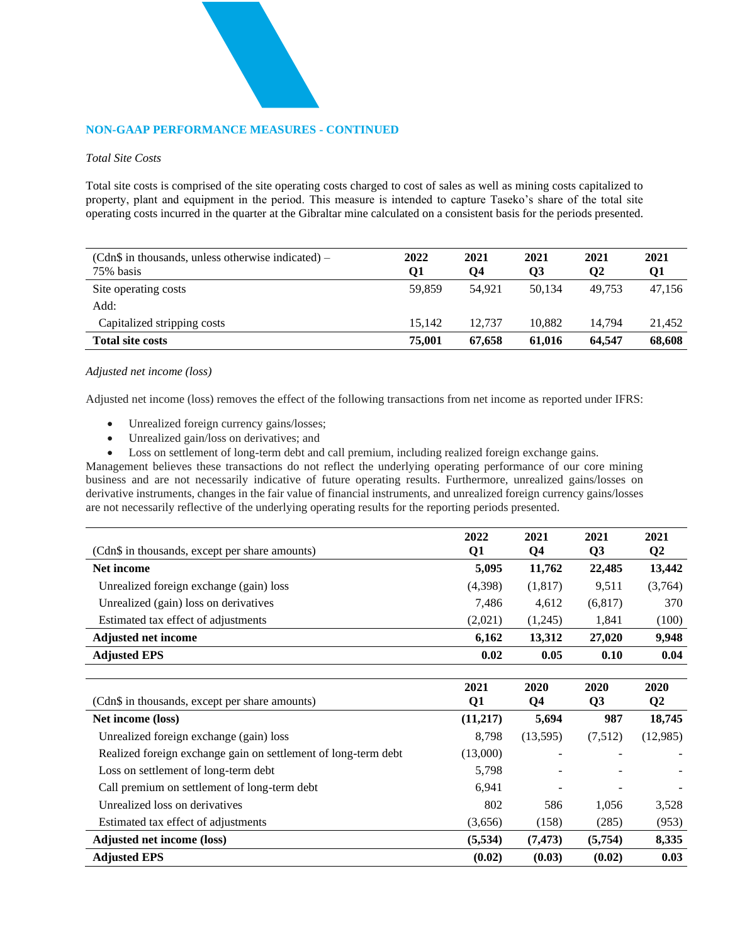#### **NON-GAAP PERFORMANCE MEASURES - CONTINUED**

#### *Total Site Costs*

Total site costs is comprised of the site operating costs charged to cost of sales as well as mining costs capitalized to property, plant and equipment in the period. This measure is intended to capture Taseko's share of the total site operating costs incurred in the quarter at the Gibraltar mine calculated on a consistent basis for the periods presented.

| $(Cdn\$ \$ in thousands, unless otherwise indicated) –<br>75% basis | 2022<br>О1 | 2021<br>Q4 | 2021<br>Q3 | 2021<br>Q2 | 2021<br>Q1 |
|---------------------------------------------------------------------|------------|------------|------------|------------|------------|
| Site operating costs                                                | 59,859     | 54.921     | 50.134     | 49.753     | 47,156     |
| Add:                                                                |            |            |            |            |            |
| Capitalized stripping costs                                         | 15.142     | 12.737     | 10.882     | 14.794     | 21.452     |
| <b>Total site costs</b>                                             | 75,001     | 67,658     | 61.016     | 64.547     | 68,608     |

#### *Adjusted net income (loss)*

Adjusted net income (loss) removes the effect of the following transactions from net income as reported under IFRS:

- Unrealized foreign currency gains/losses;
- Unrealized gain/loss on derivatives; and
- Loss on settlement of long-term debt and call premium, including realized foreign exchange gains.

Management believes these transactions do not reflect the underlying operating performance of our core mining business and are not necessarily indicative of future operating results. Furthermore, unrealized gains/losses on derivative instruments, changes in the fair value of financial instruments, and unrealized foreign currency gains/losses are not necessarily reflective of the underlying operating results for the reporting periods presented.

|                                                                | 2022     | 2021           | 2021           | 2021         |
|----------------------------------------------------------------|----------|----------------|----------------|--------------|
| (Cdn\$ in thousands, except per share amounts)                 | Q1       | Q <sub>4</sub> | Q3             | $\mathbf{Q}$ |
| Net income                                                     | 5,095    | 11,762         | 22,485         | 13,442       |
| Unrealized foreign exchange (gain) loss                        | (4,398)  | (1,817)        | 9,511          | (3,764)      |
| Unrealized (gain) loss on derivatives                          | 7,486    | 4,612          | (6, 817)       | 370          |
| Estimated tax effect of adjustments                            | (2,021)  | (1,245)        | 1,841          | (100)        |
| <b>Adjusted net income</b>                                     | 6,162    | 13,312         | 27,020         | 9,948        |
| <b>Adjusted EPS</b>                                            | 0.02     | 0.05           | 0.10           | 0.04         |
|                                                                | 2021     | 2020           | 2020           | 2020         |
| (Cdn\$ in thousands, except per share amounts)                 | Q1       | Q <sub>4</sub> | Q <sub>3</sub> | $\mathbf{Q}$ |
| Net income (loss)                                              | (11,217) | 5,694          | 987            | 18,745       |
| Unrealized foreign exchange (gain) loss                        | 8,798    | (13,595)       | (7,512)        | (12,985)     |
| Realized foreign exchange gain on settlement of long-term debt | (13,000) |                |                |              |
| Loss on settlement of long-term debt                           | 5,798    |                |                |              |
| Call premium on settlement of long-term debt                   | 6,941    |                |                |              |
| Unrealized loss on derivatives                                 | 802      | 586            | 1,056          | 3,528        |
| Estimated tax effect of adjustments                            | (3,656)  | (158)          | (285)          | (953)        |
| <b>Adjusted net income (loss)</b>                              | (5,534)  | (7, 473)       | (5,754)        | 8,335        |
| <b>Adjusted EPS</b>                                            | (0.02)   | (0.03)         | (0.02)         | 0.03         |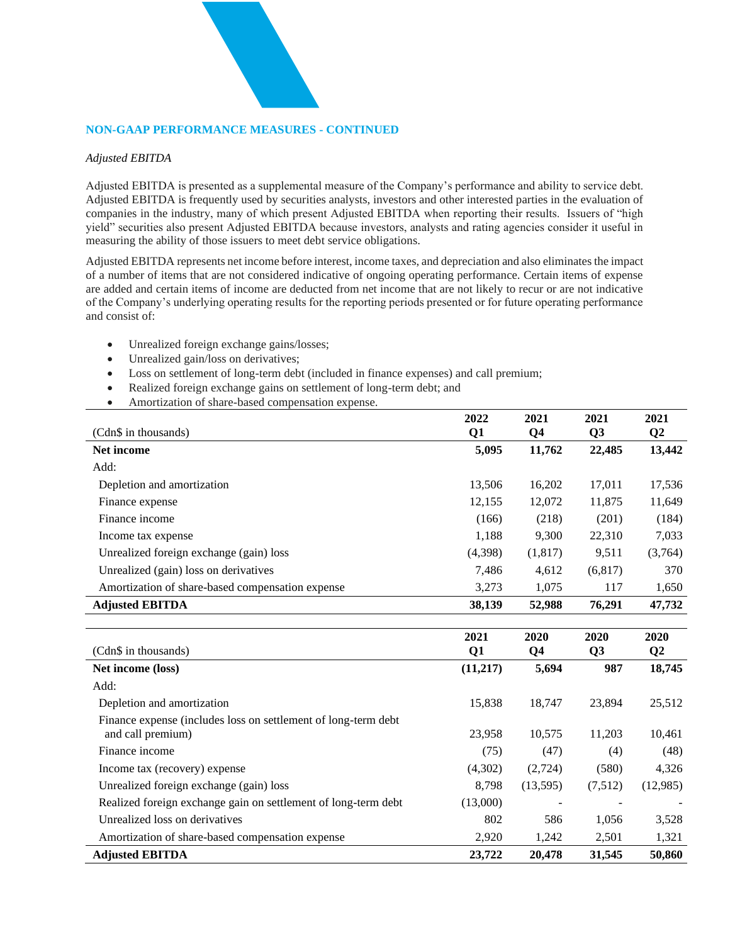#### **NON-GAAP PERFORMANCE MEASURES - CONTINUED**

#### *Adjusted EBITDA*

Adjusted EBITDA is presented as a supplemental measure of the Company's performance and ability to service debt. Adjusted EBITDA is frequently used by securities analysts, investors and other interested parties in the evaluation of companies in the industry, many of which present Adjusted EBITDA when reporting their results. Issuers of "high yield" securities also present Adjusted EBITDA because investors, analysts and rating agencies consider it useful in measuring the ability of those issuers to meet debt service obligations.

Adjusted EBITDA represents net income before interest, income taxes, and depreciation and also eliminates the impact of a number of items that are not considered indicative of ongoing operating performance. Certain items of expense are added and certain items of income are deducted from net income that are not likely to recur or are not indicative of the Company's underlying operating results for the reporting periods presented or for future operating performance and consist of:

- Unrealized foreign exchange gains/losses;
- Unrealized gain/loss on derivatives;
- Loss on settlement of long-term debt (included in finance expenses) and call premium;
- Realized foreign exchange gains on settlement of long-term debt; and
- Amortization of share-based compensation expense.

|                                                                | 2022      | 2021           | 2021           | 2021     |
|----------------------------------------------------------------|-----------|----------------|----------------|----------|
| (Cdn\$ in thousands)                                           | Q1        | Q <sub>4</sub> | Q <sub>3</sub> | $\bf Q2$ |
| Net income                                                     | 5,095     | 11,762         | 22,485         | 13,442   |
| Add:                                                           |           |                |                |          |
| Depletion and amortization                                     | 13,506    | 16,202         | 17,011         | 17,536   |
| Finance expense                                                | 12,155    | 12,072         | 11,875         | 11,649   |
| Finance income                                                 | (166)     | (218)          | (201)          | (184)    |
| Income tax expense                                             | 1,188     | 9,300          | 22,310         | 7,033    |
| Unrealized foreign exchange (gain) loss                        | (4,398)   | (1,817)        | 9,511          | (3,764)  |
| Unrealized (gain) loss on derivatives                          | 7,486     | 4,612          | (6, 817)       | 370      |
| Amortization of share-based compensation expense               | 3,273     | 1,075          | 117            | 1,650    |
| <b>Adjusted EBITDA</b>                                         | 38,139    | 52,988         | 76,291         | 47,732   |
|                                                                |           |                |                |          |
|                                                                | 2021      | 2020           | 2020           | 2020     |
| (Cdn\$ in thousands)                                           | Q1        | Q <sub>4</sub> | Q <sub>3</sub> | $\bf Q2$ |
| Net income (loss)                                              | (11, 217) | 5,694          | 987            | 18,745   |
| Add:                                                           |           |                |                |          |
| Depletion and amortization                                     | 15,838    | 18,747         | 23,894         | 25,512   |
| Finance expense (includes loss on settlement of long-term debt |           |                |                |          |
| and call premium)                                              | 23,958    | 10,575         | 11,203         | 10,461   |
| Finance income                                                 | (75)      | (47)           | (4)            | (48)     |
| Income tax (recovery) expense                                  | (4,302)   | (2,724)        | (580)          | 4,326    |
| Unrealized foreign exchange (gain) loss                        | 8,798     | (13,595)       | (7,512)        | (12,985) |
|                                                                |           |                |                |          |
| Realized foreign exchange gain on settlement of long-term debt | (13,000)  |                |                |          |
| Unrealized loss on derivatives                                 | 802       | 586            | 1,056          | 3,528    |

**Adjusted EBITDA 23,722 20,478 31,545 50,860**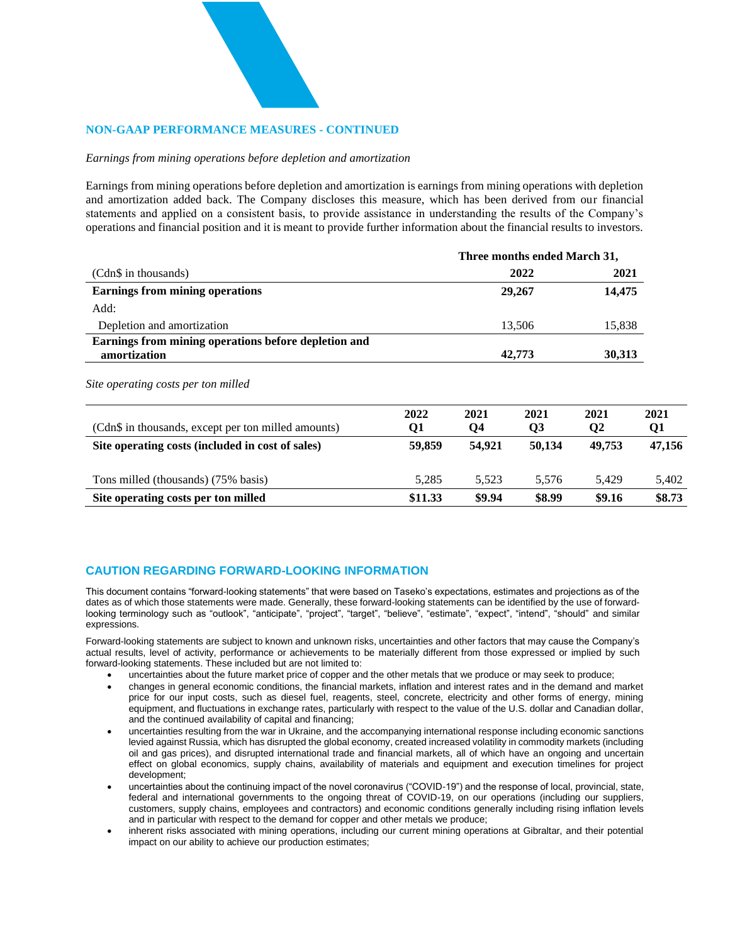#### **NON-GAAP PERFORMANCE MEASURES - CONTINUED**

#### *Earnings from mining operations before depletion and amortization*

Earnings from mining operations before depletion and amortization is earnings from mining operations with depletion and amortization added back. The Company discloses this measure, which has been derived from our financial statements and applied on a consistent basis, to provide assistance in understanding the results of the Company's operations and financial position and it is meant to provide further information about the financial results to investors.

|                                                                      |         |        | Three months ended March 31, |              |        |
|----------------------------------------------------------------------|---------|--------|------------------------------|--------------|--------|
| (Cdn\$ in thousands)                                                 |         |        | 2022                         | 2021         |        |
| <b>Earnings from mining operations</b>                               |         |        | 29,267                       |              | 14,475 |
| Add:                                                                 |         |        |                              |              |        |
| Depletion and amortization                                           |         |        | 13,506                       | 15,838       |        |
| Earnings from mining operations before depletion and<br>amortization | 42,773  |        |                              |              | 30,313 |
| Site operating costs per ton milled                                  | 2022    | 2021   | 2021                         | 2021         | 2021   |
| (Cdn\$ in thousands, except per ton milled amounts)                  | Q1      | Q4     | Q <sub>3</sub>               | $\mathbf{Q}$ | Q1     |
| Site operating costs (included in cost of sales)                     | 59,859  | 54,921 | 50,134                       | 49,753       | 47,156 |
| Tons milled (thousands) (75% basis)                                  | 5,285   | 5,523  | 5,576                        | 5,429        | 5,402  |
| Site operating costs per ton milled                                  | \$11.33 | \$9.94 | \$8.99                       | \$9.16       | \$8.73 |

#### **CAUTION REGARDING FORWARD-LOOKING INFORMATION**

This document contains "forward-looking statements" that were based on Taseko's expectations, estimates and projections as of the dates as of which those statements were made. Generally, these forward-looking statements can be identified by the use of forwardlooking terminology such as "outlook", "anticipate", "project", "target", "believe", "estimate", "expect", "intend", "should" and similar expressions.

Forward-looking statements are subject to known and unknown risks, uncertainties and other factors that may cause the Company's actual results, level of activity, performance or achievements to be materially different from those expressed or implied by such forward-looking statements. These included but are not limited to:

- uncertainties about the future market price of copper and the other metals that we produce or may seek to produce;
- changes in general economic conditions, the financial markets, inflation and interest rates and in the demand and market price for our input costs, such as diesel fuel, reagents, steel, concrete, electricity and other forms of energy, mining equipment, and fluctuations in exchange rates, particularly with respect to the value of the U.S. dollar and Canadian dollar, and the continued availability of capital and financing;
- uncertainties resulting from the war in Ukraine, and the accompanying international response including economic sanctions levied against Russia, which has disrupted the global economy, created increased volatility in commodity markets (including oil and gas prices), and disrupted international trade and financial markets, all of which have an ongoing and uncertain effect on global economics, supply chains, availability of materials and equipment and execution timelines for project development;
- uncertainties about the continuing impact of the novel coronavirus ("COVID-19") and the response of local, provincial, state, federal and international governments to the ongoing threat of COVID-19, on our operations (including our suppliers, customers, supply chains, employees and contractors) and economic conditions generally including rising inflation levels and in particular with respect to the demand for copper and other metals we produce;
- inherent risks associated with mining operations, including our current mining operations at Gibraltar, and their potential impact on our ability to achieve our production estimates;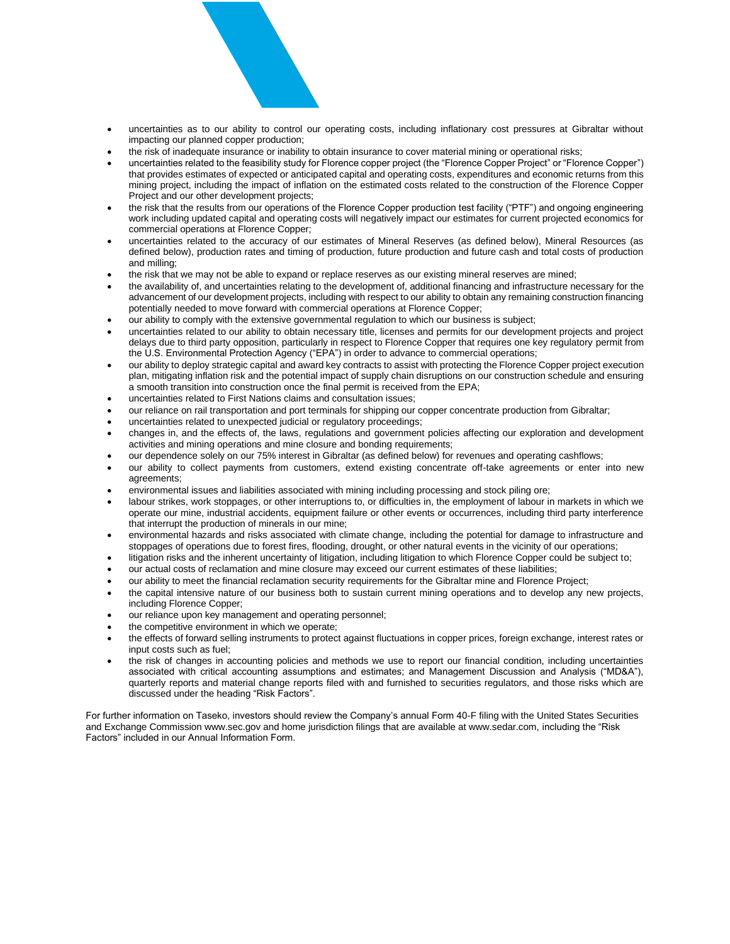

- uncertainties as to our ability to control our operating costs, including inflationary cost pressures at Gibraltar without impacting our planned copper production;
- the risk of inadequate insurance or inability to obtain insurance to cover material mining or operational risks;
- uncertainties related to the feasibility study for Florence copper project (the "Florence Copper Project" or "Florence Copper") that provides estimates of expected or anticipated capital and operating costs, expenditures and economic returns from this mining project, including the impact of inflation on the estimated costs related to the construction of the Florence Copper Project and our other development projects;
- the risk that the results from our operations of the Florence Copper production test facility ("PTF") and ongoing engineering work including updated capital and operating costs will negatively impact our estimates for current projected economics for commercial operations at Florence Copper;
- uncertainties related to the accuracy of our estimates of Mineral Reserves (as defined below), Mineral Resources (as defined below), production rates and timing of production, future production and future cash and total costs of production and milling;
- the risk that we may not be able to expand or replace reserves as our existing mineral reserves are mined;
- the availability of, and uncertainties relating to the development of, additional financing and infrastructure necessary for the advancement of our development projects, including with respect to our ability to obtain any remaining construction financing potentially needed to move forward with commercial operations at Florence Copper;
- our ability to comply with the extensive governmental regulation to which our business is subject;
- uncertainties related to our ability to obtain necessary title, licenses and permits for our development projects and project delays due to third party opposition, particularly in respect to Florence Copper that requires one key regulatory permit from the U.S. Environmental Protection Agency ("EPA") in order to advance to commercial operations;
- our ability to deploy strategic capital and award key contracts to assist with protecting the Florence Copper project execution plan, mitigating inflation risk and the potential impact of supply chain disruptions on our construction schedule and ensuring a smooth transition into construction once the final permit is received from the EPA;
- uncertainties related to First Nations claims and consultation issues;
- our reliance on rail transportation and port terminals for shipping our copper concentrate production from Gibraltar;
- uncertainties related to unexpected judicial or regulatory proceedings;
- changes in, and the effects of, the laws, regulations and government policies affecting our exploration and development activities and mining operations and mine closure and bonding requirements;
- our dependence solely on our 75% interest in Gibraltar (as defined below) for revenues and operating cashflows;
- our ability to collect payments from customers, extend existing concentrate off-take agreements or enter into new agreements;
- environmental issues and liabilities associated with mining including processing and stock piling ore;
- labour strikes, work stoppages, or other interruptions to, or difficulties in, the employment of labour in markets in which we operate our mine, industrial accidents, equipment failure or other events or occurrences, including third party interference that interrupt the production of minerals in our mine;
- environmental hazards and risks associated with climate change, including the potential for damage to infrastructure and stoppages of operations due to forest fires, flooding, drought, or other natural events in the vicinity of our operations;
- litigation risks and the inherent uncertainty of litigation, including litigation to which Florence Copper could be subject to;
- our actual costs of reclamation and mine closure may exceed our current estimates of these liabilities;
- our ability to meet the financial reclamation security requirements for the Gibraltar mine and Florence Project;
- the capital intensive nature of our business both to sustain current mining operations and to develop any new projects, including Florence Copper;
- our reliance upon key management and operating personnel;
- the competitive environment in which we operate:
- the effects of forward selling instruments to protect against fluctuations in copper prices, foreign exchange, interest rates or input costs such as fuel;
- the risk of changes in accounting policies and methods we use to report our financial condition, including uncertainties associated with critical accounting assumptions and estimates; and Management Discussion and Analysis ("MD&A"), quarterly reports and material change reports filed with and furnished to securities regulators, and those risks which are discussed under the heading "Risk Factors".

For further information on Taseko, investors should review the Company's annual Form 40-F filing with the United States Securities and Exchange Commission www.sec.gov and home jurisdiction filings that are available at www.sedar.com, including the "Risk Factors" included in our Annual Information Form.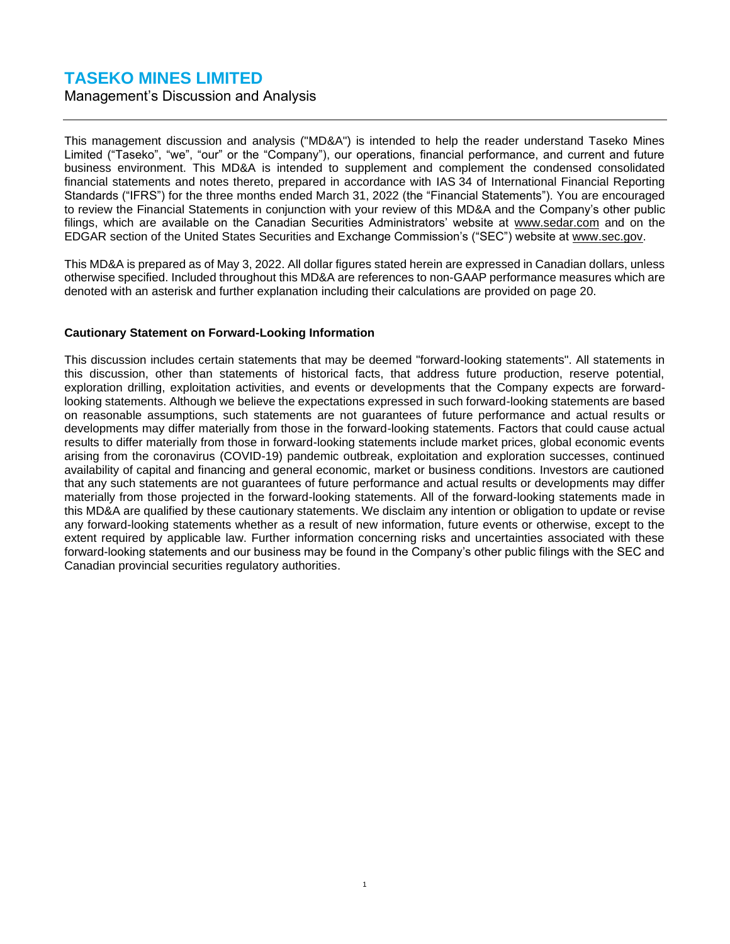Management's Discussion and Analysis

This management discussion and analysis ("MD&A") is intended to help the reader understand Taseko Mines Limited ("Taseko", "we", "our" or the "Company"), our operations, financial performance, and current and future business environment. This MD&A is intended to supplement and complement the condensed consolidated financial statements and notes thereto, prepared in accordance with IAS 34 of International Financial Reporting Standards ("IFRS") for the three months ended March 31, 2022 (the "Financial Statements"). You are encouraged to review the Financial Statements in conjunction with your review of this MD&A and the Company's other public filings, which are available on the Canadian Securities Administrators' website at www.sedar.com and on the EDGAR section of the United States Securities and Exchange Commission's ("SEC") website at www.sec.gov.

This MD&A is prepared as of May 3, 2022. All dollar figures stated herein are expressed in Canadian dollars, unless otherwise specified. Included throughout this MD&A are references to non-GAAP performance measures which are denoted with an asterisk and further explanation including their calculations are provided on page 20.

#### **Cautionary Statement on Forward-Looking Information**

This discussion includes certain statements that may be deemed "forward-looking statements". All statements in this discussion, other than statements of historical facts, that address future production, reserve potential, exploration drilling, exploitation activities, and events or developments that the Company expects are forwardlooking statements. Although we believe the expectations expressed in such forward-looking statements are based on reasonable assumptions, such statements are not guarantees of future performance and actual results or developments may differ materially from those in the forward-looking statements. Factors that could cause actual results to differ materially from those in forward-looking statements include market prices, global economic events arising from the coronavirus (COVID-19) pandemic outbreak, exploitation and exploration successes, continued availability of capital and financing and general economic, market or business conditions. Investors are cautioned that any such statements are not guarantees of future performance and actual results or developments may differ materially from those projected in the forward-looking statements. All of the forward-looking statements made in this MD&A are qualified by these cautionary statements. We disclaim any intention or obligation to update or revise any forward-looking statements whether as a result of new information, future events or otherwise, except to the extent required by applicable law. Further information concerning risks and uncertainties associated with these forward-looking statements and our business may be found in the Company's other public filings with the SEC and Canadian provincial securities regulatory authorities.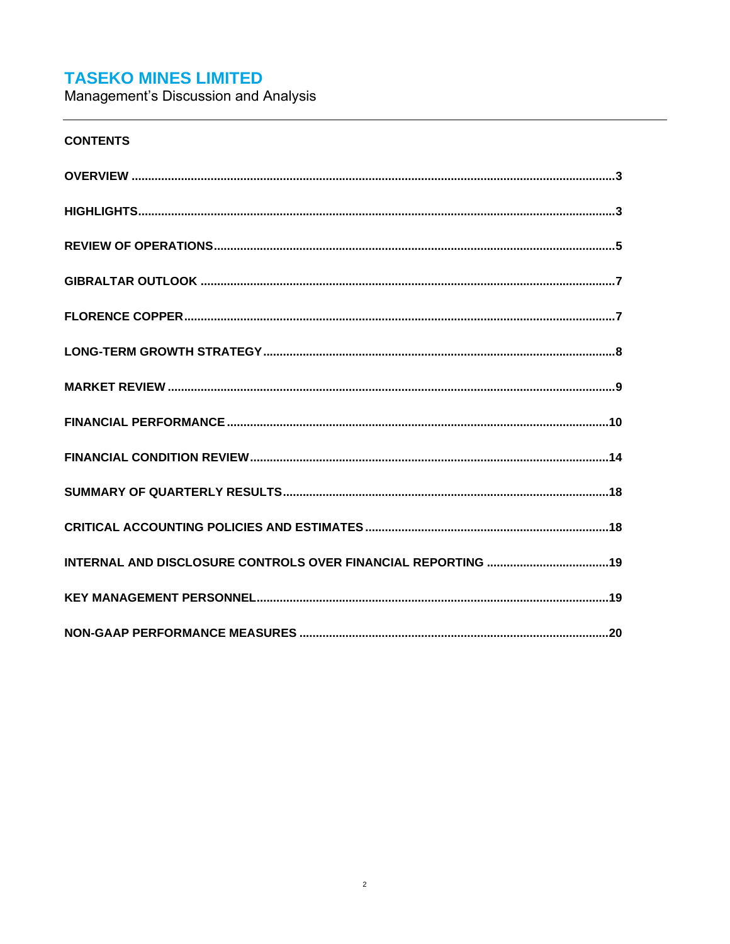Management's Discussion and Analysis

# **CONTENTS**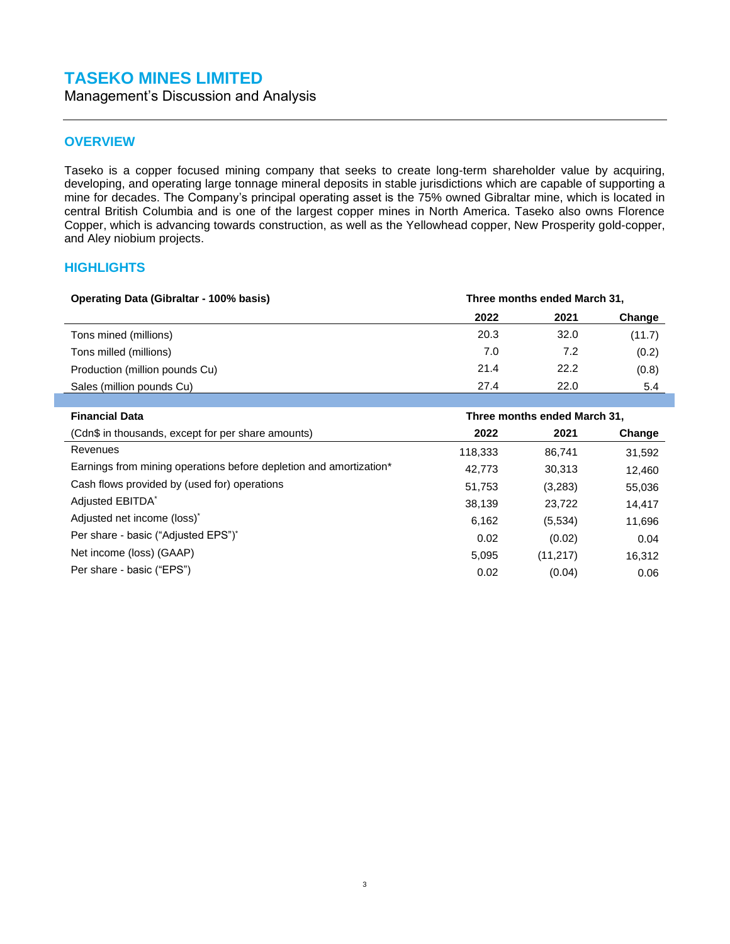Management's Discussion and Analysis

### <span id="page-15-0"></span>**OVERVIEW**

Taseko is a copper focused mining company that seeks to create long-term shareholder value by acquiring, developing, and operating large tonnage mineral deposits in stable jurisdictions which are capable of supporting a mine for decades. The Company's principal operating asset is the 75% owned Gibraltar mine, which is located in central British Columbia and is one of the largest copper mines in North America. Taseko also owns Florence Copper, which is advancing towards construction, as well as the Yellowhead copper, New Prosperity gold-copper, and Aley niobium projects.

#### <span id="page-15-1"></span>**HIGHLIGHTS**

| <b>Operating Data (Gibraltar - 100% basis)</b> | Three months ended March 31, |      |        |  |
|------------------------------------------------|------------------------------|------|--------|--|
|                                                | 2022                         | 2021 | Change |  |
| Tons mined (millions)                          | 20.3                         | 32.0 | (11.7) |  |
| Tons milled (millions)                         | 7.0                          | 7.2  | (0.2)  |  |
| Production (million pounds Cu)                 | 21.4                         | 22.2 | (0.8)  |  |
| Sales (million pounds Cu)                      | 27.4                         | 22.0 | 5.4    |  |

| <b>Financial Data</b>                                              | Three months ended March 31, |           |        |  |
|--------------------------------------------------------------------|------------------------------|-----------|--------|--|
| (Cdn\$ in thousands, except for per share amounts)                 | 2022                         | 2021      | Change |  |
| Revenues                                                           | 118,333                      | 86,741    | 31,592 |  |
| Earnings from mining operations before depletion and amortization* | 42,773                       | 30,313    | 12,460 |  |
| Cash flows provided by (used for) operations                       | 51,753                       | (3,283)   | 55,036 |  |
| Adjusted EBITDA*                                                   | 38,139                       | 23,722    | 14,417 |  |
| Adjusted net income (loss) <sup>*</sup>                            | 6,162                        | (5,534)   | 11,696 |  |
| Per share - basic ("Adjusted EPS")"                                | 0.02                         | (0.02)    | 0.04   |  |
| Net income (loss) (GAAP)                                           | 5,095                        | (11, 217) | 16,312 |  |
| Per share - basic ("EPS")                                          | 0.02                         | (0.04)    | 0.06   |  |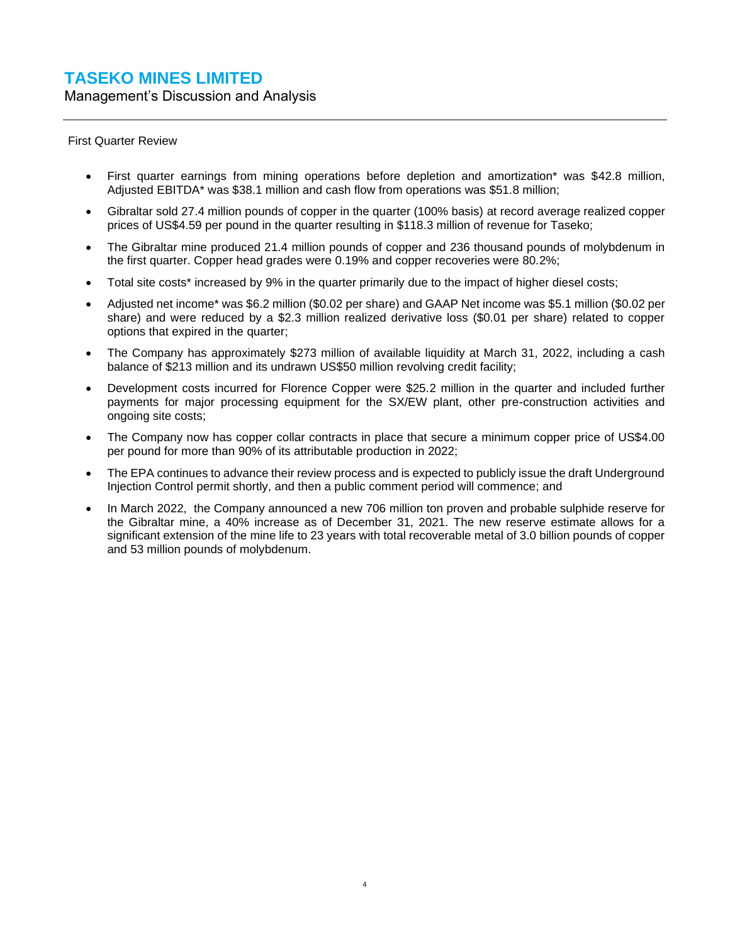Management's Discussion and Analysis

First Quarter Review

- First quarter earnings from mining operations before depletion and amortization\* was \$42.8 million, Adjusted EBITDA\* was \$38.1 million and cash flow from operations was \$51.8 million;
- Gibraltar sold 27.4 million pounds of copper in the quarter (100% basis) at record average realized copper prices of US\$4.59 per pound in the quarter resulting in \$118.3 million of revenue for Taseko;
- The Gibraltar mine produced 21.4 million pounds of copper and 236 thousand pounds of molybdenum in the first quarter. Copper head grades were 0.19% and copper recoveries were 80.2%;
- Total site costs\* increased by 9% in the quarter primarily due to the impact of higher diesel costs;
- Adjusted net income\* was \$6.2 million (\$0.02 per share) and GAAP Net income was \$5.1 million (\$0.02 per share) and were reduced by a \$2.3 million realized derivative loss (\$0.01 per share) related to copper options that expired in the quarter;
- The Company has approximately \$273 million of available liquidity at March 31, 2022, including a cash balance of \$213 million and its undrawn US\$50 million revolving credit facility;
- Development costs incurred for Florence Copper were \$25.2 million in the quarter and included further payments for major processing equipment for the SX/EW plant, other pre-construction activities and ongoing site costs;
- The Company now has copper collar contracts in place that secure a minimum copper price of US\$4.00 per pound for more than 90% of its attributable production in 2022;
- The EPA continues to advance their review process and is expected to publicly issue the draft Underground Injection Control permit shortly, and then a public comment period will commence; and
- In March 2022, the Company announced a new 706 million ton proven and probable sulphide reserve for the Gibraltar mine, a 40% increase as of December 31, 2021. The new reserve estimate allows for a significant extension of the mine life to 23 years with total recoverable metal of 3.0 billion pounds of copper and 53 million pounds of molybdenum.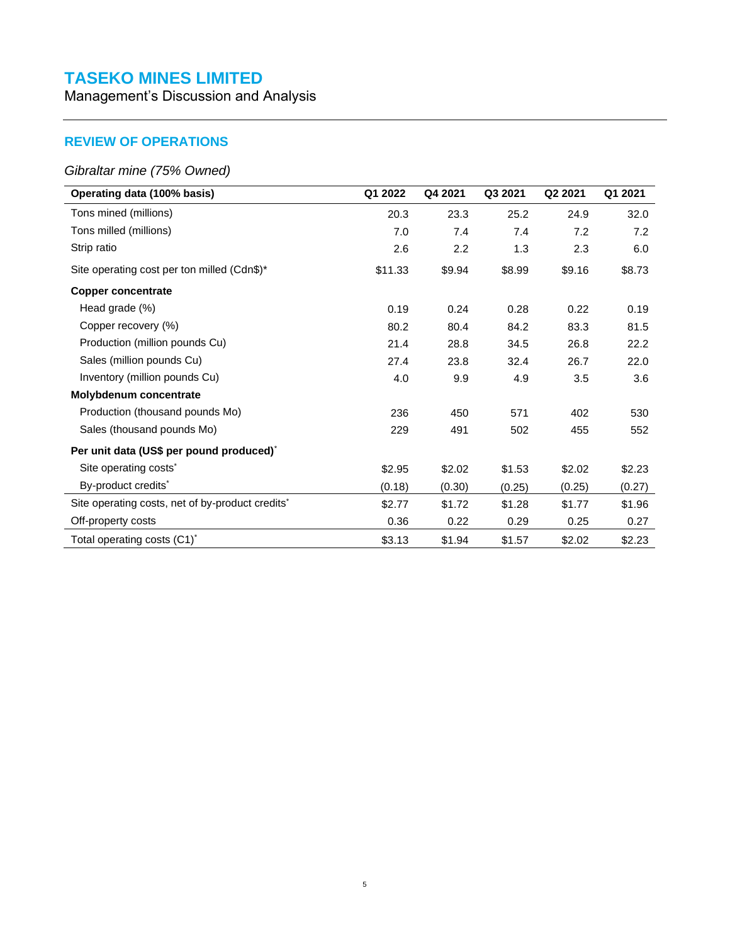Management's Discussion and Analysis

# <span id="page-17-0"></span>**REVIEW OF OPERATIONS**

### *Gibraltar mine (75% Owned)*

| Operating data (100% basis)                                  | Q1 2022 | Q4 2021 | Q3 2021 | Q <sub>2</sub> 2021 | Q1 2021 |
|--------------------------------------------------------------|---------|---------|---------|---------------------|---------|
| Tons mined (millions)                                        | 20.3    | 23.3    | 25.2    | 24.9                | 32.0    |
| Tons milled (millions)                                       | 7.0     | 7.4     | 7.4     | 7.2                 | 7.2     |
| Strip ratio                                                  | 2.6     | 2.2     | 1.3     | 2.3                 | 6.0     |
| Site operating cost per ton milled (Cdn\$)*                  | \$11.33 | \$9.94  | \$8.99  | \$9.16              | \$8.73  |
| <b>Copper concentrate</b>                                    |         |         |         |                     |         |
| Head grade (%)                                               | 0.19    | 0.24    | 0.28    | 0.22                | 0.19    |
| Copper recovery (%)                                          | 80.2    | 80.4    | 84.2    | 83.3                | 81.5    |
| Production (million pounds Cu)                               | 21.4    | 28.8    | 34.5    | 26.8                | 22.2    |
| Sales (million pounds Cu)                                    | 27.4    | 23.8    | 32.4    | 26.7                | 22.0    |
| Inventory (million pounds Cu)                                | 4.0     | 9.9     | 4.9     | 3.5                 | 3.6     |
| Molybdenum concentrate                                       |         |         |         |                     |         |
| Production (thousand pounds Mo)                              | 236     | 450     | 571     | 402                 | 530     |
| Sales (thousand pounds Mo)                                   | 229     | 491     | 502     | 455                 | 552     |
| Per unit data (US\$ per pound produced) <sup>*</sup>         |         |         |         |                     |         |
| Site operating costs <sup>*</sup>                            | \$2.95  | \$2.02  | \$1.53  | \$2.02              | \$2.23  |
| By-product credits*                                          | (0.18)  | (0.30)  | (0.25)  | (0.25)              | (0.27)  |
| Site operating costs, net of by-product credits <sup>*</sup> | \$2.77  | \$1.72  | \$1.28  | \$1.77              | \$1.96  |
| Off-property costs                                           | 0.36    | 0.22    | 0.29    | 0.25                | 0.27    |
| Total operating costs (C1) <sup>*</sup>                      | \$3.13  | \$1.94  | \$1.57  | \$2.02              | \$2.23  |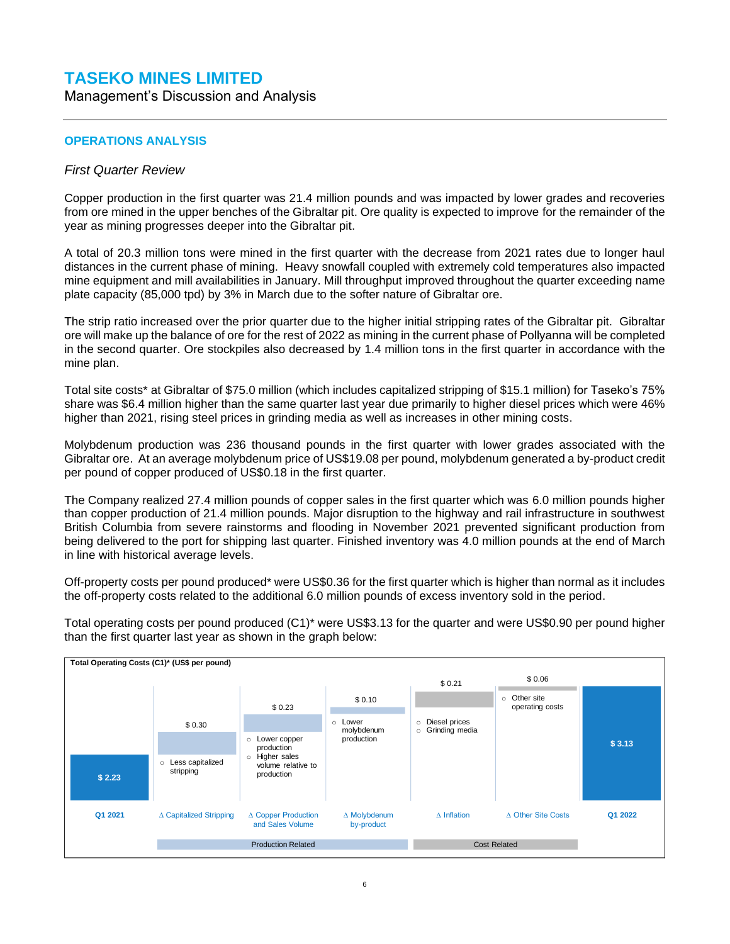Management's Discussion and Analysis

#### **OPERATIONS ANALYSIS**

#### *First Quarter Review*

Copper production in the first quarter was 21.4 million pounds and was impacted by lower grades and recoveries from ore mined in the upper benches of the Gibraltar pit. Ore quality is expected to improve for the remainder of the year as mining progresses deeper into the Gibraltar pit.

A total of 20.3 million tons were mined in the first quarter with the decrease from 2021 rates due to longer haul distances in the current phase of mining. Heavy snowfall coupled with extremely cold temperatures also impacted mine equipment and mill availabilities in January. Mill throughput improved throughout the quarter exceeding name plate capacity (85,000 tpd) by 3% in March due to the softer nature of Gibraltar ore.

The strip ratio increased over the prior quarter due to the higher initial stripping rates of the Gibraltar pit. Gibraltar ore will make up the balance of ore for the rest of 2022 as mining in the current phase of Pollyanna will be completed in the second quarter. Ore stockpiles also decreased by 1.4 million tons in the first quarter in accordance with the mine plan.

Total site costs\* at Gibraltar of \$75.0 million (which includes capitalized stripping of \$15.1 million) for Taseko's 75% share was \$6.4 million higher than the same quarter last year due primarily to higher diesel prices which were 46% higher than 2021, rising steel prices in grinding media as well as increases in other mining costs.

Molybdenum production was 236 thousand pounds in the first quarter with lower grades associated with the Gibraltar ore. At an average molybdenum price of US\$19.08 per pound, molybdenum generated a by-product credit per pound of copper produced of US\$0.18 in the first quarter.

The Company realized 27.4 million pounds of copper sales in the first quarter which was 6.0 million pounds higher than copper production of 21.4 million pounds. Major disruption to the highway and rail infrastructure in southwest British Columbia from severe rainstorms and flooding in November 2021 prevented significant production from being delivered to the port for shipping last quarter. Finished inventory was 4.0 million pounds at the end of March in line with historical average levels.

Off-property costs per pound produced\* were US\$0.36 for the first quarter which is higher than normal as it includes the off-property costs related to the additional 6.0 million pounds of excess inventory sold in the period.

Total operating costs per pound produced (C1)\* were US\$3.13 for the quarter and were US\$0.90 per pound higher than the first quarter last year as shown in the graph below:

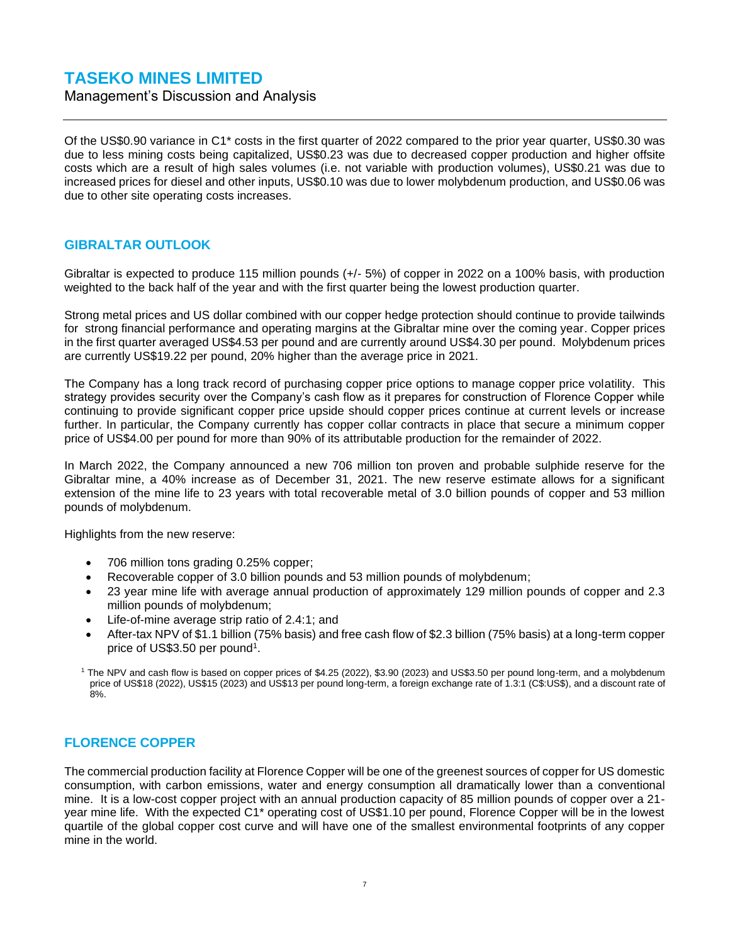Management's Discussion and Analysis

Of the US\$0.90 variance in C1\* costs in the first quarter of 2022 compared to the prior year quarter, US\$0.30 was due to less mining costs being capitalized, US\$0.23 was due to decreased copper production and higher offsite costs which are a result of high sales volumes (i.e. not variable with production volumes), US\$0.21 was due to increased prices for diesel and other inputs, US\$0.10 was due to lower molybdenum production, and US\$0.06 was due to other site operating costs increases.

### <span id="page-19-0"></span>**GIBRALTAR OUTLOOK**

Gibraltar is expected to produce 115 million pounds (+/- 5%) of copper in 2022 on a 100% basis, with production weighted to the back half of the year and with the first quarter being the lowest production quarter.

Strong metal prices and US dollar combined with our copper hedge protection should continue to provide tailwinds for strong financial performance and operating margins at the Gibraltar mine over the coming year. Copper prices in the first quarter averaged US\$4.53 per pound and are currently around US\$4.30 per pound. Molybdenum prices are currently US\$19.22 per pound, 20% higher than the average price in 2021.

The Company has a long track record of purchasing copper price options to manage copper price volatility. This strategy provides security over the Company's cash flow as it prepares for construction of Florence Copper while continuing to provide significant copper price upside should copper prices continue at current levels or increase further. In particular, the Company currently has copper collar contracts in place that secure a minimum copper price of US\$4.00 per pound for more than 90% of its attributable production for the remainder of 2022.

In March 2022, the Company announced a new 706 million ton proven and probable sulphide reserve for the Gibraltar mine, a 40% increase as of December 31, 2021. The new reserve estimate allows for a significant extension of the mine life to 23 years with total recoverable metal of 3.0 billion pounds of copper and 53 million pounds of molybdenum.

Highlights from the new reserve:

- 706 million tons grading 0.25% copper;
- Recoverable copper of 3.0 billion pounds and 53 million pounds of molybdenum;
- 23 year mine life with average annual production of approximately 129 million pounds of copper and 2.3 million pounds of molybdenum;
- Life-of-mine average strip ratio of 2.4:1; and
- After-tax NPV of \$1.1 billion (75% basis) and free cash flow of \$2.3 billion (75% basis) at a long-term copper price of US\$3.50 per pound<sup>1</sup>.

<sup>1</sup> The NPV and cash flow is based on copper prices of \$4.25 (2022), \$3.90 (2023) and US\$3.50 per pound long-term, and a molybdenum price of US\$18 (2022), US\$15 (2023) and US\$13 per pound long-term, a foreign exchange rate of 1.3:1 (C\$:US\$), and a discount rate of 8%.

#### <span id="page-19-1"></span>**FLORENCE COPPER**

The commercial production facility at Florence Copper will be one of the greenest sources of copper for US domestic consumption, with carbon emissions, water and energy consumption all dramatically lower than a conventional mine. It is a low-cost copper project with an annual production capacity of 85 million pounds of copper over a 21 year mine life. With the expected C1\* operating cost of US\$1.10 per pound, Florence Copper will be in the lowest quartile of the global copper cost curve and will have one of the smallest environmental footprints of any copper mine in the world.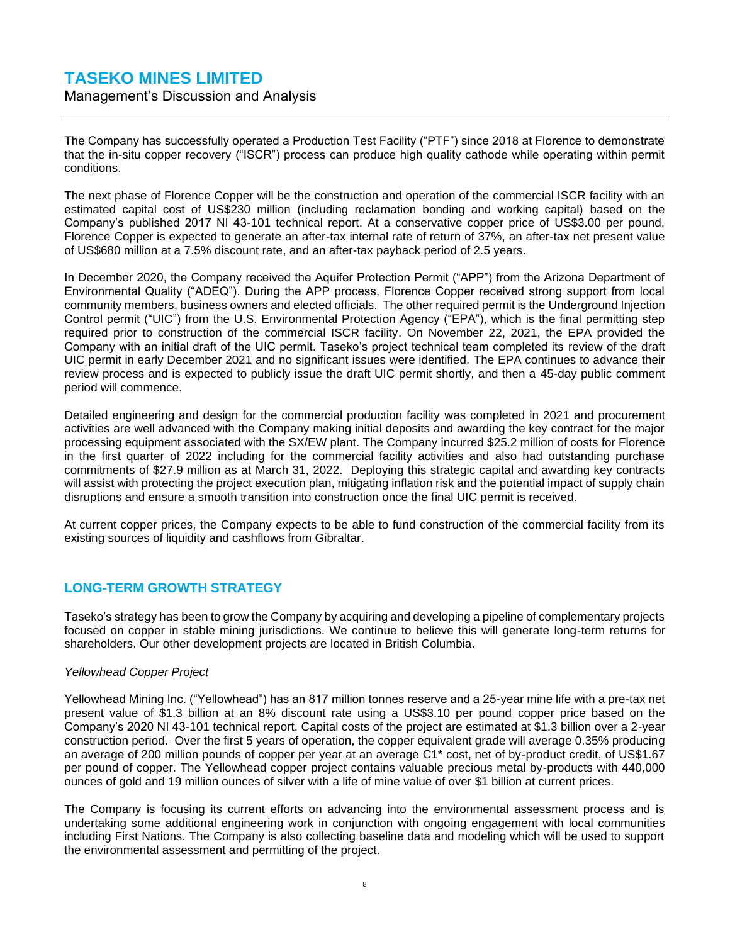Management's Discussion and Analysis

The Company has successfully operated a Production Test Facility ("PTF") since 2018 at Florence to demonstrate that the in-situ copper recovery ("ISCR") process can produce high quality cathode while operating within permit conditions.

The next phase of Florence Copper will be the construction and operation of the commercial ISCR facility with an estimated capital cost of US\$230 million (including reclamation bonding and working capital) based on the Company's published 2017 NI 43-101 technical report. At a conservative copper price of US\$3.00 per pound, Florence Copper is expected to generate an after-tax internal rate of return of 37%, an after-tax net present value of US\$680 million at a 7.5% discount rate, and an after-tax payback period of 2.5 years.

In December 2020, the Company received the Aquifer Protection Permit ("APP") from the Arizona Department of Environmental Quality ("ADEQ"). During the APP process, Florence Copper received strong support from local community members, business owners and elected officials. The other required permit is the Underground Injection Control permit ("UIC") from the U.S. Environmental Protection Agency ("EPA"), which is the final permitting step required prior to construction of the commercial ISCR facility. On November 22, 2021, the EPA provided the Company with an initial draft of the UIC permit. Taseko's project technical team completed its review of the draft UIC permit in early December 2021 and no significant issues were identified. The EPA continues to advance their review process and is expected to publicly issue the draft UIC permit shortly, and then a 45-day public comment period will commence.

Detailed engineering and design for the commercial production facility was completed in 2021 and procurement activities are well advanced with the Company making initial deposits and awarding the key contract for the major processing equipment associated with the SX/EW plant. The Company incurred \$25.2 million of costs for Florence in the first quarter of 2022 including for the commercial facility activities and also had outstanding purchase commitments of \$27.9 million as at March 31, 2022. Deploying this strategic capital and awarding key contracts will assist with protecting the project execution plan, mitigating inflation risk and the potential impact of supply chain disruptions and ensure a smooth transition into construction once the final UIC permit is received.

At current copper prices, the Company expects to be able to fund construction of the commercial facility from its existing sources of liquidity and cashflows from Gibraltar.

### <span id="page-20-0"></span>**LONG-TERM GROWTH STRATEGY**

Taseko's strategy has been to grow the Company by acquiring and developing a pipeline of complementary projects focused on copper in stable mining jurisdictions. We continue to believe this will generate long-term returns for shareholders. Our other development projects are located in British Columbia.

#### *Yellowhead Copper Project*

Yellowhead Mining Inc. ("Yellowhead") has an 817 million tonnes reserve and a 25-year mine life with a pre-tax net present value of \$1.3 billion at an 8% discount rate using a US\$3.10 per pound copper price based on the Company's 2020 NI 43-101 technical report. Capital costs of the project are estimated at \$1.3 billion over a 2-year construction period. Over the first 5 years of operation, the copper equivalent grade will average 0.35% producing an average of 200 million pounds of copper per year at an average C1\* cost, net of by-product credit, of US\$1.67 per pound of copper. The Yellowhead copper project contains valuable precious metal by-products with 440,000 ounces of gold and 19 million ounces of silver with a life of mine value of over \$1 billion at current prices.

The Company is focusing its current efforts on advancing into the environmental assessment process and is undertaking some additional engineering work in conjunction with ongoing engagement with local communities including First Nations. The Company is also collecting baseline data and modeling which will be used to support the environmental assessment and permitting of the project.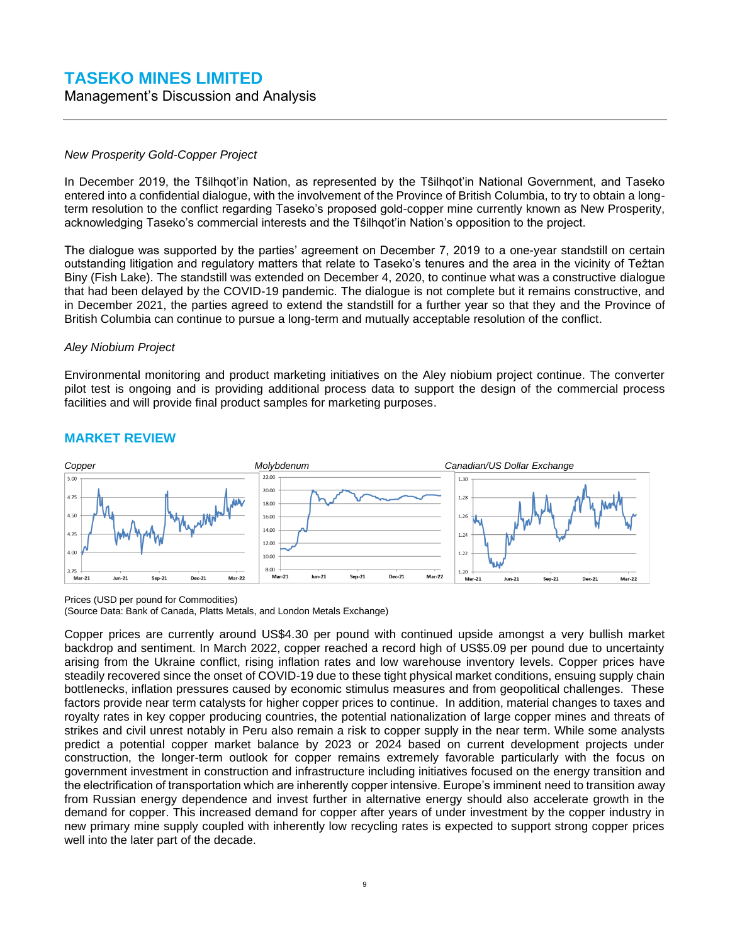Management's Discussion and Analysis

#### *New Prosperity Gold-Copper Project*

In December 2019, the Tŝilhqot'in Nation, as represented by the Tŝilhqot'in National Government, and Taseko entered into a confidential dialogue, with the involvement of the Province of British Columbia, to try to obtain a longterm resolution to the conflict regarding Taseko's proposed gold-copper mine currently known as New Prosperity, acknowledging Taseko's commercial interests and the Tŝilhqot'in Nation's opposition to the project.

The dialogue was supported by the parties' agreement on December 7, 2019 to a one-year standstill on certain outstanding litigation and regulatory matters that relate to Taseko's tenures and the area in the vicinity of Teztan Biny (Fish Lake). The standstill was extended on December 4, 2020, to continue what was a constructive dialogue that had been delayed by the COVID-19 pandemic. The dialogue is not complete but it remains constructive, and in December 2021, the parties agreed to extend the standstill for a further year so that they and the Province of British Columbia can continue to pursue a long-term and mutually acceptable resolution of the conflict.

#### *Aley Niobium Project*

Environmental monitoring and product marketing initiatives on the Aley niobium project continue. The converter pilot test is ongoing and is providing additional process data to support the design of the commercial process facilities and will provide final product samples for marketing purposes.



#### <span id="page-21-0"></span>**MARKET REVIEW**

Prices (USD per pound for Commodities)

(Source Data: Bank of Canada, Platts Metals, and London Metals Exchange)

Copper prices are currently around US\$4.30 per pound with continued upside amongst a very bullish market backdrop and sentiment. In March 2022, copper reached a record high of US\$5.09 per pound due to uncertainty arising from the Ukraine conflict, rising inflation rates and low warehouse inventory levels. Copper prices have steadily recovered since the onset of COVID-19 due to these tight physical market conditions, ensuing supply chain bottlenecks, inflation pressures caused by economic stimulus measures and from geopolitical challenges. These factors provide near term catalysts for higher copper prices to continue. In addition, material changes to taxes and royalty rates in key copper producing countries, the potential nationalization of large copper mines and threats of strikes and civil unrest notably in Peru also remain a risk to copper supply in the near term. While some analysts predict a potential copper market balance by 2023 or 2024 based on current development projects under construction, the longer-term outlook for copper remains extremely favorable particularly with the focus on government investment in construction and infrastructure including initiatives focused on the energy transition and the electrification of transportation which are inherently copper intensive. Europe's imminent need to transition away from Russian energy dependence and invest further in alternative energy should also accelerate growth in the demand for copper. This increased demand for copper after years of under investment by the copper industry in new primary mine supply coupled with inherently low recycling rates is expected to support strong copper prices well into the later part of the decade.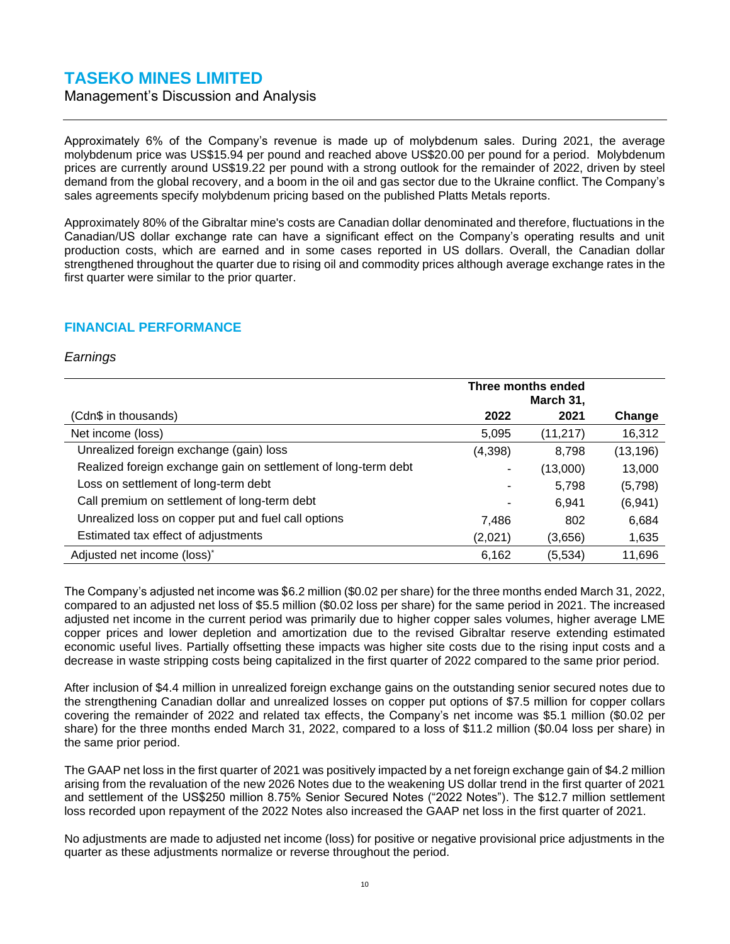Management's Discussion and Analysis

Approximately 6% of the Company's revenue is made up of molybdenum sales. During 2021, the average molybdenum price was US\$15.94 per pound and reached above US\$20.00 per pound for a period. Molybdenum prices are currently around US\$19.22 per pound with a strong outlook for the remainder of 2022, driven by steel demand from the global recovery, and a boom in the oil and gas sector due to the Ukraine conflict. The Company's sales agreements specify molybdenum pricing based on the published Platts Metals reports.

Approximately 80% of the Gibraltar mine's costs are Canadian dollar denominated and therefore, fluctuations in the Canadian/US dollar exchange rate can have a significant effect on the Company's operating results and unit production costs, which are earned and in some cases reported in US dollars. Overall, the Canadian dollar strengthened throughout the quarter due to rising oil and commodity prices although average exchange rates in the first quarter were similar to the prior quarter.

### <span id="page-22-0"></span>**FINANCIAL PERFORMANCE**

#### *Earnings*

|                                                                |         | Three months ended<br>March 31, |          |
|----------------------------------------------------------------|---------|---------------------------------|----------|
| (Cdn\$ in thousands)                                           | 2022    | 2021                            | Change   |
| Net income (loss)                                              | 5,095   | (11, 217)                       | 16,312   |
| Unrealized foreign exchange (gain) loss                        | (4,398) | 8,798                           | (13,196) |
| Realized foreign exchange gain on settlement of long-term debt | ۰       | (13,000)                        | 13,000   |
| Loss on settlement of long-term debt                           | -       | 5,798                           | (5,798)  |
| Call premium on settlement of long-term debt                   |         | 6.941                           | (6,941)  |
| Unrealized loss on copper put and fuel call options            | 7,486   | 802                             | 6,684    |
| Estimated tax effect of adjustments                            | (2,021) | (3,656)                         | 1,635    |
| Adjusted net income (loss)*                                    | 6,162   | (5,534)                         | 11,696   |

The Company's adjusted net income was \$6.2 million (\$0.02 per share) for the three months ended March 31, 2022, compared to an adjusted net loss of \$5.5 million (\$0.02 loss per share) for the same period in 2021. The increased adjusted net income in the current period was primarily due to higher copper sales volumes, higher average LME copper prices and lower depletion and amortization due to the revised Gibraltar reserve extending estimated economic useful lives. Partially offsetting these impacts was higher site costs due to the rising input costs and a decrease in waste stripping costs being capitalized in the first quarter of 2022 compared to the same prior period.

After inclusion of \$4.4 million in unrealized foreign exchange gains on the outstanding senior secured notes due to the strengthening Canadian dollar and unrealized losses on copper put options of \$7.5 million for copper collars covering the remainder of 2022 and related tax effects, the Company's net income was \$5.1 million (\$0.02 per share) for the three months ended March 31, 2022, compared to a loss of \$11.2 million (\$0.04 loss per share) in the same prior period.

The GAAP net loss in the first quarter of 2021 was positively impacted by a net foreign exchange gain of \$4.2 million arising from the revaluation of the new 2026 Notes due to the weakening US dollar trend in the first quarter of 2021 and settlement of the US\$250 million 8.75% Senior Secured Notes ("2022 Notes"). The \$12.7 million settlement loss recorded upon repayment of the 2022 Notes also increased the GAAP net loss in the first quarter of 2021.

No adjustments are made to adjusted net income (loss) for positive or negative provisional price adjustments in the quarter as these adjustments normalize or reverse throughout the period.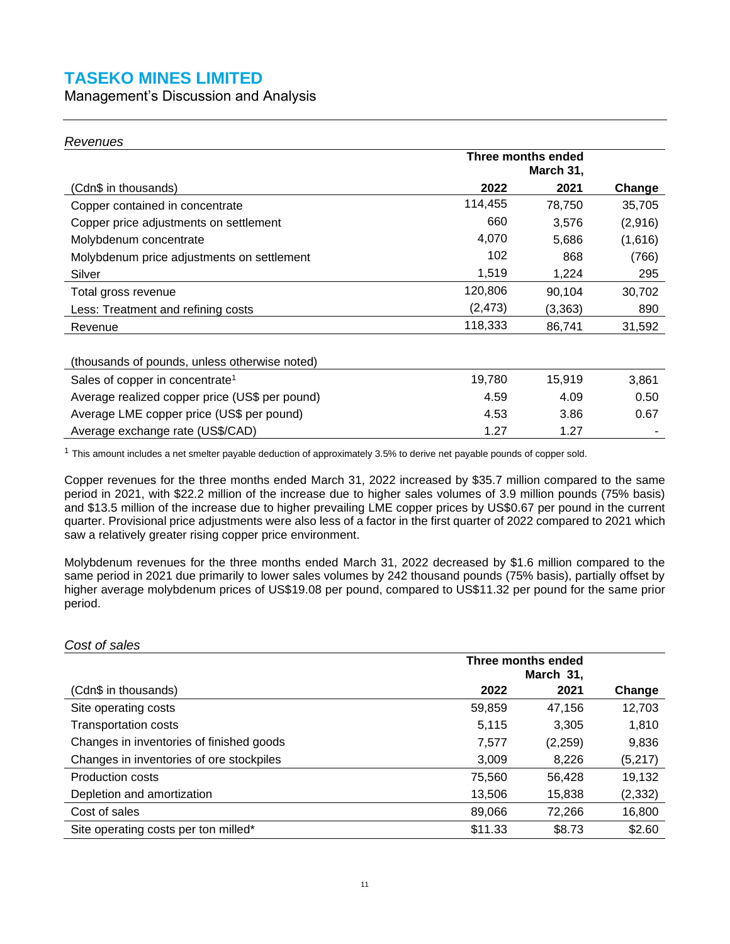Management's Discussion and Analysis

#### *Revenues*

*Cost of sales*

|                                                | Three months ended<br>March 31, |         |         |
|------------------------------------------------|---------------------------------|---------|---------|
| (Cdn\$ in thousands)                           | 2022                            | 2021    | Change  |
| Copper contained in concentrate                | 114,455                         | 78,750  | 35,705  |
| Copper price adjustments on settlement         | 660                             | 3,576   | (2,916) |
| Molybdenum concentrate                         | 4,070                           | 5,686   | (1,616) |
| Molybdenum price adjustments on settlement     | 102                             | 868     | (766)   |
| Silver                                         | 1,519                           | 1,224   | 295     |
| Total gross revenue                            | 120,806                         | 90,104  | 30,702  |
| Less: Treatment and refining costs             | (2, 473)                        | (3,363) | 890     |
| Revenue                                        | 118,333                         | 86,741  | 31,592  |
|                                                |                                 |         |         |
| (thousands of pounds, unless otherwise noted)  |                                 |         |         |
| Sales of copper in concentrate <sup>1</sup>    | 19,780                          | 15,919  | 3,861   |
| Average realized copper price (US\$ per pound) | 4.59                            | 4.09    | 0.50    |
| Average LME copper price (US\$ per pound)      | 4.53                            | 3.86    | 0.67    |
| Average exchange rate (US\$/CAD)               | 1.27                            | 1.27    |         |

<sup>1</sup> This amount includes a net smelter payable deduction of approximately 3.5% to derive net payable pounds of copper sold.

Copper revenues for the three months ended March 31, 2022 increased by \$35.7 million compared to the same period in 2021, with \$22.2 million of the increase due to higher sales volumes of 3.9 million pounds (75% basis) and \$13.5 million of the increase due to higher prevailing LME copper prices by US\$0.67 per pound in the current quarter. Provisional price adjustments were also less of a factor in the first quarter of 2022 compared to 2021 which saw a relatively greater rising copper price environment.

Molybdenum revenues for the three months ended March 31, 2022 decreased by \$1.6 million compared to the same period in 2021 due primarily to lower sales volumes by 242 thousand pounds (75% basis), partially offset by higher average molybdenum prices of US\$19.08 per pound, compared to US\$11.32 per pound for the same prior period.

| COST OF SAIRS                            |                    |         |          |  |  |
|------------------------------------------|--------------------|---------|----------|--|--|
|                                          | Three months ended |         |          |  |  |
|                                          | March 31,          |         |          |  |  |
| (Cdn\$ in thousands)                     | 2022               | 2021    | Change   |  |  |
| Site operating costs                     | 59,859             | 47,156  | 12,703   |  |  |
| <b>Transportation costs</b>              | 5,115              | 3.305   | 1,810    |  |  |
| Changes in inventories of finished goods | 7,577              | (2,259) | 9,836    |  |  |
| Changes in inventories of ore stockpiles | 3,009              | 8.226   | (5,217)  |  |  |
| <b>Production costs</b>                  | 75,560             | 56,428  | 19,132   |  |  |
| Depletion and amortization               | 13,506             | 15,838  | (2, 332) |  |  |
| Cost of sales                            | 89,066             | 72,266  | 16,800   |  |  |
| Site operating costs per ton milled*     | \$11.33            | \$8.73  | \$2.60   |  |  |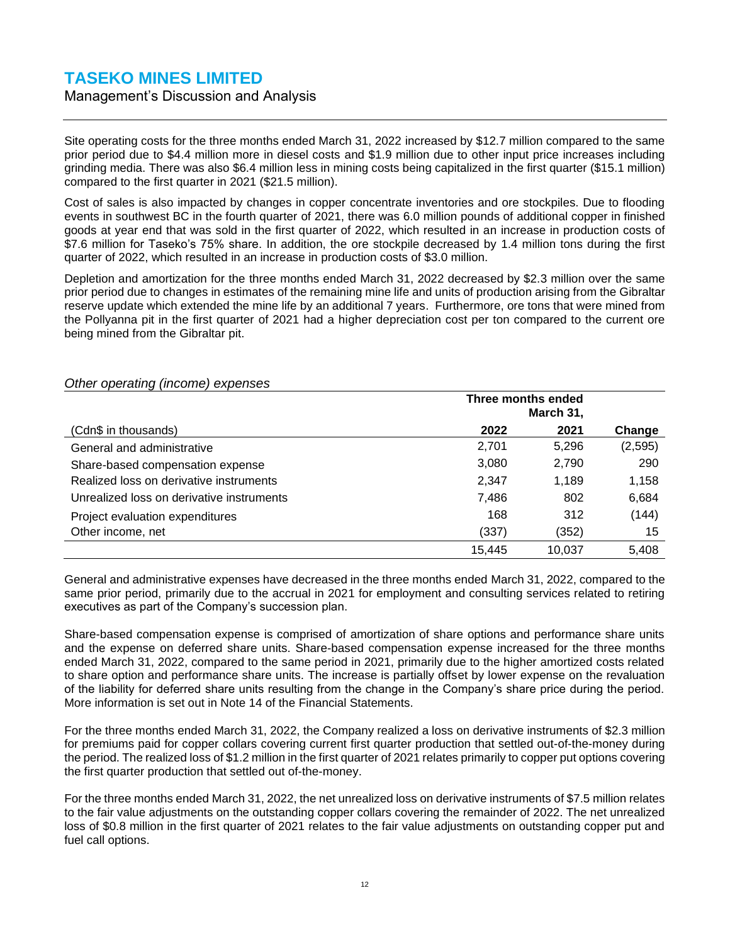#### Management's Discussion and Analysis

Site operating costs for the three months ended March 31, 2022 increased by \$12.7 million compared to the same prior period due to \$4.4 million more in diesel costs and \$1.9 million due to other input price increases including grinding media. There was also \$6.4 million less in mining costs being capitalized in the first quarter (\$15.1 million) compared to the first quarter in 2021 (\$21.5 million).

Cost of sales is also impacted by changes in copper concentrate inventories and ore stockpiles. Due to flooding events in southwest BC in the fourth quarter of 2021, there was 6.0 million pounds of additional copper in finished goods at year end that was sold in the first quarter of 2022, which resulted in an increase in production costs of \$7.6 million for Taseko's 75% share. In addition, the ore stockpile decreased by 1.4 million tons during the first quarter of 2022, which resulted in an increase in production costs of \$3.0 million.

Depletion and amortization for the three months ended March 31, 2022 decreased by \$2.3 million over the same prior period due to changes in estimates of the remaining mine life and units of production arising from the Gibraltar reserve update which extended the mine life by an additional 7 years. Furthermore, ore tons that were mined from the Pollyanna pit in the first quarter of 2021 had a higher depreciation cost per ton compared to the current ore being mined from the Gibraltar pit.

|                                           | Three months ended |        |         |
|-------------------------------------------|--------------------|--------|---------|
| (Cdn\$ in thousands)                      | 2022               | 2021   | Change  |
| General and administrative                | 2,701              | 5.296  | (2,595) |
| Share-based compensation expense          | 3,080              | 2,790  | 290     |
| Realized loss on derivative instruments   | 2,347              | 1,189  | 1,158   |
| Unrealized loss on derivative instruments | 7.486              | 802    | 6,684   |
| Project evaluation expenditures           | 168                | 312    | (144)   |
| Other income, net                         | (337)              | (352)  | 15      |
|                                           | 15.445             | 10.037 | 5.408   |

#### *Other operating (income) expenses*

General and administrative expenses have decreased in the three months ended March 31, 2022, compared to the same prior period, primarily due to the accrual in 2021 for employment and consulting services related to retiring executives as part of the Company's succession plan.

Share-based compensation expense is comprised of amortization of share options and performance share units and the expense on deferred share units. Share-based compensation expense increased for the three months ended March 31, 2022, compared to the same period in 2021, primarily due to the higher amortized costs related to share option and performance share units. The increase is partially offset by lower expense on the revaluation of the liability for deferred share units resulting from the change in the Company's share price during the period. More information is set out in Note 14 of the Financial Statements.

For the three months ended March 31, 2022, the Company realized a loss on derivative instruments of \$2.3 million for premiums paid for copper collars covering current first quarter production that settled out-of-the-money during the period. The realized loss of \$1.2 million in the first quarter of 2021 relates primarily to copper put options covering the first quarter production that settled out of-the-money.

For the three months ended March 31, 2022, the net unrealized loss on derivative instruments of \$7.5 million relates to the fair value adjustments on the outstanding copper collars covering the remainder of 2022. The net unrealized loss of \$0.8 million in the first quarter of 2021 relates to the fair value adjustments on outstanding copper put and fuel call options.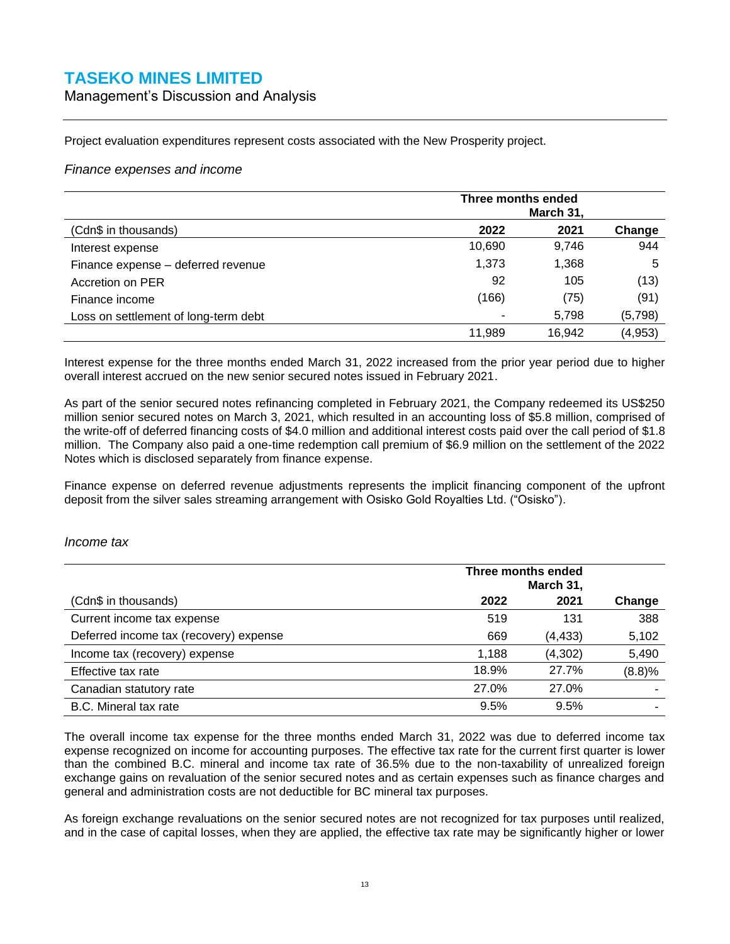Management's Discussion and Analysis

Project evaluation expenditures represent costs associated with the New Prosperity project.

#### *Finance expenses and income*

|                                      | Three months ended |        |          |
|--------------------------------------|--------------------|--------|----------|
| (Cdn\$ in thousands)                 | 2022               | 2021   | Change   |
| Interest expense                     | 10,690             | 9,746  | 944      |
| Finance expense - deferred revenue   | 1,373              | 1,368  | 5        |
| Accretion on PER                     | 92                 | 105    | (13)     |
| Finance income                       | (166)              | (75)   | (91)     |
| Loss on settlement of long-term debt |                    | 5,798  | (5,798)  |
|                                      | 11,989             | 16,942 | (4, 953) |

Interest expense for the three months ended March 31, 2022 increased from the prior year period due to higher overall interest accrued on the new senior secured notes issued in February 2021.

As part of the senior secured notes refinancing completed in February 2021, the Company redeemed its US\$250 million senior secured notes on March 3, 2021, which resulted in an accounting loss of \$5.8 million, comprised of the write-off of deferred financing costs of \$4.0 million and additional interest costs paid over the call period of \$1.8 million. The Company also paid a one-time redemption call premium of \$6.9 million on the settlement of the 2022 Notes which is disclosed separately from finance expense.

Finance expense on deferred revenue adjustments represents the implicit financing component of the upfront deposit from the silver sales streaming arrangement with Osisko Gold Royalties Ltd. ("Osisko").

#### *Income tax*

|                                        | Three months ended<br>March 31, |          |        |  |
|----------------------------------------|---------------------------------|----------|--------|--|
| (Cdn\$ in thousands)                   | 2022                            | 2021     | Change |  |
| Current income tax expense             | 519                             | 131      | 388    |  |
| Deferred income tax (recovery) expense | 669                             | (4, 433) | 5,102  |  |
| Income tax (recovery) expense          | 1,188                           | (4, 302) | 5,490  |  |
| Effective tax rate                     | 18.9%                           | 27.7%    | (8.8)% |  |
| Canadian statutory rate                | 27.0%                           | 27.0%    |        |  |
| B.C. Mineral tax rate                  | 9.5%                            | 9.5%     |        |  |

The overall income tax expense for the three months ended March 31, 2022 was due to deferred income tax expense recognized on income for accounting purposes. The effective tax rate for the current first quarter is lower than the combined B.C. mineral and income tax rate of 36.5% due to the non-taxability of unrealized foreign exchange gains on revaluation of the senior secured notes and as certain expenses such as finance charges and general and administration costs are not deductible for BC mineral tax purposes.

As foreign exchange revaluations on the senior secured notes are not recognized for tax purposes until realized, and in the case of capital losses, when they are applied, the effective tax rate may be significantly higher or lower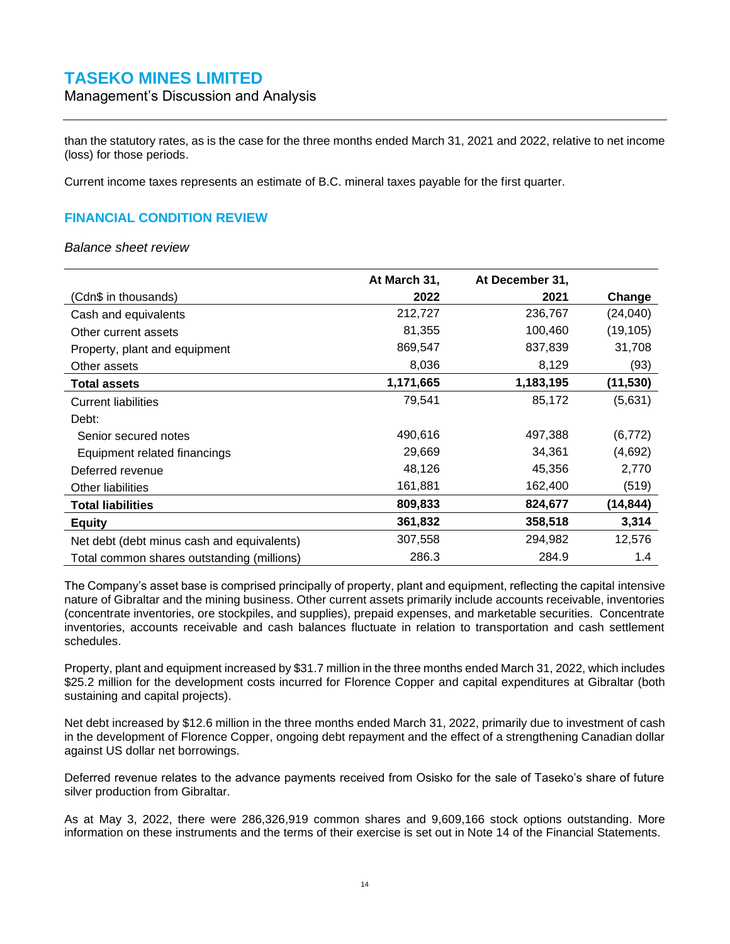Management's Discussion and Analysis

than the statutory rates, as is the case for the three months ended March 31, 2021 and 2022, relative to net income (loss) for those periods.

<span id="page-26-0"></span>Current income taxes represents an estimate of B.C. mineral taxes payable for the first quarter.

### **FINANCIAL CONDITION REVIEW**

*Balance sheet review*

|                                            | At March 31, | At December 31, |           |
|--------------------------------------------|--------------|-----------------|-----------|
| (Cdn\$ in thousands)                       | 2022         | 2021            | Change    |
| Cash and equivalents                       | 212,727      | 236,767         | (24, 040) |
| Other current assets                       | 81,355       | 100,460         | (19, 105) |
| Property, plant and equipment              | 869,547      | 837,839         | 31,708    |
| Other assets                               | 8,036        | 8,129           | (93)      |
| <b>Total assets</b>                        | 1,171,665    | 1,183,195       | (11, 530) |
| <b>Current liabilities</b>                 | 79,541       | 85,172          | (5,631)   |
| Debt:                                      |              |                 |           |
| Senior secured notes                       | 490,616      | 497,388         | (6, 772)  |
| Equipment related financings               | 29,669       | 34,361          | (4,692)   |
| Deferred revenue                           | 48,126       | 45,356          | 2,770     |
| Other liabilities                          | 161,881      | 162,400         | (519)     |
| <b>Total liabilities</b>                   | 809,833      | 824,677         | (14, 844) |
| <b>Equity</b>                              | 361,832      | 358,518         | 3,314     |
| Net debt (debt minus cash and equivalents) | 307,558      | 294,982         | 12,576    |
| Total common shares outstanding (millions) | 286.3        | 284.9           | 1.4       |

The Company's asset base is comprised principally of property, plant and equipment, reflecting the capital intensive nature of Gibraltar and the mining business. Other current assets primarily include accounts receivable, inventories (concentrate inventories, ore stockpiles, and supplies), prepaid expenses, and marketable securities. Concentrate inventories, accounts receivable and cash balances fluctuate in relation to transportation and cash settlement schedules.

Property, plant and equipment increased by \$31.7 million in the three months ended March 31, 2022, which includes \$25.2 million for the development costs incurred for Florence Copper and capital expenditures at Gibraltar (both sustaining and capital projects).

Net debt increased by \$12.6 million in the three months ended March 31, 2022, primarily due to investment of cash in the development of Florence Copper, ongoing debt repayment and the effect of a strengthening Canadian dollar against US dollar net borrowings.

Deferred revenue relates to the advance payments received from Osisko for the sale of Taseko's share of future silver production from Gibraltar.

As at May 3, 2022, there were 286,326,919 common shares and 9,609,166 stock options outstanding. More information on these instruments and the terms of their exercise is set out in Note 14 of the Financial Statements.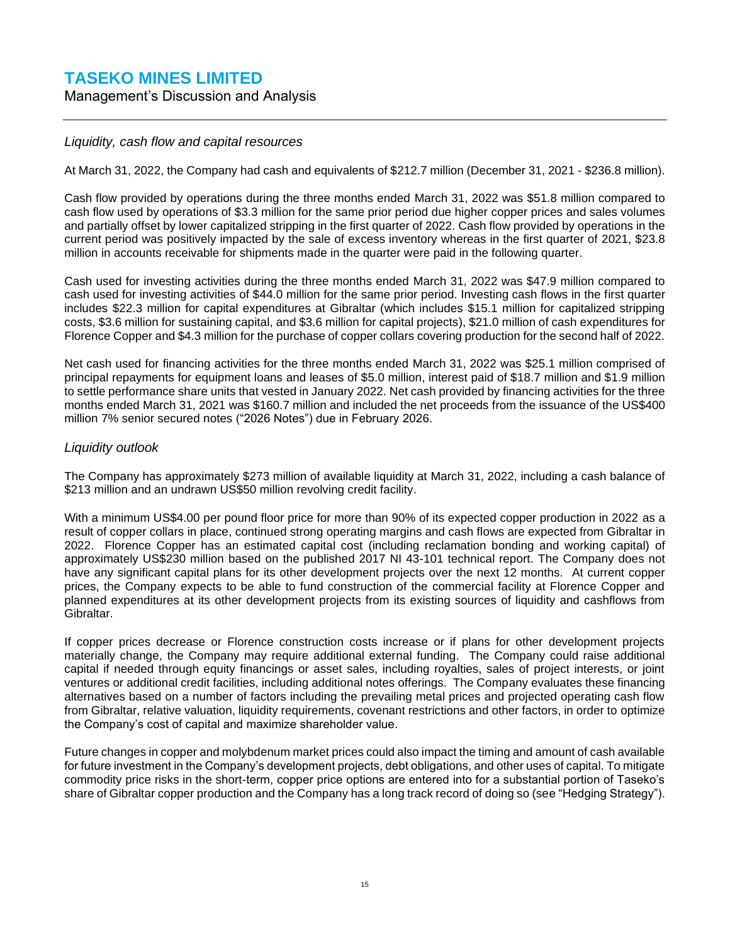Management's Discussion and Analysis

#### *Liquidity, cash flow and capital resources*

At March 31, 2022, the Company had cash and equivalents of \$212.7 million (December 31, 2021 - \$236.8 million).

Cash flow provided by operations during the three months ended March 31, 2022 was \$51.8 million compared to cash flow used by operations of \$3.3 million for the same prior period due higher copper prices and sales volumes and partially offset by lower capitalized stripping in the first quarter of 2022. Cash flow provided by operations in the current period was positively impacted by the sale of excess inventory whereas in the first quarter of 2021, \$23.8 million in accounts receivable for shipments made in the quarter were paid in the following quarter.

Cash used for investing activities during the three months ended March 31, 2022 was \$47.9 million compared to cash used for investing activities of \$44.0 million for the same prior period. Investing cash flows in the first quarter includes \$22.3 million for capital expenditures at Gibraltar (which includes \$15.1 million for capitalized stripping costs, \$3.6 million for sustaining capital, and \$3.6 million for capital projects), \$21.0 million of cash expenditures for Florence Copper and \$4.3 million for the purchase of copper collars covering production for the second half of 2022.

Net cash used for financing activities for the three months ended March 31, 2022 was \$25.1 million comprised of principal repayments for equipment loans and leases of \$5.0 million, interest paid of \$18.7 million and \$1.9 million to settle performance share units that vested in January 2022. Net cash provided by financing activities for the three months ended March 31, 2021 was \$160.7 million and included the net proceeds from the issuance of the US\$400 million 7% senior secured notes ("2026 Notes") due in February 2026.

#### *Liquidity outlook*

The Company has approximately \$273 million of available liquidity at March 31, 2022, including a cash balance of \$213 million and an undrawn US\$50 million revolving credit facility.

With a minimum US\$4.00 per pound floor price for more than 90% of its expected copper production in 2022 as a result of copper collars in place, continued strong operating margins and cash flows are expected from Gibraltar in 2022. Florence Copper has an estimated capital cost (including reclamation bonding and working capital) of approximately US\$230 million based on the published 2017 NI 43-101 technical report. The Company does not have any significant capital plans for its other development projects over the next 12 months. At current copper prices, the Company expects to be able to fund construction of the commercial facility at Florence Copper and planned expenditures at its other development projects from its existing sources of liquidity and cashflows from Gibraltar.

If copper prices decrease or Florence construction costs increase or if plans for other development projects materially change, the Company may require additional external funding. The Company could raise additional capital if needed through equity financings or asset sales, including royalties, sales of project interests, or joint ventures or additional credit facilities, including additional notes offerings. The Company evaluates these financing alternatives based on a number of factors including the prevailing metal prices and projected operating cash flow from Gibraltar, relative valuation, liquidity requirements, covenant restrictions and other factors, in order to optimize the Company's cost of capital and maximize shareholder value.

Future changes in copper and molybdenum market prices could also impact the timing and amount of cash available for future investment in the Company's development projects, debt obligations, and other uses of capital. To mitigate commodity price risks in the short-term, copper price options are entered into for a substantial portion of Taseko's share of Gibraltar copper production and the Company has a long track record of doing so (see "Hedging Strategy").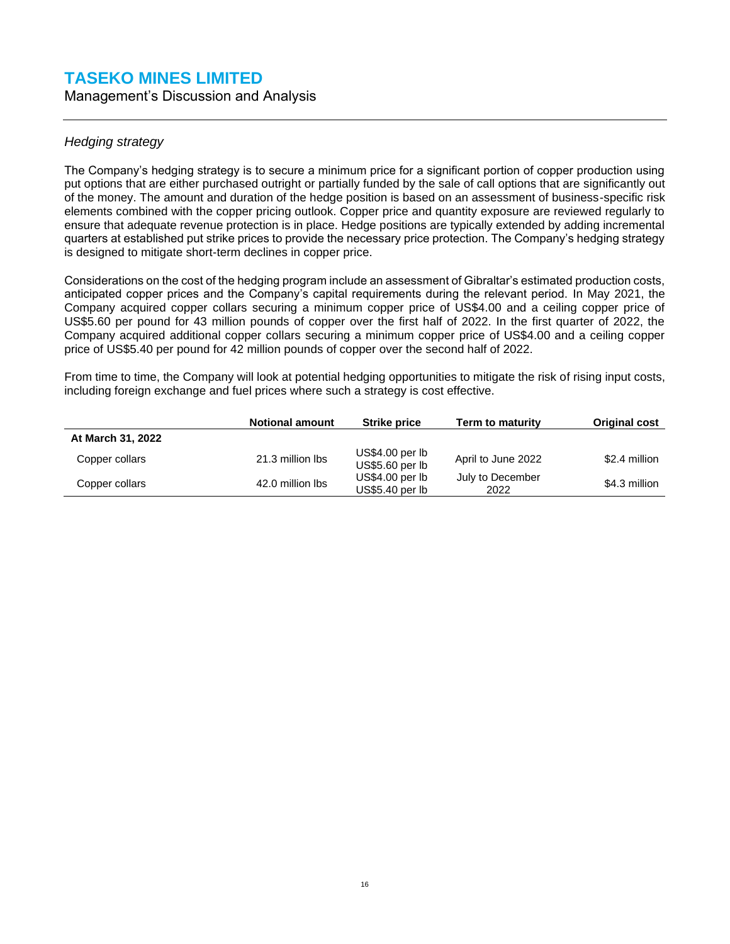Management's Discussion and Analysis

### *Hedging strategy*

The Company's hedging strategy is to secure a minimum price for a significant portion of copper production using put options that are either purchased outright or partially funded by the sale of call options that are significantly out of the money. The amount and duration of the hedge position is based on an assessment of business-specific risk elements combined with the copper pricing outlook. Copper price and quantity exposure are reviewed regularly to ensure that adequate revenue protection is in place. Hedge positions are typically extended by adding incremental quarters at established put strike prices to provide the necessary price protection. The Company's hedging strategy is designed to mitigate short-term declines in copper price.

Considerations on the cost of the hedging program include an assessment of Gibraltar's estimated production costs, anticipated copper prices and the Company's capital requirements during the relevant period. In May 2021, the Company acquired copper collars securing a minimum copper price of US\$4.00 and a ceiling copper price of US\$5.60 per pound for 43 million pounds of copper over the first half of 2022. In the first quarter of 2022, the Company acquired additional copper collars securing a minimum copper price of US\$4.00 and a ceiling copper price of US\$5.40 per pound for 42 million pounds of copper over the second half of 2022.

From time to time, the Company will look at potential hedging opportunities to mitigate the risk of rising input costs, including foreign exchange and fuel prices where such a strategy is cost effective.

|                   | <b>Notional amount</b> | <b>Strike price</b>                   | Term to maturity         | <b>Original cost</b> |
|-------------------|------------------------|---------------------------------------|--------------------------|----------------------|
| At March 31, 2022 |                        |                                       |                          |                      |
| Copper collars    | 21.3 million lbs       | $US$4.00$ per $lb$<br>US\$5.60 per lb | April to June 2022       | \$2.4 million        |
| Copper collars    | 42.0 million lbs       | US\$4.00 per lb<br>US\$5.40 per lb    | July to December<br>2022 | \$4.3 million        |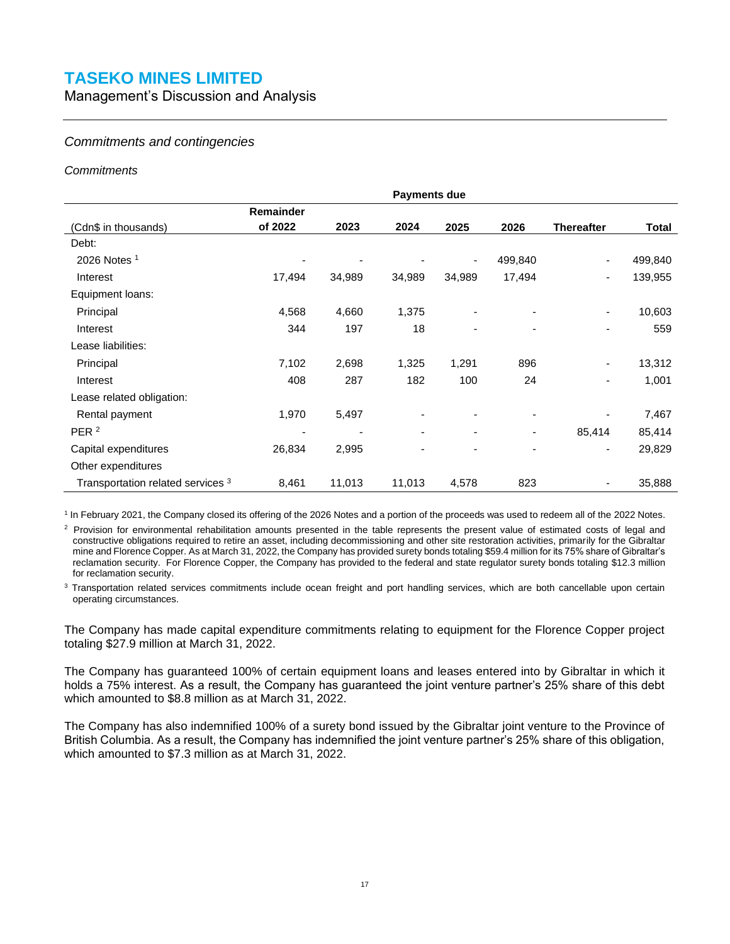Management's Discussion and Analysis

#### *Commitments and contingencies*

#### *Commitments*

|                                              | <b>Payments due</b>      |        |        |                          |                          |                          |         |
|----------------------------------------------|--------------------------|--------|--------|--------------------------|--------------------------|--------------------------|---------|
|                                              | Remainder                |        |        |                          |                          |                          |         |
| (Cdn\$ in thousands)                         | of 2022                  | 2023   | 2024   | 2025                     | 2026                     | <b>Thereafter</b>        | Total   |
| Debt:                                        |                          |        |        |                          |                          |                          |         |
| 2026 Notes 1                                 |                          |        |        |                          | 499,840                  |                          | 499,840 |
| Interest                                     | 17,494                   | 34,989 | 34,989 | 34,989                   | 17,494                   |                          | 139,955 |
| Equipment loans:                             |                          |        |        |                          |                          |                          |         |
| Principal                                    | 4,568                    | 4,660  | 1,375  | $\overline{\phantom{0}}$ | $\overline{\phantom{a}}$ | $\overline{\phantom{a}}$ | 10,603  |
| Interest                                     | 344                      | 197    | 18     | $\overline{\phantom{0}}$ |                          | ٠                        | 559     |
| Lease liabilities:                           |                          |        |        |                          |                          |                          |         |
| Principal                                    | 7,102                    | 2,698  | 1,325  | 1,291                    | 896                      | ۰                        | 13,312  |
| Interest                                     | 408                      | 287    | 182    | 100                      | 24                       | ۰                        | 1,001   |
| Lease related obligation:                    |                          |        |        |                          |                          |                          |         |
| Rental payment                               | 1,970                    | 5,497  |        |                          |                          |                          | 7,467   |
| PER <sup>2</sup>                             | $\overline{\phantom{a}}$ | ٠      |        | $\overline{a}$           | $\overline{\phantom{a}}$ | 85,414                   | 85,414  |
| Capital expenditures                         | 26,834                   | 2,995  | ۰      | $\overline{\phantom{0}}$ | ۰                        |                          | 29,829  |
| Other expenditures                           |                          |        |        |                          |                          |                          |         |
| Transportation related services <sup>3</sup> | 8,461                    | 11,013 | 11,013 | 4,578                    | 823                      | ۰                        | 35,888  |

<sup>1</sup> In February 2021, the Company closed its offering of the 2026 Notes and a portion of the proceeds was used to redeem all of the 2022 Notes.

 $2$  Provision for environmental rehabilitation amounts presented in the table represents the present value of estimated costs of legal and constructive obligations required to retire an asset, including decommissioning and other site restoration activities, primarily for the Gibraltar mine and Florence Copper. As at March 31, 2022, the Company has provided surety bonds totaling \$59.4 million for its 75% share of Gibraltar's reclamation security. For Florence Copper, the Company has provided to the federal and state regulator surety bonds totaling \$12.3 million for reclamation security.

<sup>3</sup> Transportation related services commitments include ocean freight and port handling services, which are both cancellable upon certain operating circumstances.

The Company has made capital expenditure commitments relating to equipment for the Florence Copper project totaling \$27.9 million at March 31, 2022.

The Company has guaranteed 100% of certain equipment loans and leases entered into by Gibraltar in which it holds a 75% interest. As a result, the Company has guaranteed the joint venture partner's 25% share of this debt which amounted to \$8.8 million as at March 31, 2022.

The Company has also indemnified 100% of a surety bond issued by the Gibraltar joint venture to the Province of British Columbia. As a result, the Company has indemnified the joint venture partner's 25% share of this obligation, which amounted to \$7.3 million as at March 31, 2022.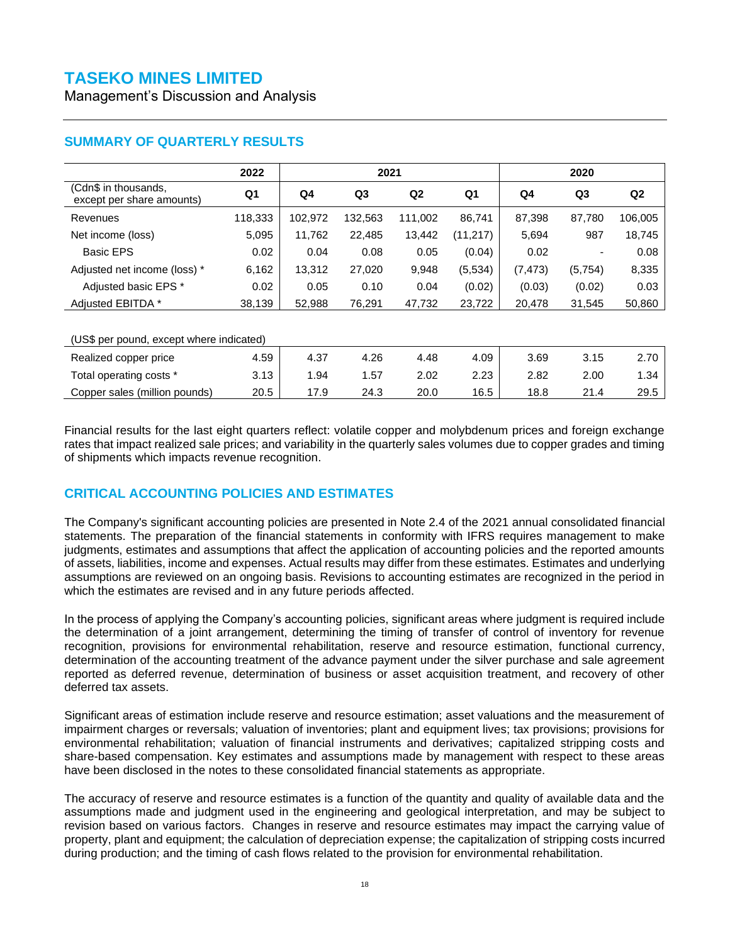Management's Discussion and Analysis

<span id="page-30-0"></span>

|                                                   | 2022           | 2021           |                |         |                |          | 2020                     |                |
|---------------------------------------------------|----------------|----------------|----------------|---------|----------------|----------|--------------------------|----------------|
| (Cdn\$ in thousands,<br>except per share amounts) | Q <sub>1</sub> | Q <sub>4</sub> | Q <sub>3</sub> | Q2      | Q <sub>1</sub> | Q4       | Q <sub>3</sub>           | Q <sub>2</sub> |
| Revenues                                          | 118,333        | 102,972        | 132,563        | 111,002 | 86,741         | 87,398   | 87,780                   | 106,005        |
| Net income (loss)                                 | 5,095          | 11.762         | 22,485         | 13,442  | (11,217)       | 5,694    | 987                      | 18,745         |
| <b>Basic EPS</b>                                  | 0.02           | 0.04           | 0.08           | 0.05    | (0.04)         | 0.02     | $\overline{\phantom{0}}$ | 0.08           |
| Adjusted net income (loss) *                      | 6,162          | 13,312         | 27,020         | 9,948   | (5,534)        | (7, 473) | (5,754)                  | 8,335          |
| Adjusted basic EPS *                              | 0.02           | 0.05           | 0.10           | 0.04    | (0.02)         | (0.03)   | (0.02)                   | 0.03           |
| Adiusted EBITDA *                                 | 38,139         | 52,988         | 76,291         | 47,732  | 23,722         | 20,478   | 31,545                   | 50,860         |

| (US\$ per pound, except where indicated) |      |      |      |      |      |      |      |      |
|------------------------------------------|------|------|------|------|------|------|------|------|
| Realized copper price                    | 4.59 | 4.37 | 4.26 | 4.48 | 4.09 | 3.69 | 3.15 | 2.70 |
| Total operating costs *                  | 3.13 | 1.94 | 1.57 | 2.02 | 2.23 | 2.82 | 2.00 | 1.34 |
| Copper sales (million pounds)            | 20.5 | .7.9 | 24.3 | 20.0 | 16.5 | 18.8 | 21.4 | 29.5 |
|                                          |      |      |      |      |      |      |      |      |

Financial results for the last eight quarters reflect: volatile copper and molybdenum prices and foreign exchange rates that impact realized sale prices; and variability in the quarterly sales volumes due to copper grades and timing of shipments which impacts revenue recognition.

### <span id="page-30-1"></span>**CRITICAL ACCOUNTING POLICIES AND ESTIMATES**

The Company's significant accounting policies are presented in Note 2.4 of the 2021 annual consolidated financial statements. The preparation of the financial statements in conformity with IFRS requires management to make judgments, estimates and assumptions that affect the application of accounting policies and the reported amounts of assets, liabilities, income and expenses. Actual results may differ from these estimates. Estimates and underlying assumptions are reviewed on an ongoing basis. Revisions to accounting estimates are recognized in the period in which the estimates are revised and in any future periods affected.

In the process of applying the Company's accounting policies, significant areas where judgment is required include the determination of a joint arrangement, determining the timing of transfer of control of inventory for revenue recognition, provisions for environmental rehabilitation, reserve and resource estimation, functional currency, determination of the accounting treatment of the advance payment under the silver purchase and sale agreement reported as deferred revenue, determination of business or asset acquisition treatment, and recovery of other deferred tax assets.

Significant areas of estimation include reserve and resource estimation; asset valuations and the measurement of impairment charges or reversals; valuation of inventories; plant and equipment lives; tax provisions; provisions for environmental rehabilitation; valuation of financial instruments and derivatives; capitalized stripping costs and share-based compensation. Key estimates and assumptions made by management with respect to these areas have been disclosed in the notes to these consolidated financial statements as appropriate.

The accuracy of reserve and resource estimates is a function of the quantity and quality of available data and the assumptions made and judgment used in the engineering and geological interpretation, and may be subject to revision based on various factors. Changes in reserve and resource estimates may impact the carrying value of property, plant and equipment; the calculation of depreciation expense; the capitalization of stripping costs incurred during production; and the timing of cash flows related to the provision for environmental rehabilitation.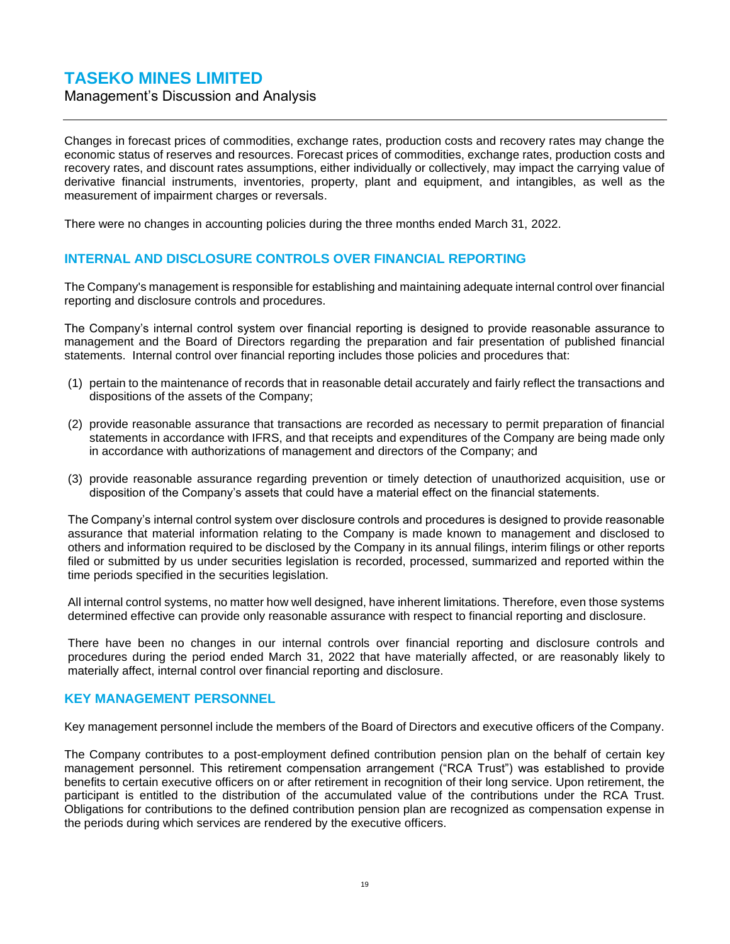Management's Discussion and Analysis

Changes in forecast prices of commodities, exchange rates, production costs and recovery rates may change the economic status of reserves and resources. Forecast prices of commodities, exchange rates, production costs and recovery rates, and discount rates assumptions, either individually or collectively, may impact the carrying value of derivative financial instruments, inventories, property, plant and equipment, and intangibles, as well as the measurement of impairment charges or reversals.

There were no changes in accounting policies during the three months ended March 31, 2022.

### <span id="page-31-0"></span>**INTERNAL AND DISCLOSURE CONTROLS OVER FINANCIAL REPORTING**

The Company's management is responsible for establishing and maintaining adequate internal control over financial reporting and disclosure controls and procedures.

The Company's internal control system over financial reporting is designed to provide reasonable assurance to management and the Board of Directors regarding the preparation and fair presentation of published financial statements. Internal control over financial reporting includes those policies and procedures that:

- (1) pertain to the maintenance of records that in reasonable detail accurately and fairly reflect the transactions and dispositions of the assets of the Company;
- (2) provide reasonable assurance that transactions are recorded as necessary to permit preparation of financial statements in accordance with IFRS, and that receipts and expenditures of the Company are being made only in accordance with authorizations of management and directors of the Company; and
- (3) provide reasonable assurance regarding prevention or timely detection of unauthorized acquisition, use or disposition of the Company's assets that could have a material effect on the financial statements.

The Company's internal control system over disclosure controls and procedures is designed to provide reasonable assurance that material information relating to the Company is made known to management and disclosed to others and information required to be disclosed by the Company in its annual filings, interim filings or other reports filed or submitted by us under securities legislation is recorded, processed, summarized and reported within the time periods specified in the securities legislation.

All internal control systems, no matter how well designed, have inherent limitations. Therefore, even those systems determined effective can provide only reasonable assurance with respect to financial reporting and disclosure.

There have been no changes in our internal controls over financial reporting and disclosure controls and procedures during the period ended March 31, 2022 that have materially affected, or are reasonably likely to materially affect, internal control over financial reporting and disclosure.

#### <span id="page-31-1"></span>**KEY MANAGEMENT PERSONNEL**

Key management personnel include the members of the Board of Directors and executive officers of the Company.

The Company contributes to a post-employment defined contribution pension plan on the behalf of certain key management personnel. This retirement compensation arrangement ("RCA Trust") was established to provide benefits to certain executive officers on or after retirement in recognition of their long service. Upon retirement, the participant is entitled to the distribution of the accumulated value of the contributions under the RCA Trust. Obligations for contributions to the defined contribution pension plan are recognized as compensation expense in the periods during which services are rendered by the executive officers.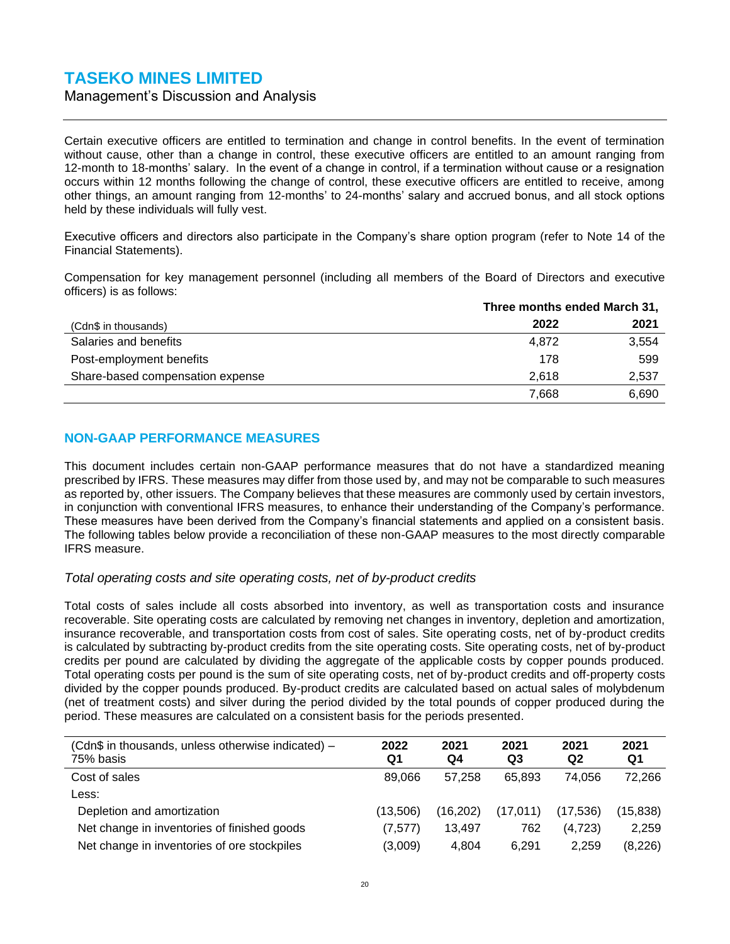Management's Discussion and Analysis

Certain executive officers are entitled to termination and change in control benefits. In the event of termination without cause, other than a change in control, these executive officers are entitled to an amount ranging from 12-month to 18-months' salary. In the event of a change in control, if a termination without cause or a resignation occurs within 12 months following the change of control, these executive officers are entitled to receive, among other things, an amount ranging from 12-months' to 24-months' salary and accrued bonus, and all stock options held by these individuals will fully vest.

Executive officers and directors also participate in the Company's share option program (refer to Note 14 of the Financial Statements).

Compensation for key management personnel (including all members of the Board of Directors and executive officers) is as follows:

|                                  | Three months ended March 31, |       |  |
|----------------------------------|------------------------------|-------|--|
| (Cdn\$ in thousands)             | 2022                         | 2021  |  |
| Salaries and benefits            | 4.872                        | 3,554 |  |
| Post-employment benefits         | 178                          | 599   |  |
| Share-based compensation expense | 2.618                        | 2,537 |  |
|                                  | 7,668                        | 6,690 |  |

### <span id="page-32-0"></span>**NON-GAAP PERFORMANCE MEASURES**

This document includes certain non-GAAP performance measures that do not have a standardized meaning prescribed by IFRS. These measures may differ from those used by, and may not be comparable to such measures as reported by, other issuers. The Company believes that these measures are commonly used by certain investors, in conjunction with conventional IFRS measures, to enhance their understanding of the Company's performance. These measures have been derived from the Company's financial statements and applied on a consistent basis. The following tables below provide a reconciliation of these non-GAAP measures to the most directly comparable IFRS measure.

#### *Total operating costs and site operating costs, net of by-product credits*

Total costs of sales include all costs absorbed into inventory, as well as transportation costs and insurance recoverable. Site operating costs are calculated by removing net changes in inventory, depletion and amortization, insurance recoverable, and transportation costs from cost of sales. Site operating costs, net of by-product credits is calculated by subtracting by-product credits from the site operating costs. Site operating costs, net of by-product credits per pound are calculated by dividing the aggregate of the applicable costs by copper pounds produced. Total operating costs per pound is the sum of site operating costs, net of by-product credits and off-property costs divided by the copper pounds produced. By-product credits are calculated based on actual sales of molybdenum (net of treatment costs) and silver during the period divided by the total pounds of copper produced during the period. These measures are calculated on a consistent basis for the periods presented.

| (Cdn\$ in thousands, unless otherwise indicated) -<br>75% basis | 2022<br>Q1 | 2021<br>Q4 | 2021<br>Q3 | 2021<br>Q2 | 2021<br>Q1 |
|-----------------------------------------------------------------|------------|------------|------------|------------|------------|
| Cost of sales                                                   | 89.066     | 57.258     | 65.893     | 74.056     | 72,266     |
| Less:                                                           |            |            |            |            |            |
| Depletion and amortization                                      | (13.506)   | (16.202)   | (17,011)   | (17.536)   | (15, 838)  |
| Net change in inventories of finished goods                     | (7,577)    | 13.497     | 762        | (4,723)    | 2,259      |
| Net change in inventories of ore stockpiles                     | (3,009)    | 4,804      | 6.291      | 2.259      | (8, 226)   |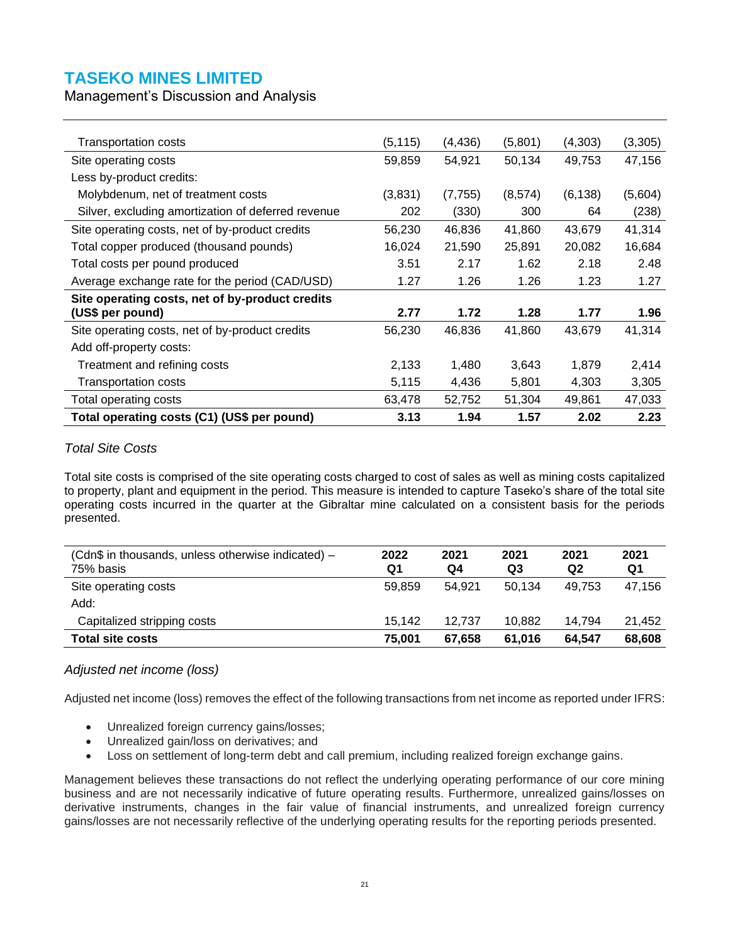Management's Discussion and Analysis

| Transportation costs                               | (5, 115) | (4, 436) | (5,801) | (4,303)  | (3,305) |
|----------------------------------------------------|----------|----------|---------|----------|---------|
| Site operating costs                               | 59,859   | 54,921   | 50,134  | 49,753   | 47,156  |
| Less by-product credits:                           |          |          |         |          |         |
| Molybdenum, net of treatment costs                 | (3,831)  | (7, 755) | (8,574) | (6, 138) | (5,604) |
| Silver, excluding amortization of deferred revenue | 202      | (330)    | 300     | 64       | (238)   |
| Site operating costs, net of by-product credits    | 56,230   | 46,836   | 41,860  | 43,679   | 41,314  |
| Total copper produced (thousand pounds)            | 16,024   | 21,590   | 25,891  | 20,082   | 16,684  |
| Total costs per pound produced                     | 3.51     | 2.17     | 1.62    | 2.18     | 2.48    |
| Average exchange rate for the period (CAD/USD)     | 1.27     | 1.26     | 1.26    | 1.23     | 1.27    |
| Site operating costs, net of by-product credits    |          |          |         |          |         |
| (US\$ per pound)                                   | 2.77     | 1.72     | 1.28    | 1.77     | 1.96    |
| Site operating costs, net of by-product credits    | 56,230   | 46,836   | 41,860  | 43,679   | 41,314  |
| Add off-property costs:                            |          |          |         |          |         |
| Treatment and refining costs                       | 2,133    | 1,480    | 3,643   | 1,879    | 2,414   |
| Transportation costs                               | 5,115    | 4,436    | 5,801   | 4,303    | 3,305   |
| Total operating costs                              | 63,478   | 52,752   | 51,304  | 49,861   | 47,033  |
| Total operating costs (C1) (US\$ per pound)        | 3.13     | 1.94     | 1.57    | 2.02     | 2.23    |

### *Total Site Costs*

Total site costs is comprised of the site operating costs charged to cost of sales as well as mining costs capitalized to property, plant and equipment in the period. This measure is intended to capture Taseko's share of the total site operating costs incurred in the quarter at the Gibraltar mine calculated on a consistent basis for the periods presented.

| (Cdn\$ in thousands, unless otherwise indicated) –<br>75% basis | 2022<br>Q1 | 2021<br>Q4 | 2021<br>Q3 | 2021<br>Q2 | 2021<br>Q1 |
|-----------------------------------------------------------------|------------|------------|------------|------------|------------|
| Site operating costs                                            | 59.859     | 54.921     | 50.134     | 49.753     | 47,156     |
| Add:                                                            |            |            |            |            |            |
| Capitalized stripping costs                                     | 15.142     | 12.737     | 10.882     | 14.794     | 21.452     |
| <b>Total site costs</b>                                         | 75.001     | 67.658     | 61.016     | 64.547     | 68,608     |

#### *Adjusted net income (loss)*

Adjusted net income (loss) removes the effect of the following transactions from net income as reported under IFRS:

- Unrealized foreign currency gains/losses;
- Unrealized gain/loss on derivatives; and
- Loss on settlement of long-term debt and call premium, including realized foreign exchange gains.

Management believes these transactions do not reflect the underlying operating performance of our core mining business and are not necessarily indicative of future operating results. Furthermore, unrealized gains/losses on derivative instruments, changes in the fair value of financial instruments, and unrealized foreign currency gains/losses are not necessarily reflective of the underlying operating results for the reporting periods presented.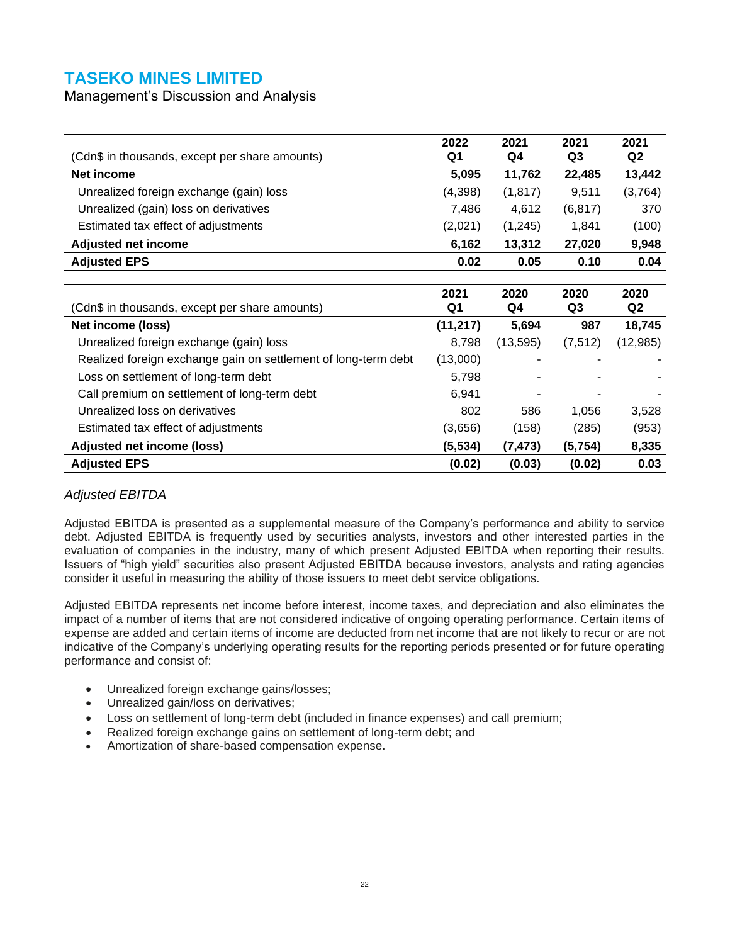Management's Discussion and Analysis

| (Cdn\$ in thousands, except per share amounts)                 | 2022<br>Q1 | 2021<br>Q4 | 2021<br>Q <sub>3</sub> | 2021<br>Q <sub>2</sub> |
|----------------------------------------------------------------|------------|------------|------------------------|------------------------|
| <b>Net income</b>                                              | 5,095      | 11,762     | 22,485                 | 13,442                 |
| Unrealized foreign exchange (gain) loss                        | (4,398)    | (1, 817)   | 9,511                  | (3,764)                |
| Unrealized (gain) loss on derivatives                          | 7,486      | 4,612      | (6, 817)               | 370                    |
| Estimated tax effect of adjustments                            | (2,021)    | (1, 245)   | 1,841                  | (100)                  |
| <b>Adjusted net income</b>                                     | 6,162      | 13,312     | 27,020                 | 9,948                  |
| <b>Adjusted EPS</b>                                            | 0.02       | 0.05       | 0.10                   | 0.04                   |
|                                                                |            |            |                        |                        |
| (Cdn\$ in thousands, except per share amounts)                 | 2021<br>Q1 | 2020<br>Q4 | 2020<br>Q3             | 2020<br>Q2             |
| Net income (loss)                                              | (11, 217)  | 5,694      | 987                    | 18,745                 |
| Unrealized foreign exchange (gain) loss                        | 8,798      | (13, 595)  | (7, 512)               | (12, 985)              |
| Realized foreign exchange gain on settlement of long-term debt | (13,000)   |            |                        |                        |
| Loss on settlement of long-term debt                           | 5,798      |            |                        |                        |
| Call premium on settlement of long-term debt                   | 6,941      |            |                        |                        |
| Unrealized loss on derivatives                                 | 802        | 586        | 1,056                  | 3,528                  |
| Estimated tax effect of adjustments                            | (3,656)    | (158)      | (285)                  | (953)                  |
| Adjusted net income (loss)                                     | (5, 534)   | (7, 473)   | (5,754)                | 8,335                  |
| <b>Adjusted EPS</b>                                            | (0.02)     | (0.03)     | (0.02)                 | 0.03                   |

#### *Adjusted EBITDA*

Adjusted EBITDA is presented as a supplemental measure of the Company's performance and ability to service debt. Adjusted EBITDA is frequently used by securities analysts, investors and other interested parties in the evaluation of companies in the industry, many of which present Adjusted EBITDA when reporting their results. Issuers of "high yield" securities also present Adjusted EBITDA because investors, analysts and rating agencies consider it useful in measuring the ability of those issuers to meet debt service obligations.

Adjusted EBITDA represents net income before interest, income taxes, and depreciation and also eliminates the impact of a number of items that are not considered indicative of ongoing operating performance. Certain items of expense are added and certain items of income are deducted from net income that are not likely to recur or are not indicative of the Company's underlying operating results for the reporting periods presented or for future operating performance and consist of:

- Unrealized foreign exchange gains/losses;
- Unrealized gain/loss on derivatives;
- Loss on settlement of long-term debt (included in finance expenses) and call premium;
- Realized foreign exchange gains on settlement of long-term debt; and
- Amortization of share-based compensation expense.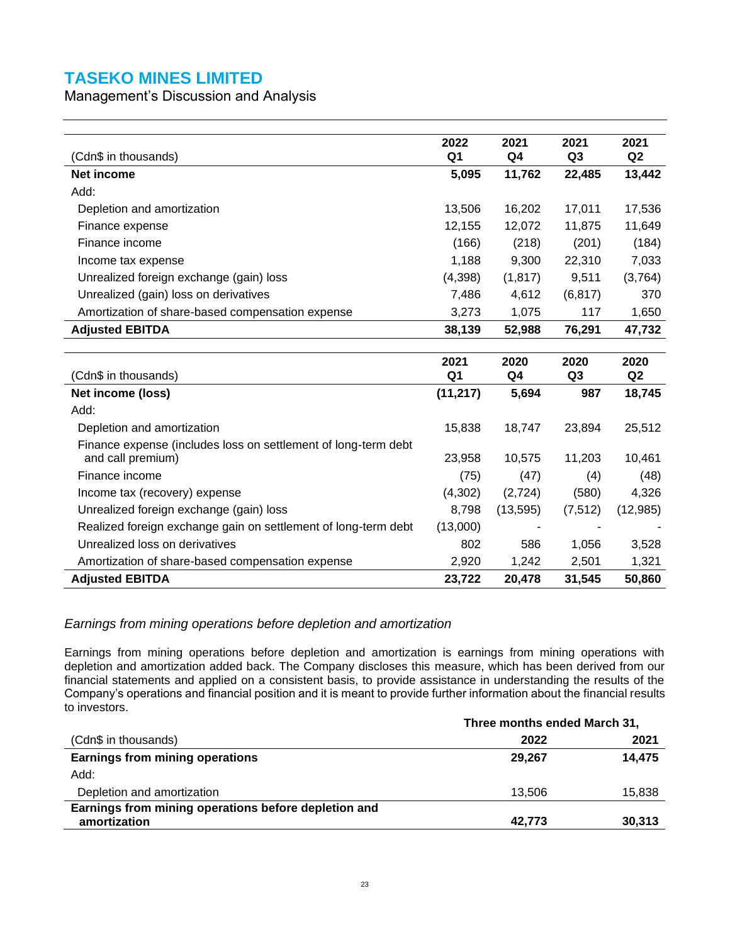Management's Discussion and Analysis

|                                                                | 2022       | 2021                   | 2021                   | 2021                   |
|----------------------------------------------------------------|------------|------------------------|------------------------|------------------------|
| (Cdn\$ in thousands)                                           | Q1         | Q4                     | Q <sub>3</sub>         | Q <sub>2</sub>         |
| <b>Net income</b>                                              | 5,095      | 11,762                 | 22,485                 | 13,442                 |
| Add:                                                           |            |                        |                        |                        |
| Depletion and amortization                                     | 13,506     | 16,202                 | 17,011                 | 17,536                 |
| Finance expense                                                | 12,155     | 12,072                 | 11,875                 | 11,649                 |
| Finance income                                                 | (166)      | (218)                  | (201)                  | (184)                  |
| Income tax expense                                             | 1,188      | 9,300                  | 22,310                 | 7,033                  |
| Unrealized foreign exchange (gain) loss                        | (4,398)    | (1, 817)               | 9,511                  | (3,764)                |
| Unrealized (gain) loss on derivatives                          | 7,486      | 4,612                  | (6, 817)               | 370                    |
| Amortization of share-based compensation expense               | 3,273      | 1,075                  | 117                    | 1,650                  |
| <b>Adjusted EBITDA</b>                                         | 38,139     | 52,988                 | 76,291                 | 47,732                 |
|                                                                |            |                        |                        |                        |
| (Cdn\$ in thousands)                                           | 2021<br>Q1 | 2020<br>Q <sub>4</sub> | 2020<br>Q <sub>3</sub> | 2020<br>Q <sub>2</sub> |
| Net income (loss)                                              | (11, 217)  | 5,694                  | 987                    | 18,745                 |
| Add:                                                           |            |                        |                        |                        |
| Depletion and amortization                                     | 15,838     | 18,747                 | 23,894                 | 25,512                 |
| Finance expense (includes loss on settlement of long-term debt |            |                        |                        |                        |
| and call premium)                                              | 23,958     | 10,575                 | 11,203                 | 10,461                 |
| Finance income                                                 | (75)       | (47)                   | (4)                    | (48)                   |
| Income tax (recovery) expense                                  | (4,302)    | (2,724)                | (580)                  | 4,326                  |
| Unrealized foreign exchange (gain) loss                        | 8,798      | (13, 595)              | (7, 512)               | (12,985)               |
| Realized foreign exchange gain on settlement of long-term debt | (13,000)   |                        |                        |                        |
| Unrealized loss on derivatives                                 | 802        | 586                    | 1,056                  | 3,528                  |
|                                                                |            |                        |                        |                        |
| Amortization of share-based compensation expense               | 2,920      | 1,242                  | 2,501                  | 1,321                  |

#### *Earnings from mining operations before depletion and amortization*

Earnings from mining operations before depletion and amortization is earnings from mining operations with depletion and amortization added back. The Company discloses this measure, which has been derived from our financial statements and applied on a consistent basis, to provide assistance in understanding the results of the Company's operations and financial position and it is meant to provide further information about the financial results to investors.

|                                                      | Three months ended March 31, |        |  |  |
|------------------------------------------------------|------------------------------|--------|--|--|
| (Cdn\$ in thousands)                                 | 2022                         | 2021   |  |  |
| <b>Earnings from mining operations</b>               | 29,267                       | 14,475 |  |  |
| Add:                                                 |                              |        |  |  |
| Depletion and amortization                           | 13.506                       | 15,838 |  |  |
| Earnings from mining operations before depletion and |                              |        |  |  |
| amortization                                         | 42,773                       | 30,313 |  |  |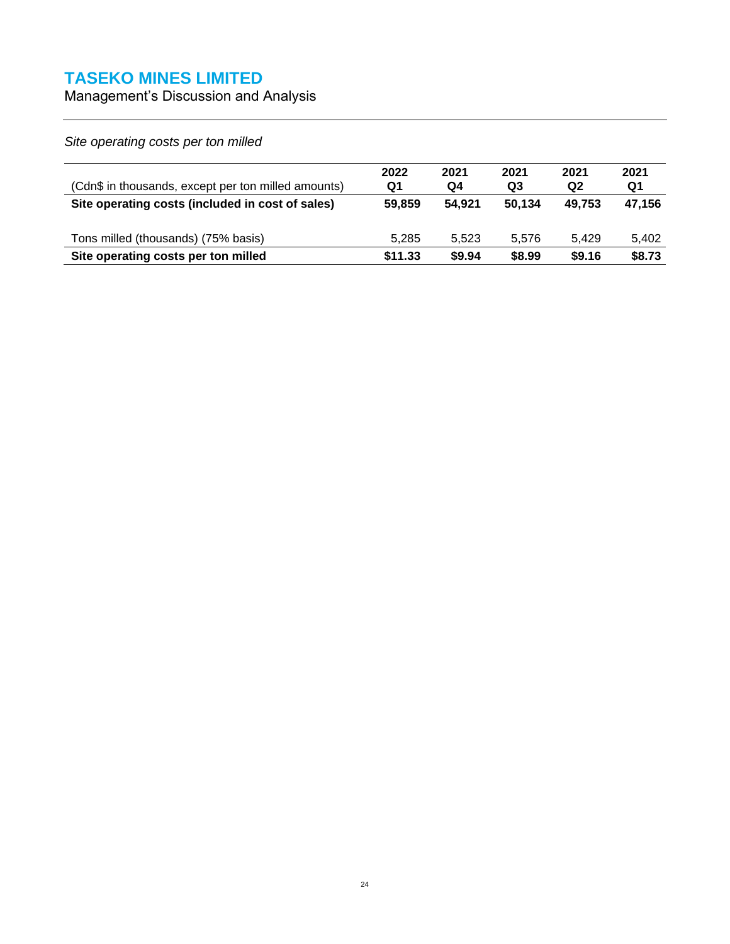Management's Discussion and Analysis

*Site operating costs per ton milled*

| (Cdn\$ in thousands, except per ton milled amounts) | 2022<br>Q1 | 2021<br>Q4 | 2021<br>Q3 | 2021<br>Q <sub>2</sub> | 2021<br>Q1 |
|-----------------------------------------------------|------------|------------|------------|------------------------|------------|
| Site operating costs (included in cost of sales)    | 59.859     | 54.921     | 50.134     | 49.753                 | 47,156     |
| Tons milled (thousands) (75% basis)                 | 5.285      | 5.523      | 5.576      | 5.429                  | 5.402      |
| Site operating costs per ton milled                 | \$11.33    | \$9.94     | \$8.99     | \$9.16                 | \$8.73     |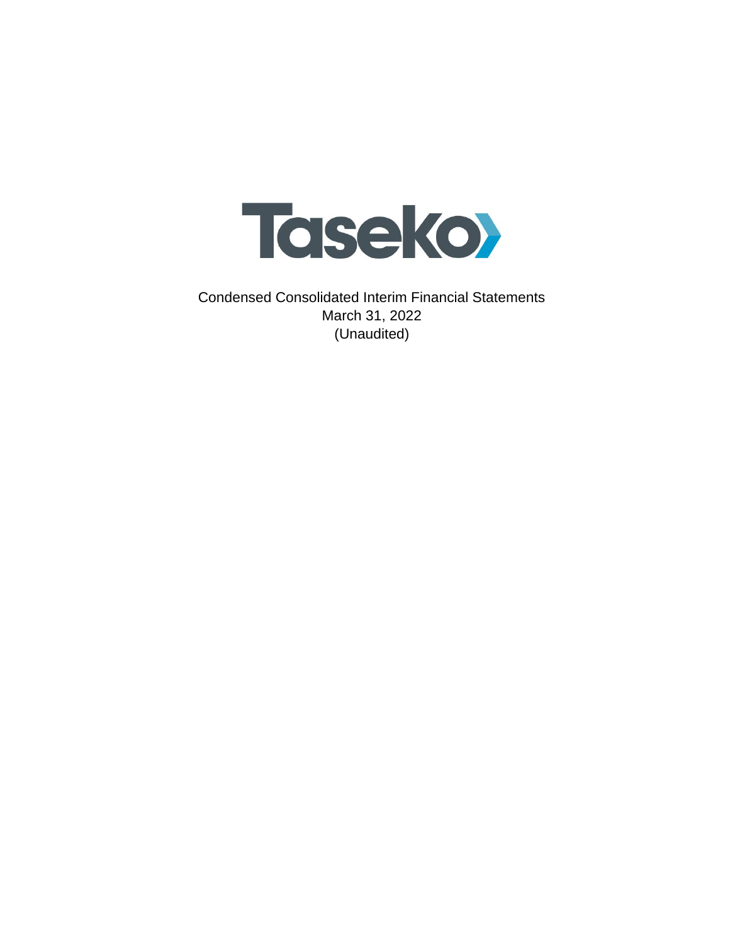

Condensed Consolidated Interim Financial Statements March 31, 2022 (Unaudited)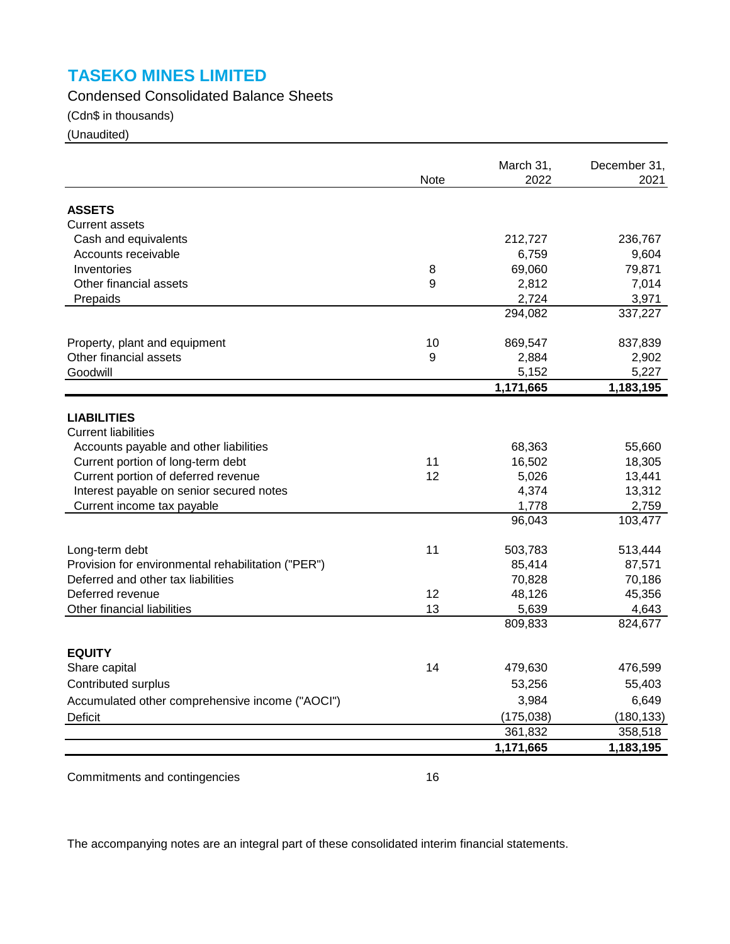Condensed Consolidated Balance Sheets

(Cdn\$ in thousands)

(Unaudited)

|                                                    | Note | March 31,<br>2022 | December 31,<br>2021 |
|----------------------------------------------------|------|-------------------|----------------------|
|                                                    |      |                   |                      |
| <b>ASSETS</b>                                      |      |                   |                      |
| <b>Current assets</b>                              |      |                   |                      |
| Cash and equivalents                               |      | 212,727           | 236,767              |
| Accounts receivable                                |      | 6,759             | 9,604                |
| Inventories                                        | 8    | 69,060            | 79,871               |
| Other financial assets                             | 9    | 2,812             | 7,014                |
| Prepaids                                           |      | 2,724             | 3,971                |
|                                                    |      | 294,082           | 337,227              |
| Property, plant and equipment                      | 10   | 869,547           | 837,839              |
| Other financial assets                             | 9    | 2,884             | 2,902                |
| Goodwill                                           |      | 5,152             | 5,227                |
|                                                    |      | 1,171,665         | 1,183,195            |
| <b>LIABILITIES</b>                                 |      |                   |                      |
| <b>Current liabilities</b>                         |      |                   |                      |
| Accounts payable and other liabilities             |      | 68,363            | 55,660               |
| Current portion of long-term debt                  | 11   | 16,502            | 18,305               |
| Current portion of deferred revenue                | 12   | 5,026             | 13,441               |
| Interest payable on senior secured notes           |      | 4,374             | 13,312               |
| Current income tax payable                         |      | 1,778             | 2,759                |
|                                                    |      | 96,043            | 103,477              |
| Long-term debt                                     | 11   | 503,783           | 513,444              |
| Provision for environmental rehabilitation ("PER") |      | 85,414            | 87,571               |
| Deferred and other tax liabilities                 |      | 70,828            | 70,186               |
| Deferred revenue                                   | 12   | 48,126            | 45,356               |
| Other financial liabilities                        | 13   | 5,639             | 4,643                |
|                                                    |      | 809,833           | 824,677              |
|                                                    |      |                   |                      |
| <b>EQUITY</b><br>Share capital                     | 14   | 479,630           | 476,599              |
| Contributed surplus                                |      | 53,256            | 55,403               |
| Accumulated other comprehensive income ("AOCI")    |      | 3,984             | 6,649                |
| <b>Deficit</b>                                     |      | (175, 038)        | (180, 133)           |
|                                                    |      | 361,832           | 358,518              |
|                                                    |      | 1,171,665         | 1,183,195            |

Commitments and contingencies 16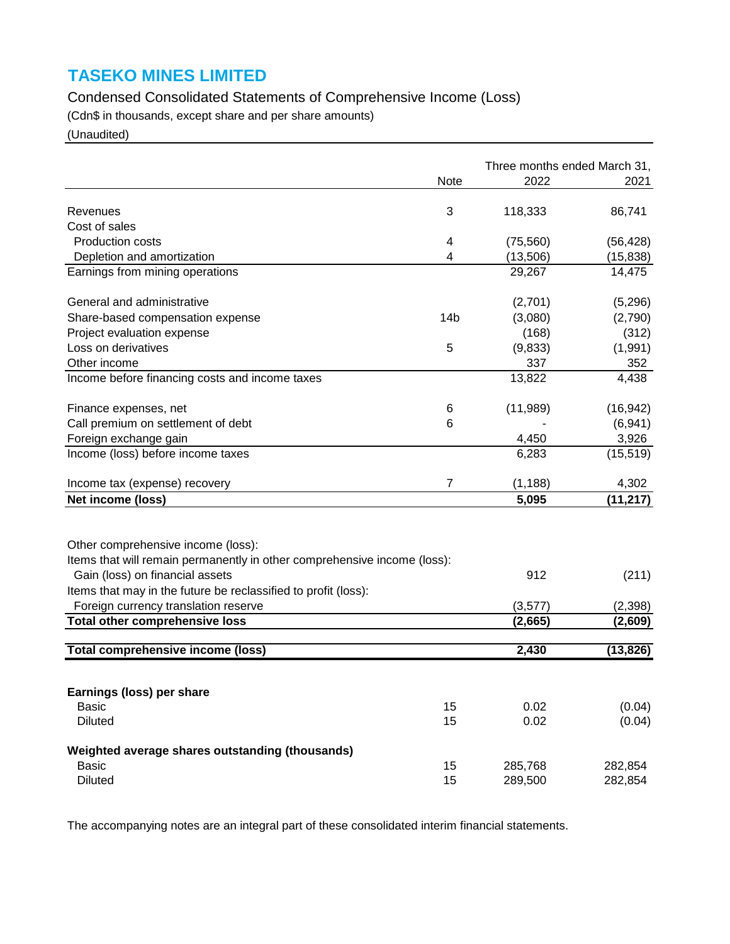# Condensed Consolidated Statements of Comprehensive Income (Loss)

(Cdn\$ in thousands, except share and per share amounts)

(Unaudited)

|                                                                          |                 | Three months ended March 31, |           |  |
|--------------------------------------------------------------------------|-----------------|------------------------------|-----------|--|
|                                                                          | Note            | 2022                         | 2021      |  |
|                                                                          |                 |                              |           |  |
| Revenues                                                                 | 3               | 118,333                      | 86,741    |  |
| Cost of sales                                                            |                 |                              |           |  |
| Production costs                                                         | 4               | (75, 560)                    | (56, 428) |  |
| Depletion and amortization                                               | 4               | (13,506)                     | (15, 838) |  |
| Earnings from mining operations                                          |                 | 29,267                       | 14,475    |  |
| General and administrative                                               |                 | (2,701)                      | (5,296)   |  |
| Share-based compensation expense                                         | 14 <sub>b</sub> | (3,080)                      | (2,790)   |  |
| Project evaluation expense                                               |                 | (168)                        | (312)     |  |
| Loss on derivatives                                                      | 5               | (9,833)                      | (1,991)   |  |
| Other income                                                             |                 | 337                          | 352       |  |
| Income before financing costs and income taxes                           |                 | 13,822                       | 4,438     |  |
| Finance expenses, net                                                    | 6               | (11,989)                     | (16, 942) |  |
| Call premium on settlement of debt                                       | 6               |                              | (6,941)   |  |
| Foreign exchange gain                                                    |                 | 4,450                        | 3,926     |  |
| Income (loss) before income taxes                                        |                 | 6,283                        | (15, 519) |  |
|                                                                          |                 |                              |           |  |
| Income tax (expense) recovery                                            | $\overline{7}$  | (1, 188)                     | 4,302     |  |
| Net income (loss)                                                        |                 | 5,095                        | (11, 217) |  |
|                                                                          |                 |                              |           |  |
| Other comprehensive income (loss):                                       |                 |                              |           |  |
| Items that will remain permanently in other comprehensive income (loss): |                 |                              |           |  |
| Gain (loss) on financial assets                                          |                 | 912                          | (211)     |  |
| Items that may in the future be reclassified to profit (loss):           |                 |                              |           |  |
| Foreign currency translation reserve                                     |                 | (3, 577)                     | (2,398)   |  |
| <b>Total other comprehensive loss</b>                                    |                 | (2,665)                      | (2,609)   |  |
|                                                                          |                 |                              |           |  |
| <b>Total comprehensive income (loss)</b>                                 |                 | 2,430                        | (13, 826) |  |
|                                                                          |                 |                              |           |  |
| Earnings (loss) per share                                                |                 |                              |           |  |
| <b>Basic</b>                                                             | 15              | 0.02                         | (0.04)    |  |
| <b>Diluted</b>                                                           | 15              | 0.02                         | (0.04)    |  |
| Weighted average shares outstanding (thousands)                          |                 |                              |           |  |
| <b>Basic</b>                                                             | 15              | 285,768                      | 282,854   |  |
| <b>Diluted</b>                                                           | 15              | 289,500                      | 282,854   |  |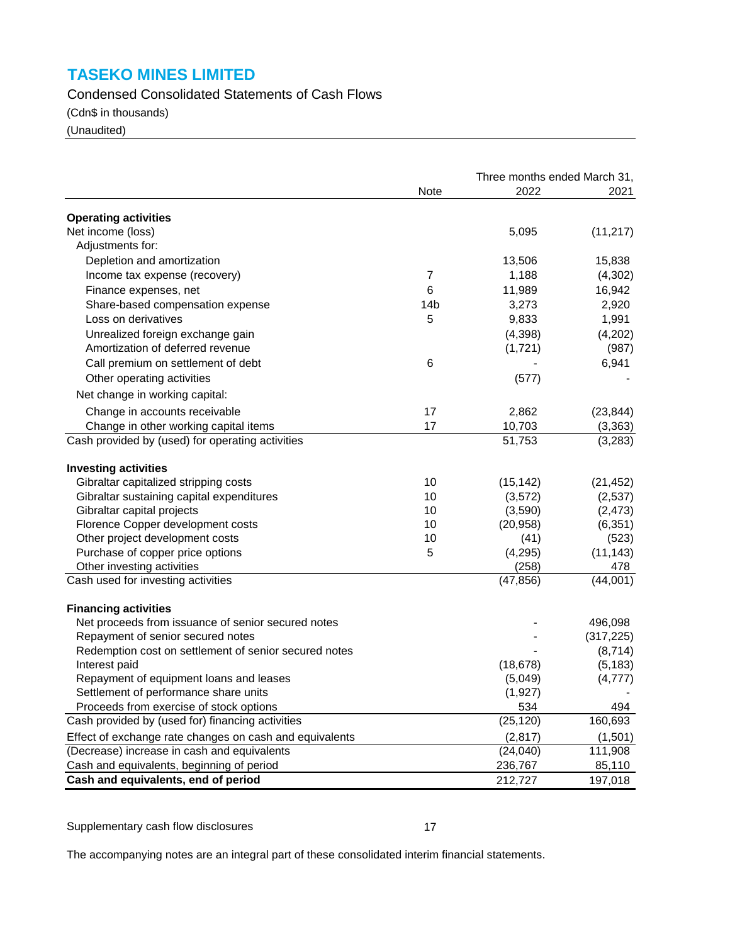Condensed Consolidated Statements of Cash Flows

(Cdn\$ in thousands)

(Unaudited)

|                                                                                   |                 |                     | Three months ended March 31, |  |  |
|-----------------------------------------------------------------------------------|-----------------|---------------------|------------------------------|--|--|
|                                                                                   | Note            | 2022                | 2021                         |  |  |
| <b>Operating activities</b>                                                       |                 |                     |                              |  |  |
| Net income (loss)                                                                 |                 | 5,095               | (11, 217)                    |  |  |
| Adjustments for:                                                                  |                 |                     |                              |  |  |
| Depletion and amortization                                                        |                 | 13,506              | 15,838                       |  |  |
|                                                                                   |                 |                     |                              |  |  |
| Income tax expense (recovery)                                                     | 7               | 1,188               | (4,302)                      |  |  |
| Finance expenses, net                                                             | 6               | 11,989              | 16,942                       |  |  |
| Share-based compensation expense                                                  | 14 <sub>b</sub> | 3,273               | 2,920                        |  |  |
| Loss on derivatives                                                               | 5               | 9,833               | 1,991                        |  |  |
| Unrealized foreign exchange gain                                                  |                 | (4,398)             | (4,202)                      |  |  |
| Amortization of deferred revenue                                                  |                 | (1,721)             | (987)                        |  |  |
| Call premium on settlement of debt                                                | 6               |                     | 6,941                        |  |  |
| Other operating activities                                                        |                 | (577)               |                              |  |  |
| Net change in working capital:                                                    |                 |                     |                              |  |  |
| Change in accounts receivable                                                     | 17              | 2,862               | (23, 844)                    |  |  |
| Change in other working capital items                                             | 17              | 10,703              | (3, 363)                     |  |  |
| Cash provided by (used) for operating activities                                  |                 | 51,753              | (3,283)                      |  |  |
| <b>Investing activities</b>                                                       |                 |                     |                              |  |  |
| Gibraltar capitalized stripping costs                                             | 10              | (15, 142)           | (21, 452)                    |  |  |
| Gibraltar sustaining capital expenditures                                         | 10              | (3,572)             | (2,537)                      |  |  |
| Gibraltar capital projects                                                        | 10              | (3,590)             | (2, 473)                     |  |  |
| Florence Copper development costs                                                 | 10              | (20, 958)           | (6, 351)                     |  |  |
| Other project development costs                                                   | 10              | (41)                | (523)                        |  |  |
| Purchase of copper price options                                                  | 5               | (4, 295)            | (11, 143)                    |  |  |
| Other investing activities                                                        |                 | (258)               | 478                          |  |  |
| Cash used for investing activities                                                |                 | (47, 856)           | (44,001)                     |  |  |
|                                                                                   |                 |                     |                              |  |  |
| <b>Financing activities</b><br>Net proceeds from issuance of senior secured notes |                 |                     | 496,098                      |  |  |
| Repayment of senior secured notes                                                 |                 |                     | (317, 225)                   |  |  |
|                                                                                   |                 |                     | (8,714)                      |  |  |
| Redemption cost on settlement of senior secured notes                             |                 |                     | (5, 183)                     |  |  |
| Interest paid<br>Repayment of equipment loans and leases                          |                 | (18, 678)           | (4, 777)                     |  |  |
|                                                                                   |                 | (5,049)<br>(1, 927) |                              |  |  |
| Settlement of performance share units<br>Proceeds from exercise of stock options  |                 | 534                 |                              |  |  |
| Cash provided by (used for) financing activities                                  |                 | (25, 120)           | 494<br>160,693               |  |  |
|                                                                                   |                 |                     |                              |  |  |
| Effect of exchange rate changes on cash and equivalents                           |                 | (2, 817)            | (1,501)                      |  |  |
| (Decrease) increase in cash and equivalents                                       |                 | (24, 040)           | 111,908                      |  |  |
| Cash and equivalents, beginning of period                                         |                 | 236,767             | 85,110                       |  |  |
| Cash and equivalents, end of period                                               |                 | 212,727             | 197,018                      |  |  |

Supplementary cash flow disclosures 17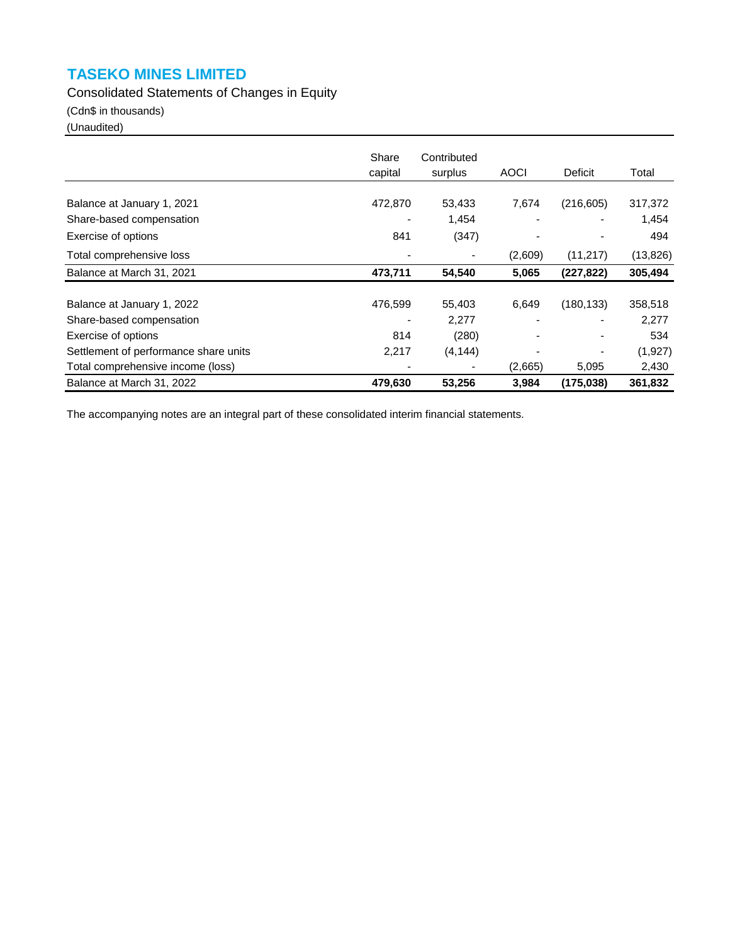Consolidated Statements of Changes in Equity

(Cdn\$ in thousands)

(Unaudited)

|                                       | Share<br>capital | Contributed<br>surplus | <b>AOCI</b> | Deficit    | Total     |
|---------------------------------------|------------------|------------------------|-------------|------------|-----------|
|                                       |                  |                        |             |            |           |
| Balance at January 1, 2021            | 472,870          | 53,433                 | 7,674       | (216, 605) | 317,372   |
| Share-based compensation              | ٠                | 1,454                  |             |            | 1,454     |
| Exercise of options                   | 841              | (347)                  |             |            | 494       |
| Total comprehensive loss              |                  |                        | (2,609)     | (11, 217)  | (13, 826) |
| Balance at March 31, 2021             | 473,711          | 54,540                 | 5,065       | (227, 822) | 305,494   |
|                                       |                  |                        |             |            |           |
| Balance at January 1, 2022            | 476,599          | 55,403                 | 6,649       | (180, 133) | 358,518   |
| Share-based compensation              |                  | 2,277                  |             |            | 2,277     |
| Exercise of options                   | 814              | (280)                  |             |            | 534       |
| Settlement of performance share units | 2,217            | (4, 144)               | ۰           |            | (1,927)   |
| Total comprehensive income (loss)     |                  | ٠                      | (2,665)     | 5,095      | 2,430     |
| Balance at March 31, 2022             | 479,630          | 53,256                 | 3,984       | (175, 038) | 361,832   |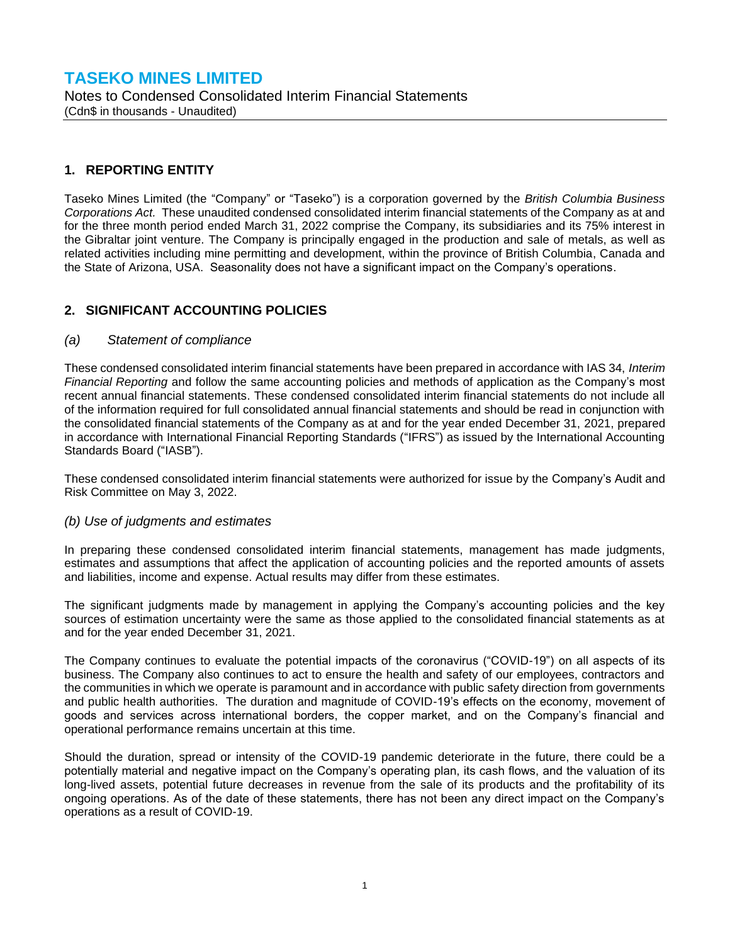### **TASEKO MINES LIMITED** Notes to Condensed Consolidated Interim Financial Statements (Cdn\$ in thousands - Unaudited)

### **1. REPORTING ENTITY**

Taseko Mines Limited (the "Company" or "Taseko") is a corporation governed by the *British Columbia Business Corporations Act.* These unaudited condensed consolidated interim financial statements of the Company as at and for the three month period ended March 31, 2022 comprise the Company, its subsidiaries and its 75% interest in the Gibraltar joint venture. The Company is principally engaged in the production and sale of metals, as well as related activities including mine permitting and development, within the province of British Columbia, Canada and the State of Arizona, USA. Seasonality does not have a significant impact on the Company's operations.

### **2. SIGNIFICANT ACCOUNTING POLICIES**

#### *(a) Statement of compliance*

These condensed consolidated interim financial statements have been prepared in accordance with IAS 34, *Interim Financial Reporting* and follow the same accounting policies and methods of application as the Company's most recent annual financial statements. These condensed consolidated interim financial statements do not include all of the information required for full consolidated annual financial statements and should be read in conjunction with the consolidated financial statements of the Company as at and for the year ended December 31, 2021, prepared in accordance with International Financial Reporting Standards ("IFRS") as issued by the International Accounting Standards Board ("IASB").

These condensed consolidated interim financial statements were authorized for issue by the Company's Audit and Risk Committee on May 3, 2022.

#### *(b) Use of judgments and estimates*

In preparing these condensed consolidated interim financial statements, management has made judgments, estimates and assumptions that affect the application of accounting policies and the reported amounts of assets and liabilities, income and expense. Actual results may differ from these estimates.

The significant judgments made by management in applying the Company's accounting policies and the key sources of estimation uncertainty were the same as those applied to the consolidated financial statements as at and for the year ended December 31, 2021.

The Company continues to evaluate the potential impacts of the coronavirus ("COVID-19") on all aspects of its business. The Company also continues to act to ensure the health and safety of our employees, contractors and the communities in which we operate is paramount and in accordance with public safety direction from governments and public health authorities. The duration and magnitude of COVID-19's effects on the economy, movement of goods and services across international borders, the copper market, and on the Company's financial and operational performance remains uncertain at this time.

Should the duration, spread or intensity of the COVID-19 pandemic deteriorate in the future, there could be a potentially material and negative impact on the Company's operating plan, its cash flows, and the valuation of its long-lived assets, potential future decreases in revenue from the sale of its products and the profitability of its ongoing operations. As of the date of these statements, there has not been any direct impact on the Company's operations as a result of COVID-19.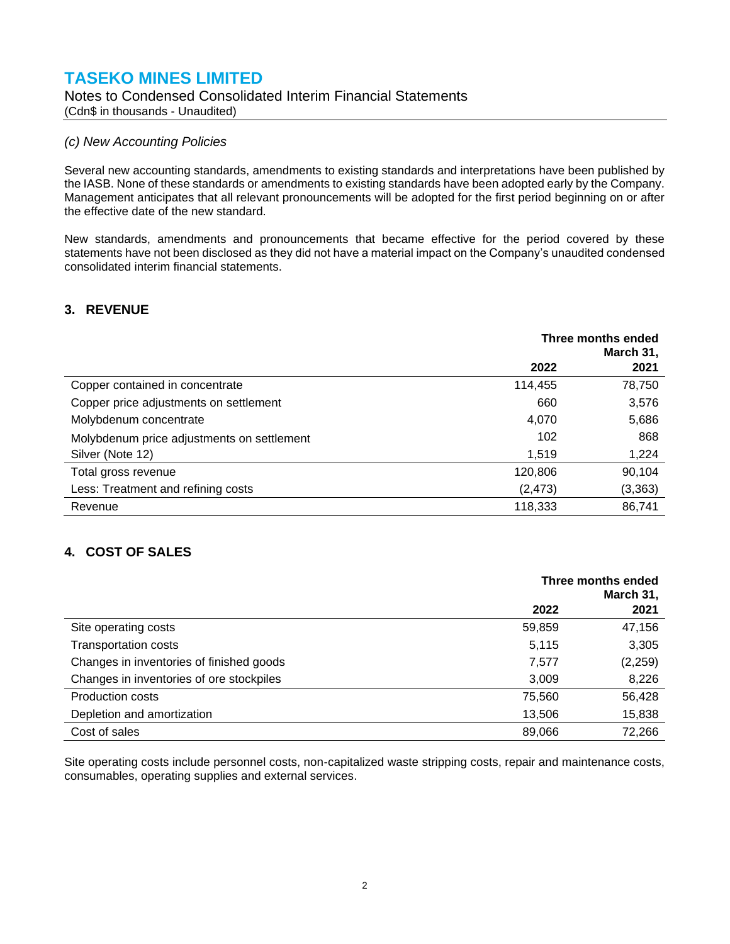#### Notes to Condensed Consolidated Interim Financial Statements (Cdn\$ in thousands - Unaudited)

#### *(c) New Accounting Policies*

Several new accounting standards, amendments to existing standards and interpretations have been published by the IASB. None of these standards or amendments to existing standards have been adopted early by the Company. Management anticipates that all relevant pronouncements will be adopted for the first period beginning on or after the effective date of the new standard.

New standards, amendments and pronouncements that became effective for the period covered by these statements have not been disclosed as they did not have a material impact on the Company's unaudited condensed consolidated interim financial statements.

### **3. REVENUE**

|                                            | Three months ended<br>March 31, |         |
|--------------------------------------------|---------------------------------|---------|
|                                            | 2022                            | 2021    |
| Copper contained in concentrate            | 114,455                         | 78,750  |
| Copper price adjustments on settlement     | 660                             | 3,576   |
| Molybdenum concentrate                     | 4,070                           | 5,686   |
| Molybdenum price adjustments on settlement | 102                             | 868     |
| Silver (Note 12)                           | 1,519                           | 1,224   |
| Total gross revenue                        | 120,806                         | 90,104  |
| Less: Treatment and refining costs         | (2, 473)                        | (3,363) |
| Revenue                                    | 118,333                         | 86,741  |

### **4. COST OF SALES**

|                                          | Three months ended<br>March 31, |          |
|------------------------------------------|---------------------------------|----------|
|                                          | 2022                            | 2021     |
| Site operating costs                     | 59,859                          | 47,156   |
| <b>Transportation costs</b>              | 5,115                           | 3,305    |
| Changes in inventories of finished goods | 7,577                           | (2, 259) |
| Changes in inventories of ore stockpiles | 3,009                           | 8,226    |
| <b>Production costs</b>                  | 75,560                          | 56,428   |
| Depletion and amortization               | 13,506                          | 15,838   |
| Cost of sales                            | 89.066                          | 72,266   |

Site operating costs include personnel costs, non-capitalized waste stripping costs, repair and maintenance costs, consumables, operating supplies and external services.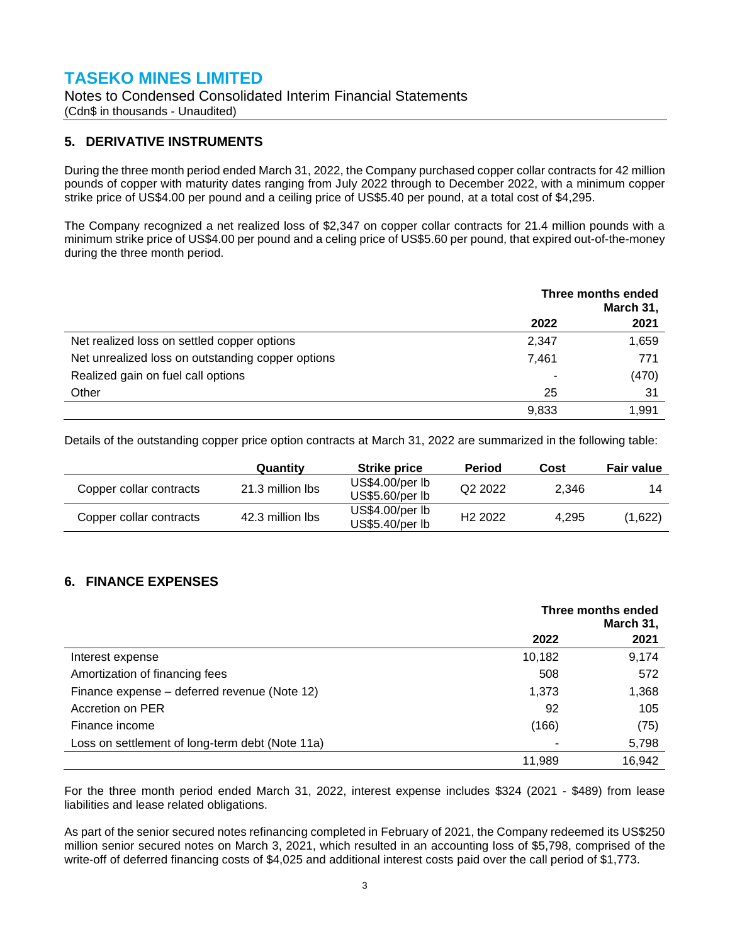Notes to Condensed Consolidated Interim Financial Statements (Cdn\$ in thousands - Unaudited)

### **5. DERIVATIVE INSTRUMENTS**

During the three month period ended March 31, 2022, the Company purchased copper collar contracts for 42 million pounds of copper with maturity dates ranging from July 2022 through to December 2022, with a minimum copper strike price of US\$4.00 per pound and a ceiling price of US\$5.40 per pound, at a total cost of \$4,295.

The Company recognized a net realized loss of \$2,347 on copper collar contracts for 21.4 million pounds with a minimum strike price of US\$4.00 per pound and a celing price of US\$5.60 per pound, that expired out-of-the-money during the three month period.

|                                                   | Three months ended<br>March 31, |       |
|---------------------------------------------------|---------------------------------|-------|
|                                                   | 2022                            | 2021  |
| Net realized loss on settled copper options       | 2,347                           | 1,659 |
| Net unrealized loss on outstanding copper options | 7.461                           | 771   |
| Realized gain on fuel call options                |                                 | (470) |
| Other                                             | 25                              | 31    |
|                                                   | 9,833                           | 1,991 |

Details of the outstanding copper price option contracts at March 31, 2022 are summarized in the following table:

|                         | Quantity         | <b>Strike price</b>                | <b>Period</b>       | Cost  | <b>Fair value</b> |
|-------------------------|------------------|------------------------------------|---------------------|-------|-------------------|
| Copper collar contracts | 21.3 million lbs | US\$4.00/per lb<br>US\$5.60/per lb | Q <sub>2</sub> 2022 | 2.346 | 14                |
| Copper collar contracts | 42.3 million lbs | US\$4.00/per lb<br>US\$5.40/per lb | H <sub>2</sub> 2022 | 4.295 | (1,622)           |

### **6. FINANCE EXPENSES**

|                                                 | Three months ended<br>March 31, |        |
|-------------------------------------------------|---------------------------------|--------|
|                                                 | 2022                            | 2021   |
| Interest expense                                | 10,182                          | 9,174  |
| Amortization of financing fees                  | 508                             | 572    |
| Finance expense – deferred revenue (Note 12)    | 1,373                           | 1,368  |
| Accretion on PER                                | 92                              | 105    |
| Finance income                                  | (166)                           | (75)   |
| Loss on settlement of long-term debt (Note 11a) |                                 | 5,798  |
|                                                 | 11.989                          | 16,942 |

For the three month period ended March 31, 2022, interest expense includes \$324 (2021 - \$489) from lease liabilities and lease related obligations.

As part of the senior secured notes refinancing completed in February of 2021, the Company redeemed its US\$250 million senior secured notes on March 3, 2021, which resulted in an accounting loss of \$5,798, comprised of the write-off of deferred financing costs of \$4,025 and additional interest costs paid over the call period of \$1,773.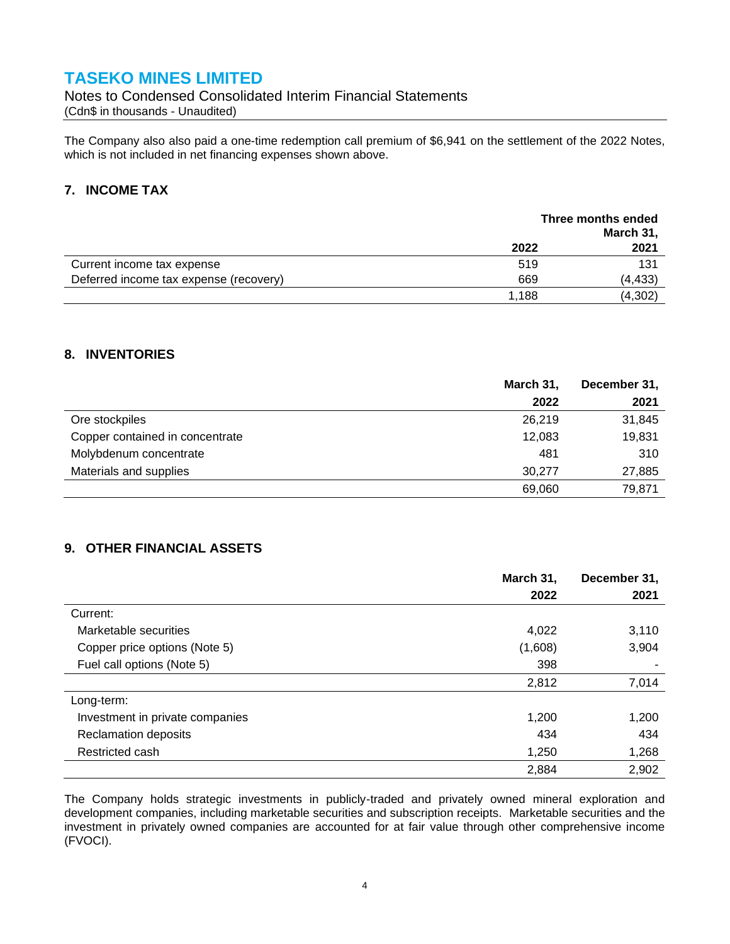Notes to Condensed Consolidated Interim Financial Statements (Cdn\$ in thousands - Unaudited)

The Company also also paid a one-time redemption call premium of \$6,941 on the settlement of the 2022 Notes, which is not included in net financing expenses shown above.

### **7. INCOME TAX**

|                                        | Three months ended<br>March 31, |         |
|----------------------------------------|---------------------------------|---------|
|                                        | 2022                            | 2021    |
| Current income tax expense             | 519                             | 131     |
| Deferred income tax expense (recovery) | 669                             | (4,433) |
|                                        | 1,188                           | (4,302) |

#### **8. INVENTORIES**

|                                 | March 31, | December 31, |
|---------------------------------|-----------|--------------|
|                                 | 2022      | 2021         |
| Ore stockpiles                  | 26.219    | 31,845       |
| Copper contained in concentrate | 12,083    | 19,831       |
| Molybdenum concentrate          | 481       | 310          |
| Materials and supplies          | 30.277    | 27,885       |
|                                 | 69,060    | 79,871       |

### **9. OTHER FINANCIAL ASSETS**

|                                 | March 31, | December 31, |
|---------------------------------|-----------|--------------|
|                                 | 2022      | 2021         |
| Current:                        |           |              |
| Marketable securities           | 4,022     | 3,110        |
| Copper price options (Note 5)   | (1,608)   | 3,904        |
| Fuel call options (Note 5)      | 398       |              |
|                                 | 2,812     | 7,014        |
| Long-term:                      |           |              |
| Investment in private companies | 1,200     | 1,200        |
| <b>Reclamation deposits</b>     | 434       | 434          |
| Restricted cash                 | 1,250     | 1,268        |
|                                 | 2,884     | 2,902        |

The Company holds strategic investments in publicly-traded and privately owned mineral exploration and development companies, including marketable securities and subscription receipts. Marketable securities and the investment in privately owned companies are accounted for at fair value through other comprehensive income (FVOCI).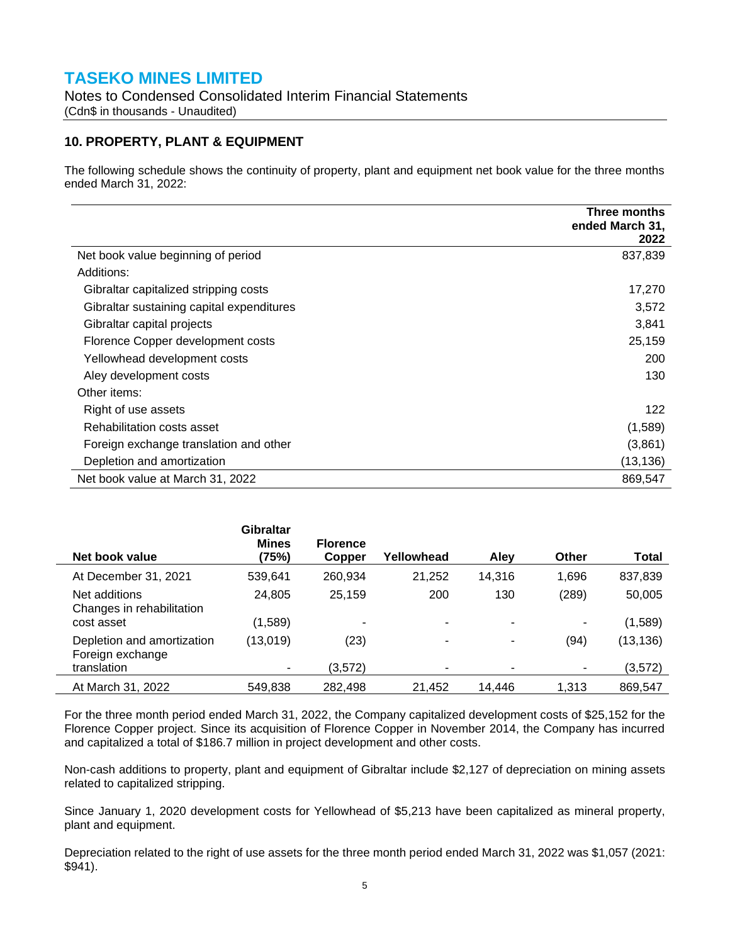Notes to Condensed Consolidated Interim Financial Statements (Cdn\$ in thousands - Unaudited)

### **10. PROPERTY, PLANT & EQUIPMENT**

The following schedule shows the continuity of property, plant and equipment net book value for the three months ended March 31, 2022:

|                                           | Three months<br>ended March 31, |
|-------------------------------------------|---------------------------------|
|                                           | 2022                            |
| Net book value beginning of period        | 837,839                         |
| Additions:                                |                                 |
| Gibraltar capitalized stripping costs     | 17,270                          |
| Gibraltar sustaining capital expenditures | 3,572                           |
| Gibraltar capital projects                | 3,841                           |
| Florence Copper development costs         | 25,159                          |
| Yellowhead development costs              | 200                             |
| Aley development costs                    | 130                             |
| Other items:                              |                                 |
| Right of use assets                       | 122                             |
| Rehabilitation costs asset                | (1,589)                         |
| Foreign exchange translation and other    | (3,861)                         |
| Depletion and amortization                | (13, 136)                       |
| Net book value at March 31, 2022          | 869,547                         |

| Net book value                                 | <b>Gibraltar</b><br><b>Mines</b><br>(75%) | <b>Florence</b><br>Copper | Yellowhead     | Alev           | <b>Other</b>   | Total     |
|------------------------------------------------|-------------------------------------------|---------------------------|----------------|----------------|----------------|-----------|
| At December 31, 2021                           | 539,641                                   | 260,934                   | 21,252         | 14.316         | 1,696          | 837,839   |
| Net additions<br>Changes in rehabilitation     | 24,805                                    | 25,159                    | 200            | 130            | (289)          | 50,005    |
| cost asset                                     | (1,589)                                   | -                         | $\blacksquare$ | $\blacksquare$ | ۰              | (1,589)   |
| Depletion and amortization<br>Foreign exchange | (13,019)                                  | (23)                      | ٠              | $\blacksquare$ | (94)           | (13, 136) |
| translation                                    | ٠                                         | (3,572)                   | ۰.             | $\blacksquare$ | $\blacksquare$ | (3,572)   |
| At March 31, 2022                              | 549.838                                   | 282.498                   | 21.452         | 14.446         | 1.313          | 869.547   |

For the three month period ended March 31, 2022, the Company capitalized development costs of \$25,152 for the Florence Copper project. Since its acquisition of Florence Copper in November 2014, the Company has incurred and capitalized a total of \$186.7 million in project development and other costs.

Non-cash additions to property, plant and equipment of Gibraltar include \$2,127 of depreciation on mining assets related to capitalized stripping.

Since January 1, 2020 development costs for Yellowhead of \$5,213 have been capitalized as mineral property, plant and equipment.

Depreciation related to the right of use assets for the three month period ended March 31, 2022 was \$1,057 (2021: \$941).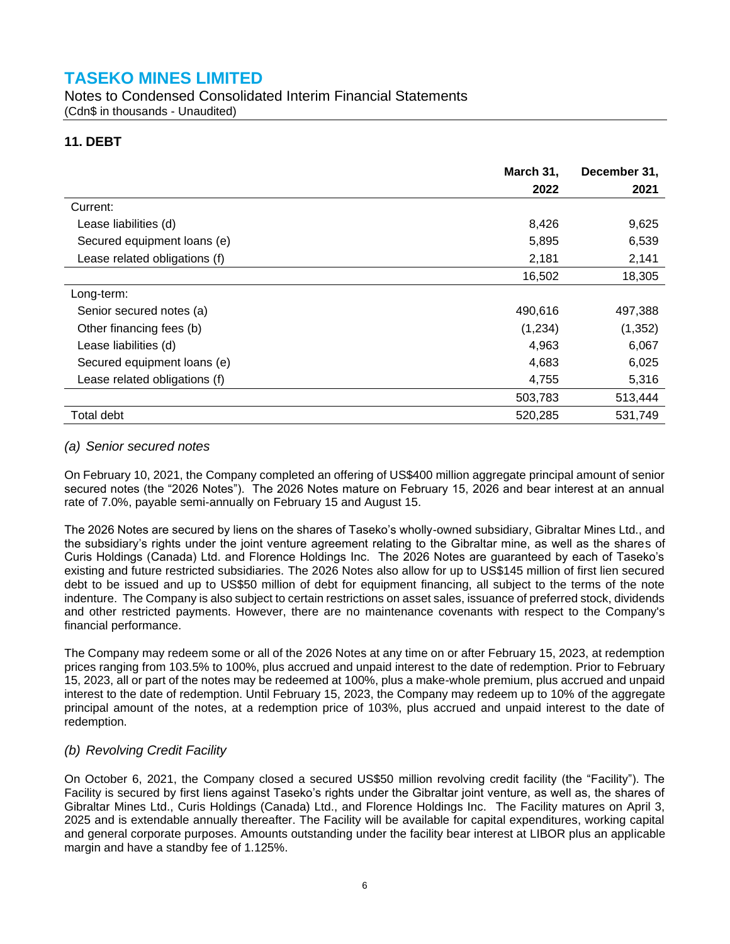Notes to Condensed Consolidated Interim Financial Statements (Cdn\$ in thousands - Unaudited)

### **11. DEBT**

|                               | March 31, | December 31, |
|-------------------------------|-----------|--------------|
|                               | 2022      | 2021         |
| Current:                      |           |              |
| Lease liabilities (d)         | 8,426     | 9,625        |
| Secured equipment loans (e)   | 5,895     | 6,539        |
| Lease related obligations (f) | 2,181     | 2,141        |
|                               | 16,502    | 18,305       |
| Long-term:                    |           |              |
| Senior secured notes (a)      | 490,616   | 497,388      |
| Other financing fees (b)      | (1,234)   | (1, 352)     |
| Lease liabilities (d)         | 4,963     | 6,067        |
| Secured equipment loans (e)   | 4,683     | 6,025        |
| Lease related obligations (f) | 4,755     | 5,316        |
|                               | 503,783   | 513,444      |
| Total debt                    | 520,285   | 531,749      |

#### *(a) Senior secured notes*

On February 10, 2021, the Company completed an offering of US\$400 million aggregate principal amount of senior secured notes (the "2026 Notes"). The 2026 Notes mature on February 15, 2026 and bear interest at an annual rate of 7.0%, payable semi-annually on February 15 and August 15.

The 2026 Notes are secured by liens on the shares of Taseko's wholly-owned subsidiary, Gibraltar Mines Ltd., and the subsidiary's rights under the joint venture agreement relating to the Gibraltar mine, as well as the shares of Curis Holdings (Canada) Ltd. and Florence Holdings Inc. The 2026 Notes are guaranteed by each of Taseko's existing and future restricted subsidiaries. The 2026 Notes also allow for up to US\$145 million of first lien secured debt to be issued and up to US\$50 million of debt for equipment financing, all subject to the terms of the note indenture. The Company is also subject to certain restrictions on asset sales, issuance of preferred stock, dividends and other restricted payments. However, there are no maintenance covenants with respect to the Company's financial performance.

The Company may redeem some or all of the 2026 Notes at any time on or after February 15, 2023, at redemption prices ranging from 103.5% to 100%, plus accrued and unpaid interest to the date of redemption. Prior to February 15, 2023, all or part of the notes may be redeemed at 100%, plus a make-whole premium, plus accrued and unpaid interest to the date of redemption. Until February 15, 2023, the Company may redeem up to 10% of the aggregate principal amount of the notes, at a redemption price of 103%, plus accrued and unpaid interest to the date of redemption.

### *(b) Revolving Credit Facility*

On October 6, 2021, the Company closed a secured US\$50 million revolving credit facility (the "Facility"). The Facility is secured by first liens against Taseko's rights under the Gibraltar joint venture, as well as, the shares of Gibraltar Mines Ltd., Curis Holdings (Canada) Ltd., and Florence Holdings Inc. The Facility matures on April 3, 2025 and is extendable annually thereafter. The Facility will be available for capital expenditures, working capital and general corporate purposes. Amounts outstanding under the facility bear interest at LIBOR plus an applicable margin and have a standby fee of 1.125%.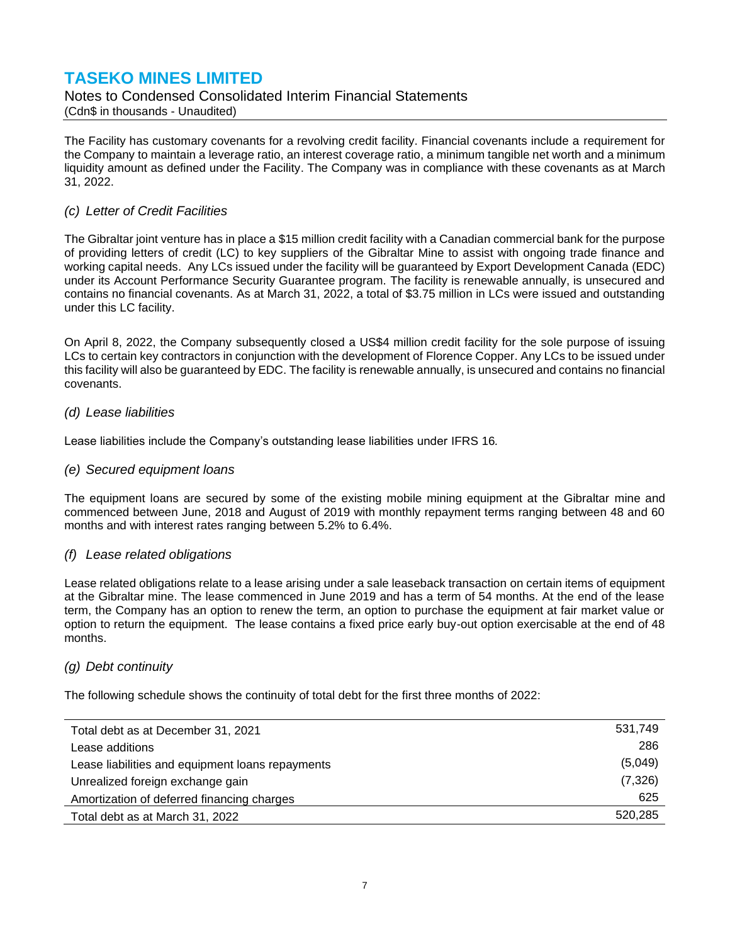Notes to Condensed Consolidated Interim Financial Statements (Cdn\$ in thousands - Unaudited)

The Facility has customary covenants for a revolving credit facility. Financial covenants include a requirement for the Company to maintain a leverage ratio, an interest coverage ratio, a minimum tangible net worth and a minimum liquidity amount as defined under the Facility. The Company was in compliance with these covenants as at March 31, 2022.

#### *(c) Letter of Credit Facilities*

The Gibraltar joint venture has in place a \$15 million credit facility with a Canadian commercial bank for the purpose of providing letters of credit (LC) to key suppliers of the Gibraltar Mine to assist with ongoing trade finance and working capital needs. Any LCs issued under the facility will be guaranteed by Export Development Canada (EDC) under its Account Performance Security Guarantee program. The facility is renewable annually, is unsecured and contains no financial covenants. As at March 31, 2022, a total of \$3.75 million in LCs were issued and outstanding under this LC facility.

On April 8, 2022, the Company subsequently closed a US\$4 million credit facility for the sole purpose of issuing LCs to certain key contractors in conjunction with the development of Florence Copper. Any LCs to be issued under this facility will also be guaranteed by EDC. The facility is renewable annually, is unsecured and contains no financial covenants.

#### *(d) Lease liabilities*

Lease liabilities include the Company's outstanding lease liabilities under IFRS 16*.*

#### *(e) Secured equipment loans*

The equipment loans are secured by some of the existing mobile mining equipment at the Gibraltar mine and commenced between June, 2018 and August of 2019 with monthly repayment terms ranging between 48 and 60 months and with interest rates ranging between 5.2% to 6.4%.

#### *(f) Lease related obligations*

Lease related obligations relate to a lease arising under a sale leaseback transaction on certain items of equipment at the Gibraltar mine. The lease commenced in June 2019 and has a term of 54 months. At the end of the lease term, the Company has an option to renew the term, an option to purchase the equipment at fair market value or option to return the equipment. The lease contains a fixed price early buy-out option exercisable at the end of 48 months.

#### *(g) Debt continuity*

The following schedule shows the continuity of total debt for the first three months of 2022:

| Total debt as at December 31, 2021               | 531,749  |
|--------------------------------------------------|----------|
| Lease additions                                  | 286      |
| Lease liabilities and equipment loans repayments | (5,049)  |
| Unrealized foreign exchange gain                 | (7, 326) |
| Amortization of deferred financing charges       | 625      |
| Total debt as at March 31, 2022                  | 520,285  |
|                                                  |          |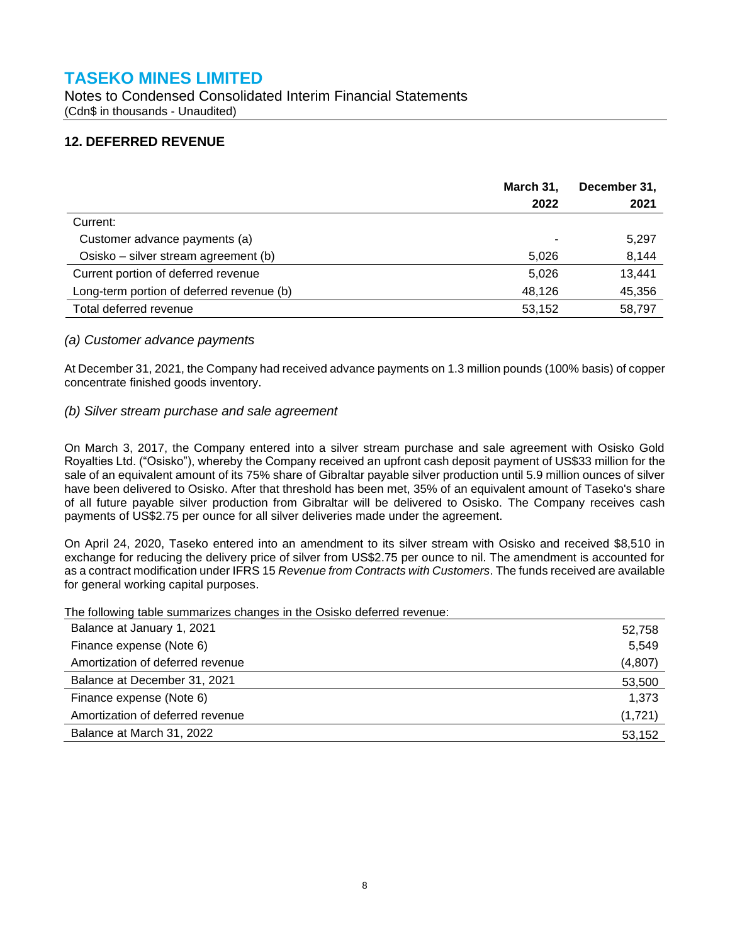Notes to Condensed Consolidated Interim Financial Statements (Cdn\$ in thousands - Unaudited)

### **12. DEFERRED REVENUE**

|                                           | March 31,<br>2022 | December 31,<br>2021 |
|-------------------------------------------|-------------------|----------------------|
| Current:                                  |                   |                      |
| Customer advance payments (a)             |                   | 5,297                |
| Osisko – silver stream agreement (b)      | 5.026             | 8,144                |
| Current portion of deferred revenue       | 5,026             | 13,441               |
| Long-term portion of deferred revenue (b) | 48,126            | 45,356               |
| Total deferred revenue                    | 53,152            | 58,797               |

#### *(a) Customer advance payments*

At December 31, 2021, the Company had received advance payments on 1.3 million pounds (100% basis) of copper concentrate finished goods inventory.

#### *(b) Silver stream purchase and sale agreement*

On March 3, 2017, the Company entered into a silver stream purchase and sale agreement with Osisko Gold Royalties Ltd. ("Osisko"), whereby the Company received an upfront cash deposit payment of US\$33 million for the sale of an equivalent amount of its 75% share of Gibraltar payable silver production until 5.9 million ounces of silver have been delivered to Osisko. After that threshold has been met, 35% of an equivalent amount of Taseko's share of all future payable silver production from Gibraltar will be delivered to Osisko. The Company receives cash payments of US\$2.75 per ounce for all silver deliveries made under the agreement.

On April 24, 2020, Taseko entered into an amendment to its silver stream with Osisko and received \$8,510 in exchange for reducing the delivery price of silver from US\$2.75 per ounce to nil. The amendment is accounted for as a contract modification under IFRS 15 *Revenue from Contracts with Customers*. The funds received are available for general working capital purposes.

The following table summarizes changes in the Osisko deferred revenue:

| Balance at January 1, 2021       | 52,758   |
|----------------------------------|----------|
| Finance expense (Note 6)         | 5,549    |
| Amortization of deferred revenue | (4, 807) |
| Balance at December 31, 2021     | 53,500   |
| Finance expense (Note 6)         | 1,373    |
| Amortization of deferred revenue | (1,721)  |
| Balance at March 31, 2022        | 53,152   |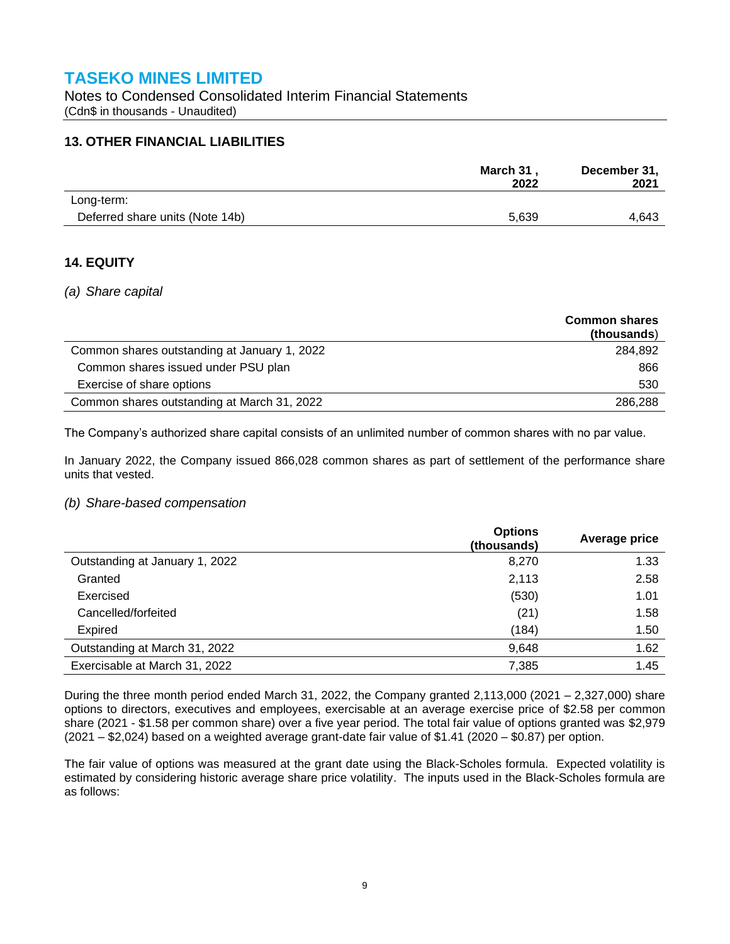Notes to Condensed Consolidated Interim Financial Statements (Cdn\$ in thousands - Unaudited)

### **13. OTHER FINANCIAL LIABILITIES**

|                                 | March 31,<br>2022 | December 31,<br>2021 |
|---------------------------------|-------------------|----------------------|
| Long-term:                      |                   |                      |
| Deferred share units (Note 14b) | 5,639             | 4.643                |

### **14. EQUITY**

#### *(a) Share capital*

|                                              | <b>Common shares</b><br>(thousands) |
|----------------------------------------------|-------------------------------------|
| Common shares outstanding at January 1, 2022 | 284,892                             |
| Common shares issued under PSU plan          | 866                                 |
| Exercise of share options                    | 530                                 |
| Common shares outstanding at March 31, 2022  | 286,288                             |

The Company's authorized share capital consists of an unlimited number of common shares with no par value.

In January 2022, the Company issued 866,028 common shares as part of settlement of the performance share units that vested.

#### *(b) Share-based compensation*

|                                | <b>Options</b><br>(thousands) | Average price |
|--------------------------------|-------------------------------|---------------|
| Outstanding at January 1, 2022 | 8,270                         | 1.33          |
| Granted                        | 2,113                         | 2.58          |
| Exercised                      | (530)                         | 1.01          |
| Cancelled/forfeited            | (21)                          | 1.58          |
| <b>Expired</b>                 | (184)                         | 1.50          |
| Outstanding at March 31, 2022  | 9,648                         | 1.62          |
| Exercisable at March 31, 2022  | 7,385                         | 1.45          |

During the three month period ended March 31, 2022, the Company granted 2,113,000 (2021 – 2,327,000) share options to directors, executives and employees, exercisable at an average exercise price of \$2.58 per common share (2021 - \$1.58 per common share) over a five year period. The total fair value of options granted was \$2,979 (2021 – \$2,024) based on a weighted average grant-date fair value of \$1.41 (2020 – \$0.87) per option.

The fair value of options was measured at the grant date using the Black-Scholes formula. Expected volatility is estimated by considering historic average share price volatility. The inputs used in the Black-Scholes formula are as follows: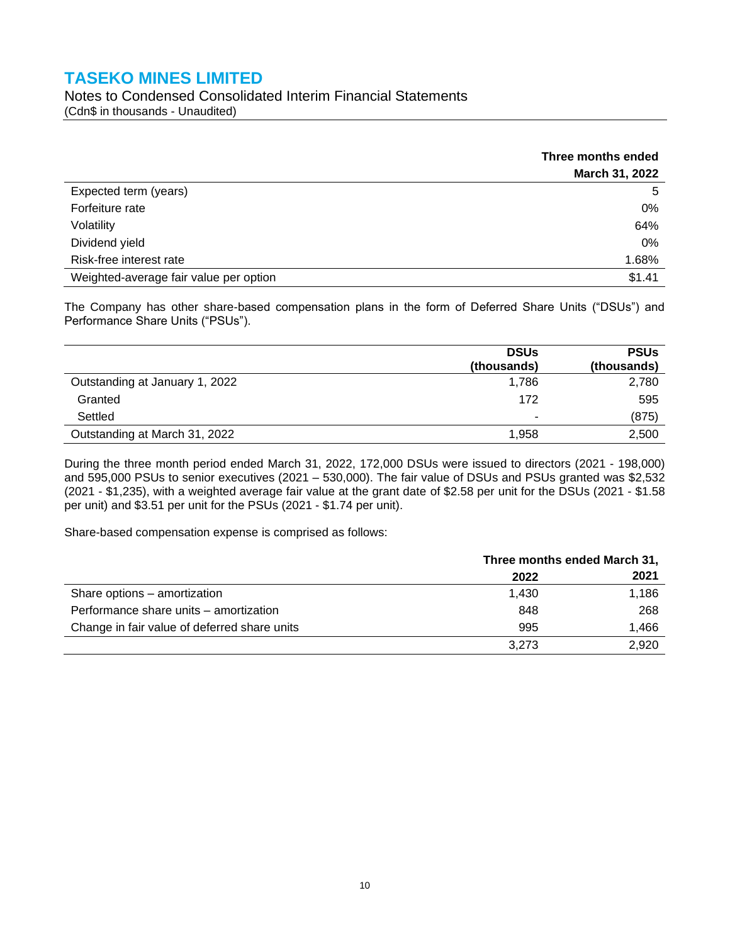Notes to Condensed Consolidated Interim Financial Statements (Cdn\$ in thousands - Unaudited)

|                                        | Three months ended |
|----------------------------------------|--------------------|
|                                        | March 31, 2022     |
| Expected term (years)                  | 5                  |
| Forfeiture rate                        | 0%                 |
| Volatility                             | 64%                |
| Dividend yield                         | 0%                 |
| Risk-free interest rate                | 1.68%              |
| Weighted-average fair value per option | \$1.41             |

The Company has other share-based compensation plans in the form of Deferred Share Units ("DSUs") and Performance Share Units ("PSUs").

|                                | <b>DSUs</b> | <b>PSUs</b> |
|--------------------------------|-------------|-------------|
|                                | (thousands) | (thousands) |
| Outstanding at January 1, 2022 | 1,786       | 2,780       |
| Granted                        | 172         | 595         |
| Settled                        | ۰           | (875)       |
| Outstanding at March 31, 2022  | 1.958       | 2,500       |

During the three month period ended March 31, 2022, 172,000 DSUs were issued to directors (2021 - 198,000) and 595,000 PSUs to senior executives (2021 – 530,000). The fair value of DSUs and PSUs granted was \$2,532 (2021 - \$1,235), with a weighted average fair value at the grant date of \$2.58 per unit for the DSUs (2021 - \$1.58 per unit) and \$3.51 per unit for the PSUs (2021 - \$1.74 per unit).

Share-based compensation expense is comprised as follows:

|                                              | Three months ended March 31, |       |
|----------------------------------------------|------------------------------|-------|
|                                              | 2022                         | 2021  |
| Share options - amortization                 | 1.430                        | 1,186 |
| Performance share units – amortization       | 848                          | 268   |
| Change in fair value of deferred share units | 995                          | 1.466 |
|                                              | 3.273                        | 2.920 |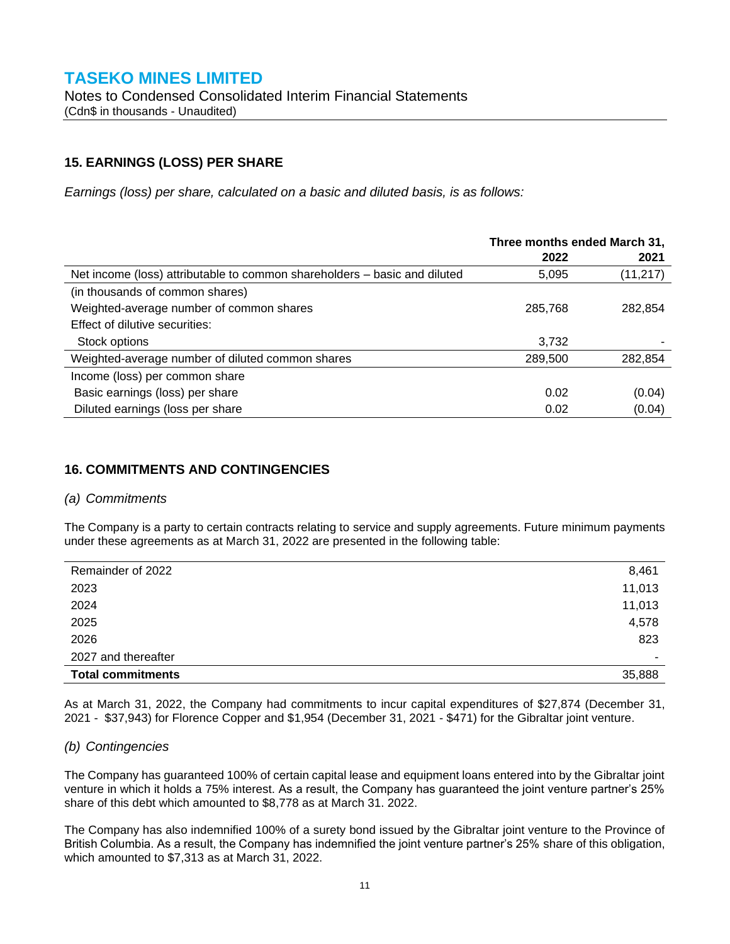### **15. EARNINGS (LOSS) PER SHARE**

*Earnings (loss) per share, calculated on a basic and diluted basis, is as follows:*

|                                                                           | Three months ended March 31, |           |
|---------------------------------------------------------------------------|------------------------------|-----------|
|                                                                           | 2022                         | 2021      |
| Net income (loss) attributable to common shareholders – basic and diluted | 5,095                        | (11, 217) |
| (in thousands of common shares)                                           |                              |           |
| Weighted-average number of common shares                                  | 285,768                      | 282,854   |
| Effect of dilutive securities:                                            |                              |           |
| Stock options                                                             | 3,732                        |           |
| Weighted-average number of diluted common shares                          | 289,500                      | 282,854   |
| Income (loss) per common share                                            |                              |           |
| Basic earnings (loss) per share                                           | 0.02                         | (0.04)    |
| Diluted earnings (loss per share                                          | 0.02                         | (0.04)    |

### **16. COMMITMENTS AND CONTINGENCIES**

#### *(a) Commitments*

The Company is a party to certain contracts relating to service and supply agreements. Future minimum payments under these agreements as at March 31, 2022 are presented in the following table:

| Remainder of 2022        | 8,461  |
|--------------------------|--------|
| 2023                     | 11,013 |
| 2024                     | 11,013 |
| 2025                     | 4,578  |
| 2026                     | 823    |
| 2027 and thereafter      | ٠      |
| <b>Total commitments</b> | 35,888 |

As at March 31, 2022, the Company had commitments to incur capital expenditures of \$27,874 (December 31, 2021 - \$37,943) for Florence Copper and \$1,954 (December 31, 2021 - \$471) for the Gibraltar joint venture.

#### *(b) Contingencies*

The Company has guaranteed 100% of certain capital lease and equipment loans entered into by the Gibraltar joint venture in which it holds a 75% interest. As a result, the Company has guaranteed the joint venture partner's 25% share of this debt which amounted to \$8,778 as at March 31. 2022.

The Company has also indemnified 100% of a surety bond issued by the Gibraltar joint venture to the Province of British Columbia. As a result, the Company has indemnified the joint venture partner's 25% share of this obligation, which amounted to \$7,313 as at March 31, 2022.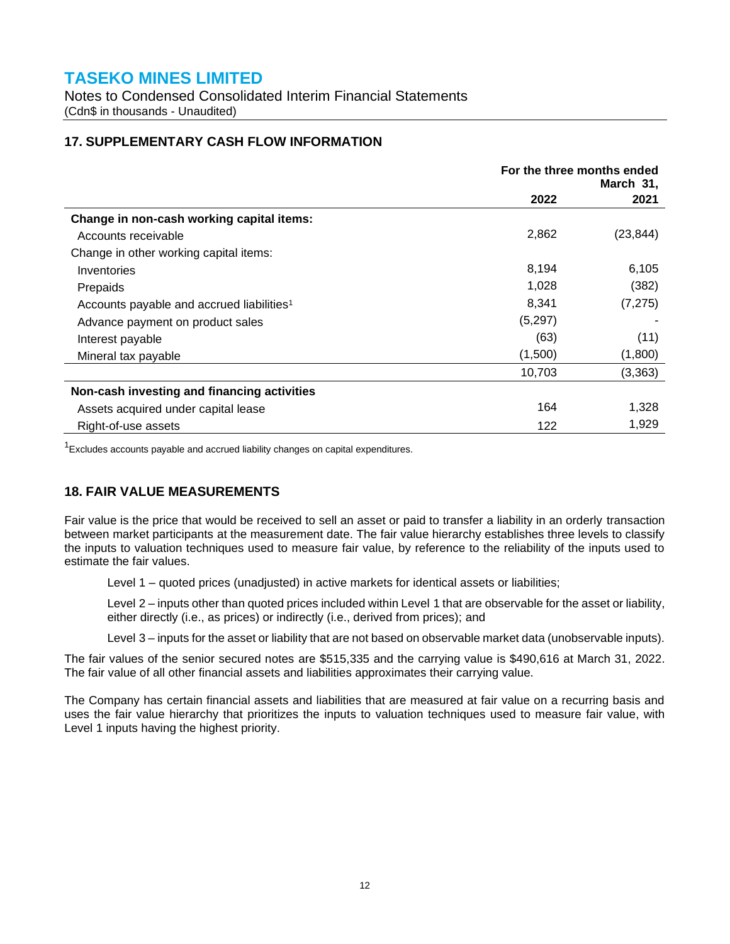Notes to Condensed Consolidated Interim Financial Statements (Cdn\$ in thousands - Unaudited)

### **17. SUPPLEMENTARY CASH FLOW INFORMATION**

|                                                       | For the three months ended<br>March 31, |           |
|-------------------------------------------------------|-----------------------------------------|-----------|
|                                                       | 2022                                    | 2021      |
| Change in non-cash working capital items:             |                                         |           |
| Accounts receivable                                   | 2,862                                   | (23, 844) |
| Change in other working capital items:                |                                         |           |
| Inventories                                           | 8,194                                   | 6,105     |
| Prepaids                                              | 1,028                                   | (382)     |
| Accounts payable and accrued liabilities <sup>1</sup> | 8,341                                   | (7, 275)  |
| Advance payment on product sales                      | (5,297)                                 |           |
| Interest payable                                      | (63)                                    | (11)      |
| Mineral tax payable                                   | (1,500)                                 | (1,800)   |
|                                                       | 10,703                                  | (3, 363)  |
| Non-cash investing and financing activities           |                                         |           |
| Assets acquired under capital lease                   | 164                                     | 1,328     |
| Right-of-use assets                                   | 122                                     | 1,929     |

 $1$ Excludes accounts payable and accrued liability changes on capital expenditures.

### **18. FAIR VALUE MEASUREMENTS**

Fair value is the price that would be received to sell an asset or paid to transfer a liability in an orderly transaction between market participants at the measurement date. The fair value hierarchy establishes three levels to classify the inputs to valuation techniques used to measure fair value, by reference to the reliability of the inputs used to estimate the fair values.

Level 1 – quoted prices (unadjusted) in active markets for identical assets or liabilities;

Level 2 – inputs other than quoted prices included within Level 1 that are observable for the asset or liability, either directly (i.e., as prices) or indirectly (i.e., derived from prices); and

Level 3 – inputs for the asset or liability that are not based on observable market data (unobservable inputs).

The fair values of the senior secured notes are \$515,335 and the carrying value is \$490,616 at March 31, 2022. The fair value of all other financial assets and liabilities approximates their carrying value.

The Company has certain financial assets and liabilities that are measured at fair value on a recurring basis and uses the fair value hierarchy that prioritizes the inputs to valuation techniques used to measure fair value, with Level 1 inputs having the highest priority.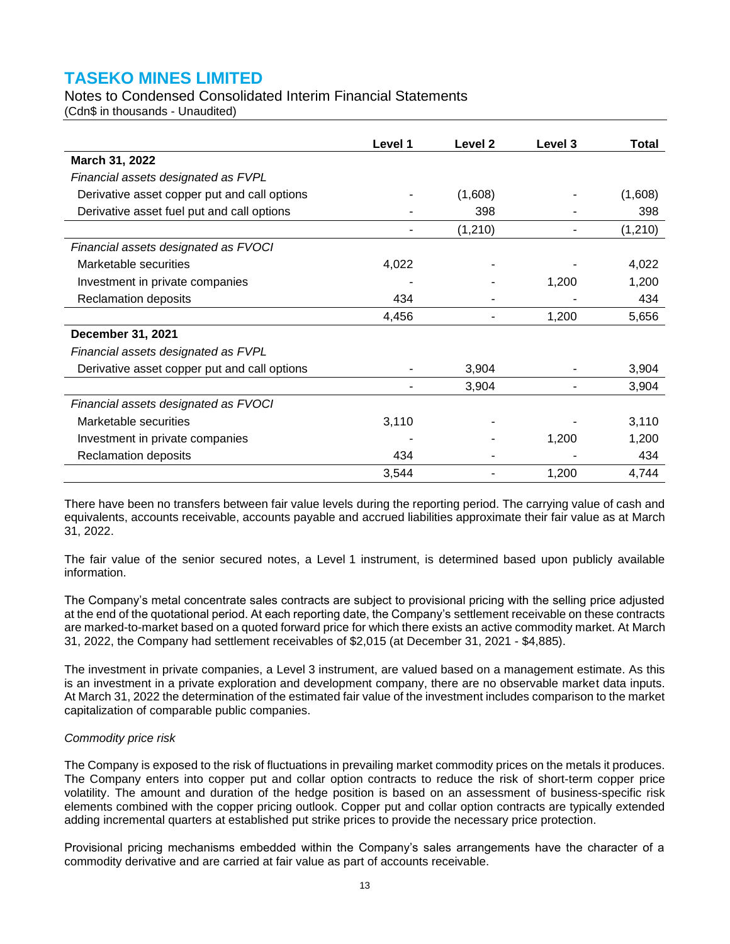### Notes to Condensed Consolidated Interim Financial Statements

(Cdn\$ in thousands - Unaudited)

|                                              | Level 1 | Level 2 | Level 3 | Total   |
|----------------------------------------------|---------|---------|---------|---------|
| March 31, 2022                               |         |         |         |         |
| Financial assets designated as FVPL          |         |         |         |         |
| Derivative asset copper put and call options |         | (1,608) |         | (1,608) |
| Derivative asset fuel put and call options   |         | 398     |         | 398     |
|                                              |         | (1,210) |         | (1,210) |
| Financial assets designated as FVOCI         |         |         |         |         |
| Marketable securities                        | 4,022   |         |         | 4,022   |
| Investment in private companies              |         |         | 1,200   | 1,200   |
| Reclamation deposits                         | 434     |         |         | 434     |
|                                              | 4,456   | ۰       | 1,200   | 5,656   |
| December 31, 2021                            |         |         |         |         |
| Financial assets designated as FVPL          |         |         |         |         |
| Derivative asset copper put and call options |         | 3,904   |         | 3,904   |
|                                              |         | 3,904   |         | 3,904   |
| Financial assets designated as FVOCI         |         |         |         |         |
| Marketable securities                        | 3,110   |         |         | 3,110   |
| Investment in private companies              |         |         | 1,200   | 1,200   |
| Reclamation deposits                         | 434     |         |         | 434     |
|                                              | 3,544   |         | 1,200   | 4,744   |

There have been no transfers between fair value levels during the reporting period. The carrying value of cash and equivalents, accounts receivable, accounts payable and accrued liabilities approximate their fair value as at March 31, 2022.

The fair value of the senior secured notes, a Level 1 instrument, is determined based upon publicly available information.

The Company's metal concentrate sales contracts are subject to provisional pricing with the selling price adjusted at the end of the quotational period. At each reporting date, the Company's settlement receivable on these contracts are marked-to-market based on a quoted forward price for which there exists an active commodity market. At March 31, 2022, the Company had settlement receivables of \$2,015 (at December 31, 2021 - \$4,885).

The investment in private companies, a Level 3 instrument, are valued based on a management estimate. As this is an investment in a private exploration and development company, there are no observable market data inputs. At March 31, 2022 the determination of the estimated fair value of the investment includes comparison to the market capitalization of comparable public companies.

#### *Commodity price risk*

The Company is exposed to the risk of fluctuations in prevailing market commodity prices on the metals it produces. The Company enters into copper put and collar option contracts to reduce the risk of short-term copper price volatility. The amount and duration of the hedge position is based on an assessment of business-specific risk elements combined with the copper pricing outlook. Copper put and collar option contracts are typically extended adding incremental quarters at established put strike prices to provide the necessary price protection.

Provisional pricing mechanisms embedded within the Company's sales arrangements have the character of a commodity derivative and are carried at fair value as part of accounts receivable.